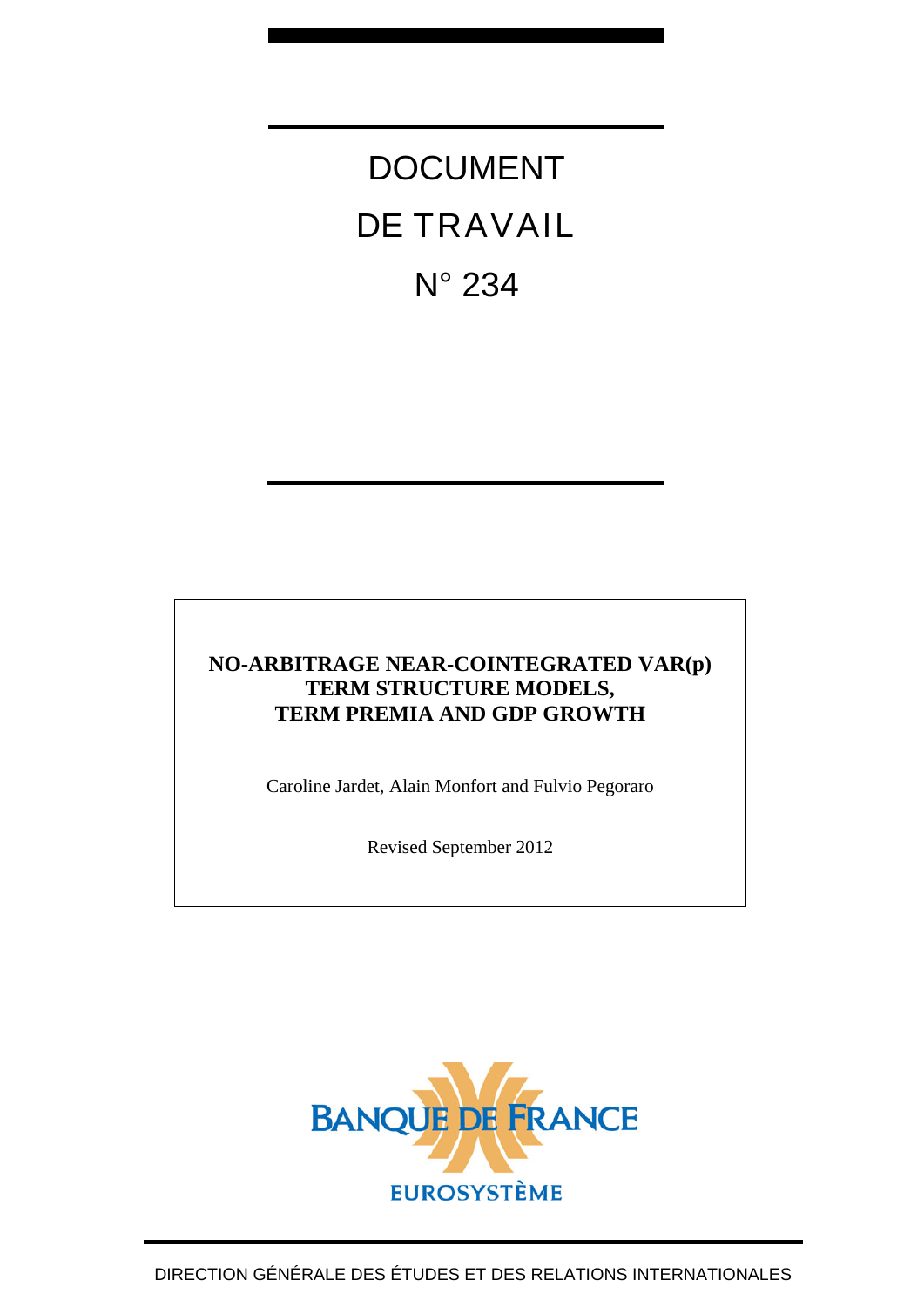# DOCUMENT DE TRAVAIL N° 234

# **NO-ARBITRAGE NEAR-COINTEGRATED VAR(p) TERM STRUCTURE MODELS, TERM PREMIA AND GDP GROWTH**

Caroline Jardet, Alain Monfort and Fulvio Pegoraro

Revised September 2012

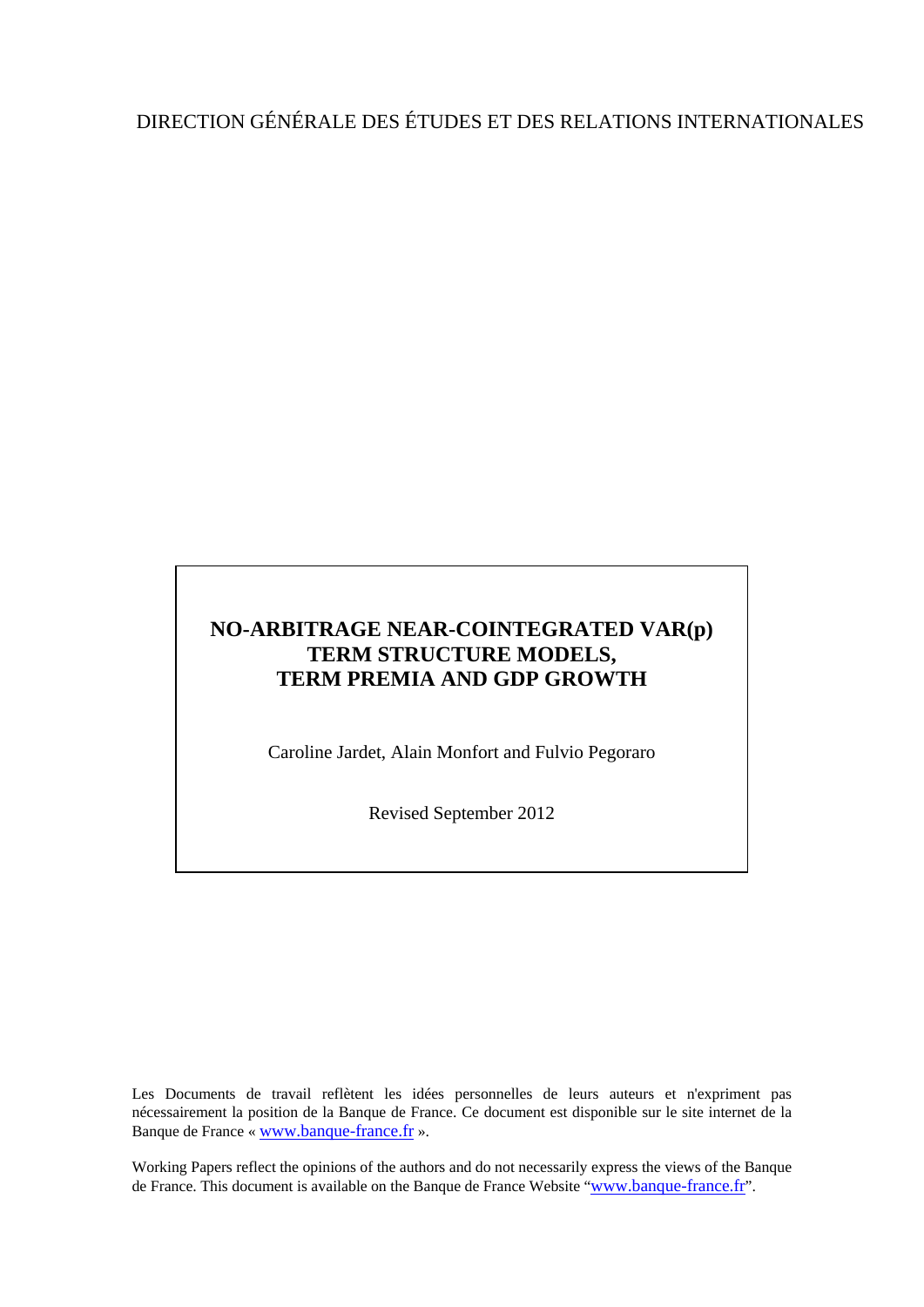# DIRECTION GÉNÉRALE DES ÉTUDES ET DES RELATIONS INTERNATIONALES

# **NO-ARBITRAGE NEAR-COINTEGRATED VAR(p) TERM STRUCTURE MODELS, TERM PREMIA AND GDP GROWTH**

Caroline Jardet, Alain Monfort and Fulvio Pegoraro

Revised September 2012

Les Documents de travail reflètent les idées personnelles de leurs auteurs et n'expriment pas nécessairement la position de la Banque de France. Ce document est disponible sur le site internet de la Banque de France « [www.banque-france.fr](http://www.banque-france.fr/) ».

Working Papers reflect the opinions of the authors and do not necessarily express the views of the Banque de France. This document is available on the Banque de France Website "[www.banque-france.fr](http://www.banque-france.fr/)".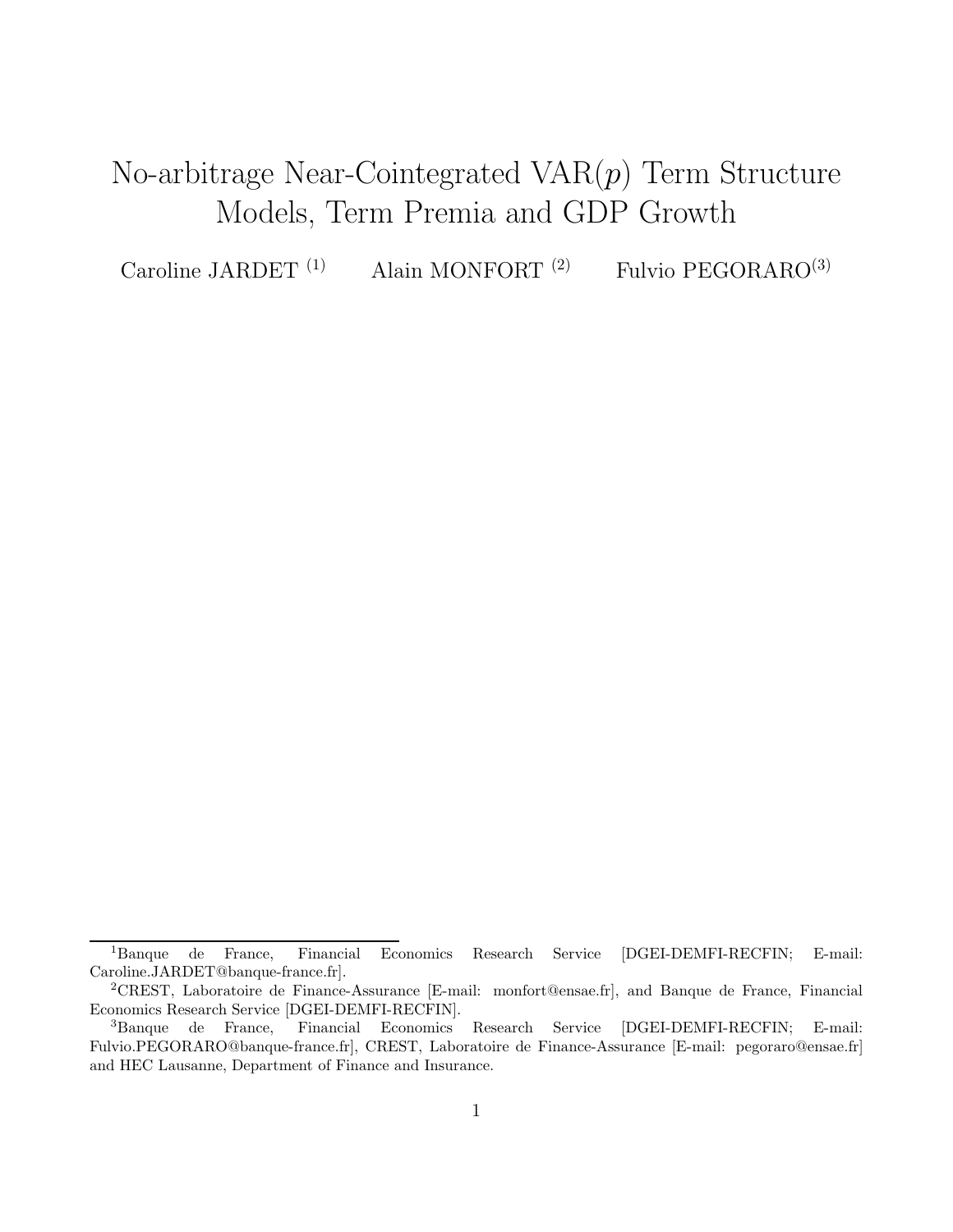# No-arbitrage Near-Cointegrated  $VAR(p)$  Term Structure Models, Term Premia and GDP Growth

Caroline JARDET<sup>(1)</sup> Alain MONFORT<sup>(2)</sup> Fulvio PEGORARO<sup>(3)</sup>

<sup>1</sup>Banque de France, Financial Economics Research Service [DGEI-DEMFI-RECFIN; E-mail: Caroline.JARDET@banque-france.fr].

<sup>2</sup>CREST, Laboratoire de Finance-Assurance [E-mail: monfort@ensae.fr], and Banque de France, Financial Economics Research Service [DGEI-DEMFI-RECFIN].

<sup>3</sup>Banque de France, Financial Economics Research Service [DGEI-DEMFI-RECFIN; E-mail: Fulvio.PEGORARO@banque-france.fr], CREST, Laboratoire de Finance-Assurance [E-mail: pegoraro@ensae.fr] and HEC Lausanne, Department of Finance and Insurance.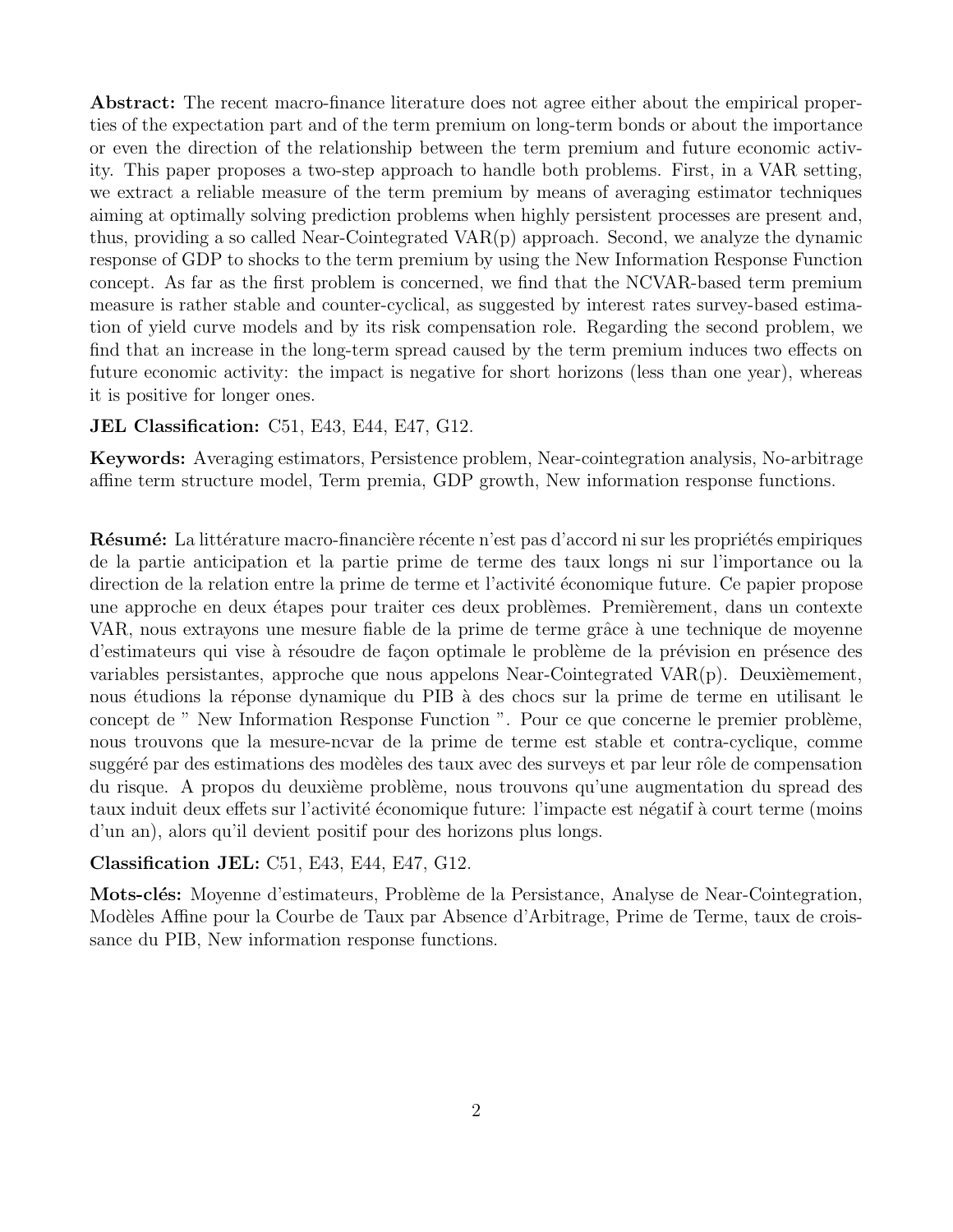Abstract: The recent macro-finance literature does not agree either about the empirical properties of the expectation part and of the term premium on long-term bonds or about the importance or even the direction of the relationship between the term premium and future economic activity. This paper proposes a two-step approach to handle both problems. First, in a VAR setting, we extract a reliable measure of the term premium by means of averaging estimator techniques aiming at optimally solving prediction problems when highly persistent processes are present and, thus, providing a so called Near-Cointegrated VAR(p) approach. Second, we analyze the dynamic response of GDP to shocks to the term premium by using the New Information Response Function concept. As far as the first problem is concerned, we find that the NCVAR-based term premium measure is rather stable and counter-cyclical, as suggested by interest rates survey-based estimation of yield curve models and by its risk compensation role. Regarding the second problem, we find that an increase in the long-term spread caused by the term premium induces two effects on future economic activity: the impact is negative for short horizons (less than one year), whereas it is positive for longer ones.

#### JEL Classification: C51, E43, E44, E47, G12.

Keywords: Averaging estimators, Persistence problem, Near-cointegration analysis, No-arbitrage affine term structure model, Term premia, GDP growth, New information response functions.

Résumé: La littérature macro-financière récente n'est pas d'accord ni sur les propriétés empiriques de la partie anticipation et la partie prime de terme des taux longs ni sur l'importance ou la direction de la relation entre la prime de terme et l'activité économique future. Ce papier propose une approche en deux étapes pour traiter ces deux problèmes. Premièrement, dans un contexte VAR, nous extrayons une mesure fiable de la prime de terme grâce à une technique de moyenne d'estimateurs qui vise à résoudre de façon optimale le problème de la prévision en présence des variables persistantes, approche que nous appelons Near-Cointegrated VAR $(p)$ . Deuxièmement, nous étudions la réponse dynamique du PIB à des chocs sur la prime de terme en utilisant le concept de " New Information Response Function ". Pour ce que concerne le premier problème, nous trouvons que la mesure-ncvar de la prime de terme est stable et contra-cyclique, comme suggéré par des estimations des modèles des taux avec des surveys et par leur rôle de compensation du risque. A propos du deuxième problème, nous trouvons qu'une augmentation du spread des taux induit deux effets sur l'activité économique future: l'impacte est négatif à court terme (moins d'un an), alors qu'il devient positif pour des horizons plus longs.

#### Classification JEL: C51, E43, E44, E47, G12.

Mots-clés: Moyenne d'estimateurs, Problème de la Persistance, Analyse de Near-Cointegration, Modèles Affine pour la Courbe de Taux par Absence d'Arbitrage, Prime de Terme, taux de croissance du PIB, New information response functions.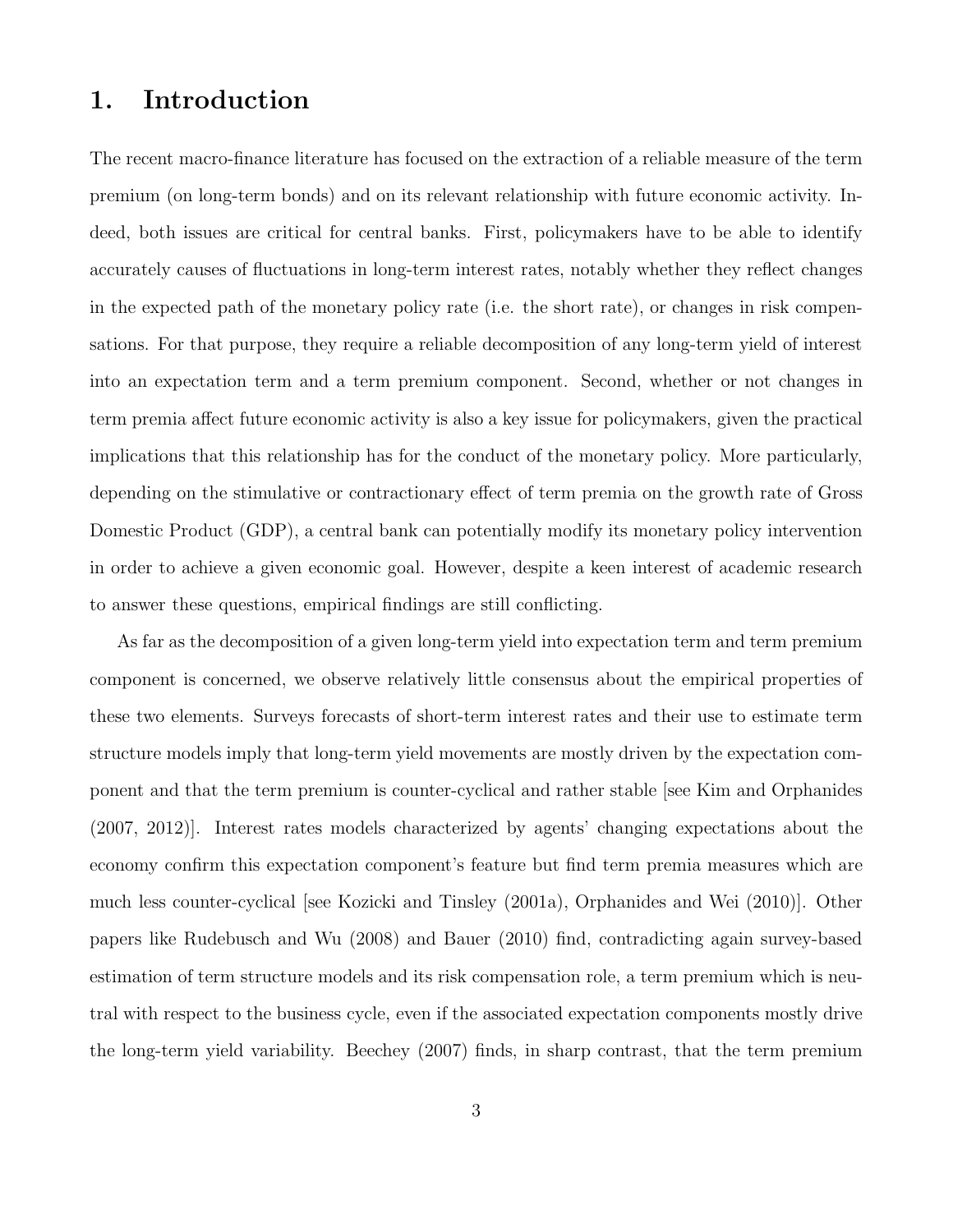# 1. Introduction

The recent macro-finance literature has focused on the extraction of a reliable measure of the term premium (on long-term bonds) and on its relevant relationship with future economic activity. Indeed, both issues are critical for central banks. First, policymakers have to be able to identify accurately causes of fluctuations in long-term interest rates, notably whether they reflect changes in the expected path of the monetary policy rate (i.e. the short rate), or changes in risk compensations. For that purpose, they require a reliable decomposition of any long-term yield of interest into an expectation term and a term premium component. Second, whether or not changes in term premia affect future economic activity is also a key issue for policymakers, given the practical implications that this relationship has for the conduct of the monetary policy. More particularly, depending on the stimulative or contractionary effect of term premia on the growth rate of Gross Domestic Product (GDP), a central bank can potentially modify its monetary policy intervention in order to achieve a given economic goal. However, despite a keen interest of academic research to answer these questions, empirical findings are still conflicting.

As far as the decomposition of a given long-term yield into expectation term and term premium component is concerned, we observe relatively little consensus about the empirical properties of these two elements. Surveys forecasts of short-term interest rates and their use to estimate term structure models imply that long-term yield movements are mostly driven by the expectation component and that the term premium is counter-cyclical and rather stable [see Kim and Orphanides (2007, 2012)]. Interest rates models characterized by agents' changing expectations about the economy confirm this expectation component's feature but find term premia measures which are much less counter-cyclical [see Kozicki and Tinsley (2001a), Orphanides and Wei (2010)]. Other papers like Rudebusch and Wu (2008) and Bauer (2010) find, contradicting again survey-based estimation of term structure models and its risk compensation role, a term premium which is neutral with respect to the business cycle, even if the associated expectation components mostly drive the long-term yield variability. Beechey (2007) finds, in sharp contrast, that the term premium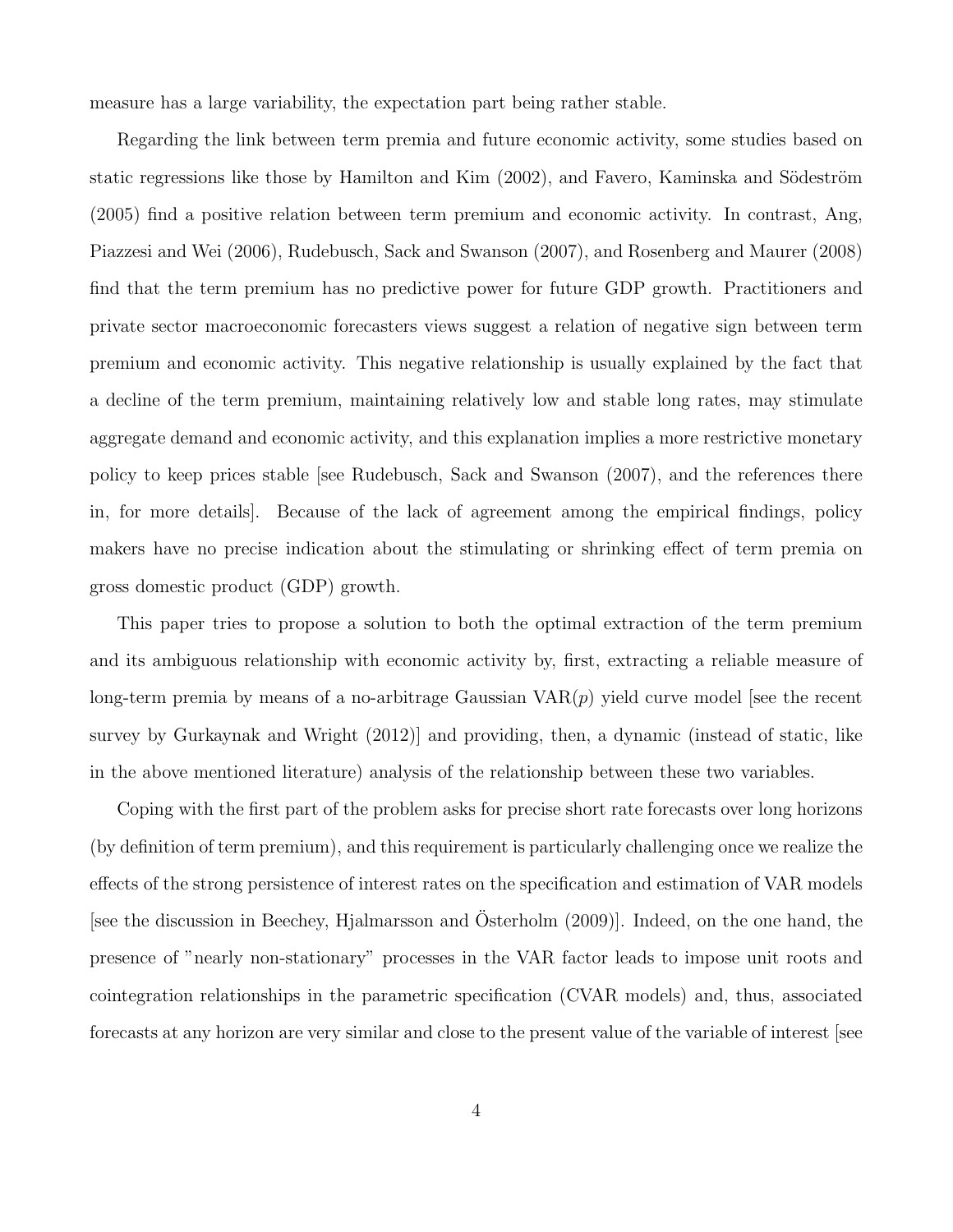measure has a large variability, the expectation part being rather stable.

Regarding the link between term premia and future economic activity, some studies based on static regressions like those by Hamilton and Kim (2002), and Favero, Kaminska and Södeström (2005) find a positive relation between term premium and economic activity. In contrast, Ang, Piazzesi and Wei (2006), Rudebusch, Sack and Swanson (2007), and Rosenberg and Maurer (2008) find that the term premium has no predictive power for future GDP growth. Practitioners and private sector macroeconomic forecasters views suggest a relation of negative sign between term premium and economic activity. This negative relationship is usually explained by the fact that a decline of the term premium, maintaining relatively low and stable long rates, may stimulate aggregate demand and economic activity, and this explanation implies a more restrictive monetary policy to keep prices stable [see Rudebusch, Sack and Swanson (2007), and the references there in, for more details]. Because of the lack of agreement among the empirical findings, policy makers have no precise indication about the stimulating or shrinking effect of term premia on gross domestic product (GDP) growth.

This paper tries to propose a solution to both the optimal extraction of the term premium and its ambiguous relationship with economic activity by, first, extracting a reliable measure of long-term premia by means of a no-arbitrage Gaussian  $VAR(p)$  yield curve model [see the recent survey by Gurkaynak and Wright (2012)] and providing, then, a dynamic (instead of static, like in the above mentioned literature) analysis of the relationship between these two variables.

Coping with the first part of the problem asks for precise short rate forecasts over long horizons (by definition of term premium), and this requirement is particularly challenging once we realize the effects of the strong persistence of interest rates on the specification and estimation of VAR models [see the discussion in Beechey, Hjalmarsson and Osterholm  $(2009)$ ]. Indeed, on the one hand, the presence of "nearly non-stationary" processes in the VAR factor leads to impose unit roots and cointegration relationships in the parametric specification (CVAR models) and, thus, associated forecasts at any horizon are very similar and close to the present value of the variable of interest [see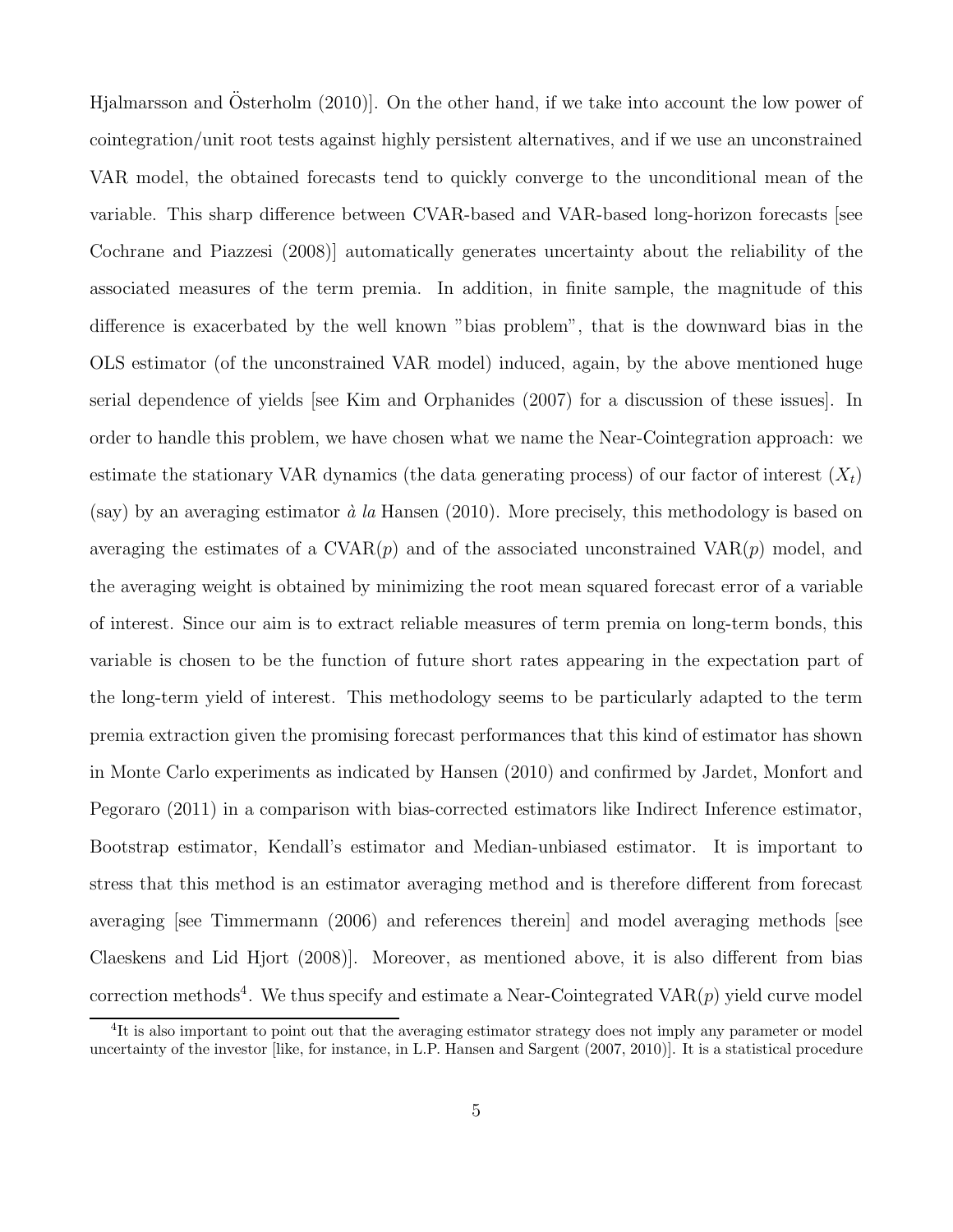Hjalmarsson and Osterholm  $(2010)$ . On the other hand, if we take into account the low power of cointegration/unit root tests against highly persistent alternatives, and if we use an unconstrained VAR model, the obtained forecasts tend to quickly converge to the unconditional mean of the variable. This sharp difference between CVAR-based and VAR-based long-horizon forecasts [see Cochrane and Piazzesi (2008)] automatically generates uncertainty about the reliability of the associated measures of the term premia. In addition, in finite sample, the magnitude of this difference is exacerbated by the well known "bias problem", that is the downward bias in the OLS estimator (of the unconstrained VAR model) induced, again, by the above mentioned huge serial dependence of yields [see Kim and Orphanides (2007) for a discussion of these issues]. In order to handle this problem, we have chosen what we name the Near-Cointegration approach: we estimate the stationary VAR dynamics (the data generating process) of our factor of interest  $(X_t)$ (say) by an averaging estimator  $\dot{a}$  la Hansen (2010). More precisely, this methodology is based on averaging the estimates of a  $\text{CVAR}(p)$  and of the associated unconstrained  $\text{VAR}(p)$  model, and the averaging weight is obtained by minimizing the root mean squared forecast error of a variable of interest. Since our aim is to extract reliable measures of term premia on long-term bonds, this variable is chosen to be the function of future short rates appearing in the expectation part of the long-term yield of interest. This methodology seems to be particularly adapted to the term premia extraction given the promising forecast performances that this kind of estimator has shown in Monte Carlo experiments as indicated by Hansen (2010) and confirmed by Jardet, Monfort and Pegoraro (2011) in a comparison with bias-corrected estimators like Indirect Inference estimator, Bootstrap estimator, Kendall's estimator and Median-unbiased estimator. It is important to stress that this method is an estimator averaging method and is therefore different from forecast averaging [see Timmermann (2006) and references therein] and model averaging methods [see Claeskens and Lid Hjort (2008)]. Moreover, as mentioned above, it is also different from bias correction methods<sup>4</sup>. We thus specify and estimate a Near-Cointegrated  $VAR(p)$  yield curve model

<sup>&</sup>lt;sup>4</sup>It is also important to point out that the averaging estimator strategy does not imply any parameter or model uncertainty of the investor [like, for instance, in L.P. Hansen and Sargent (2007, 2010)]. It is a statistical procedure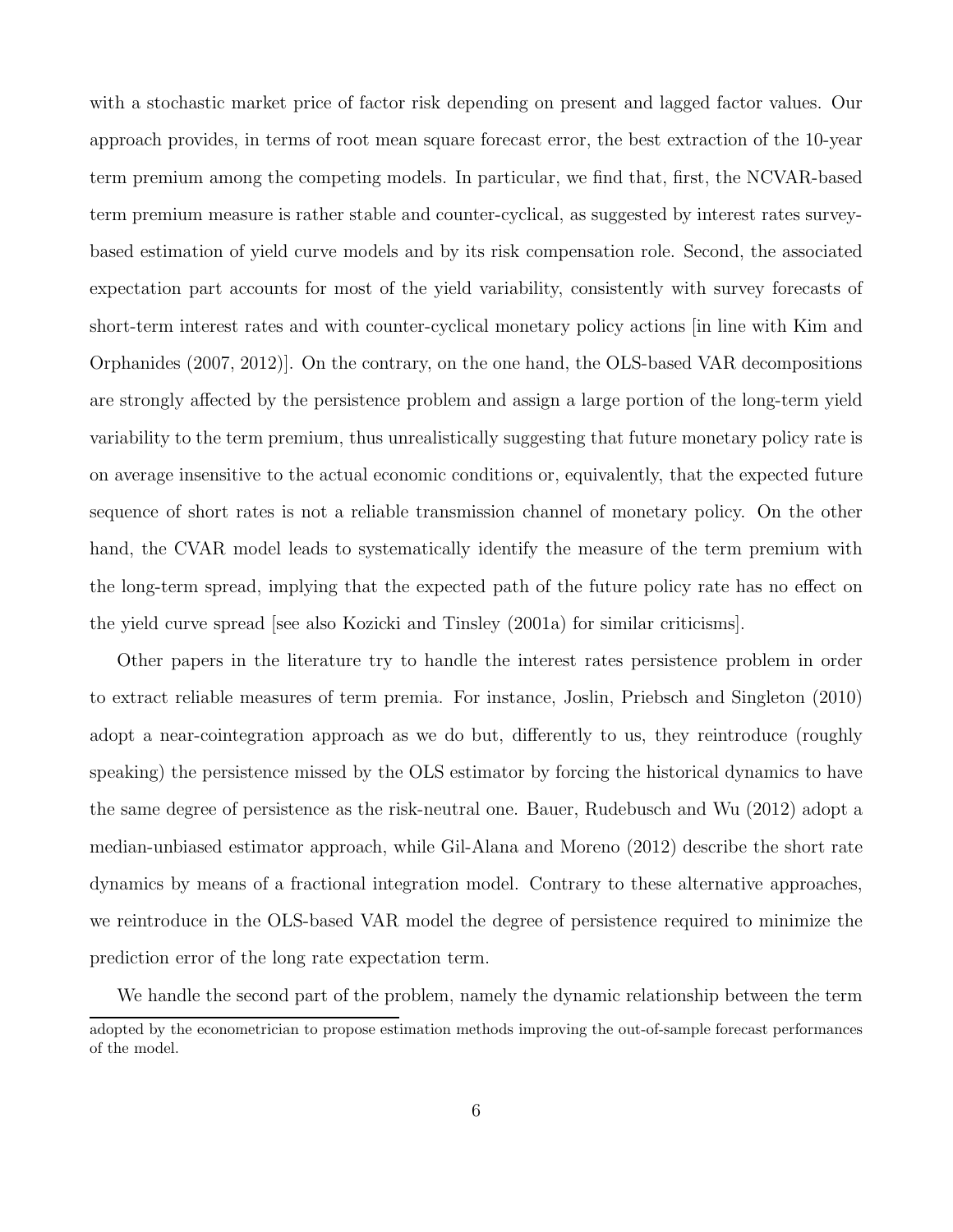with a stochastic market price of factor risk depending on present and lagged factor values. Our approach provides, in terms of root mean square forecast error, the best extraction of the 10-year term premium among the competing models. In particular, we find that, first, the NCVAR-based term premium measure is rather stable and counter-cyclical, as suggested by interest rates surveybased estimation of yield curve models and by its risk compensation role. Second, the associated expectation part accounts for most of the yield variability, consistently with survey forecasts of short-term interest rates and with counter-cyclical monetary policy actions [in line with Kim and Orphanides (2007, 2012)]. On the contrary, on the one hand, the OLS-based VAR decompositions are strongly affected by the persistence problem and assign a large portion of the long-term yield variability to the term premium, thus unrealistically suggesting that future monetary policy rate is on average insensitive to the actual economic conditions or, equivalently, that the expected future sequence of short rates is not a reliable transmission channel of monetary policy. On the other hand, the CVAR model leads to systematically identify the measure of the term premium with the long-term spread, implying that the expected path of the future policy rate has no effect on the yield curve spread [see also Kozicki and Tinsley (2001a) for similar criticisms].

Other papers in the literature try to handle the interest rates persistence problem in order to extract reliable measures of term premia. For instance, Joslin, Priebsch and Singleton (2010) adopt a near-cointegration approach as we do but, differently to us, they reintroduce (roughly speaking) the persistence missed by the OLS estimator by forcing the historical dynamics to have the same degree of persistence as the risk-neutral one. Bauer, Rudebusch and Wu (2012) adopt a median-unbiased estimator approach, while Gil-Alana and Moreno (2012) describe the short rate dynamics by means of a fractional integration model. Contrary to these alternative approaches, we reintroduce in the OLS-based VAR model the degree of persistence required to minimize the prediction error of the long rate expectation term.

We handle the second part of the problem, namely the dynamic relationship between the term adopted by the econometrician to propose estimation methods improving the out-of-sample forecast performances of the model.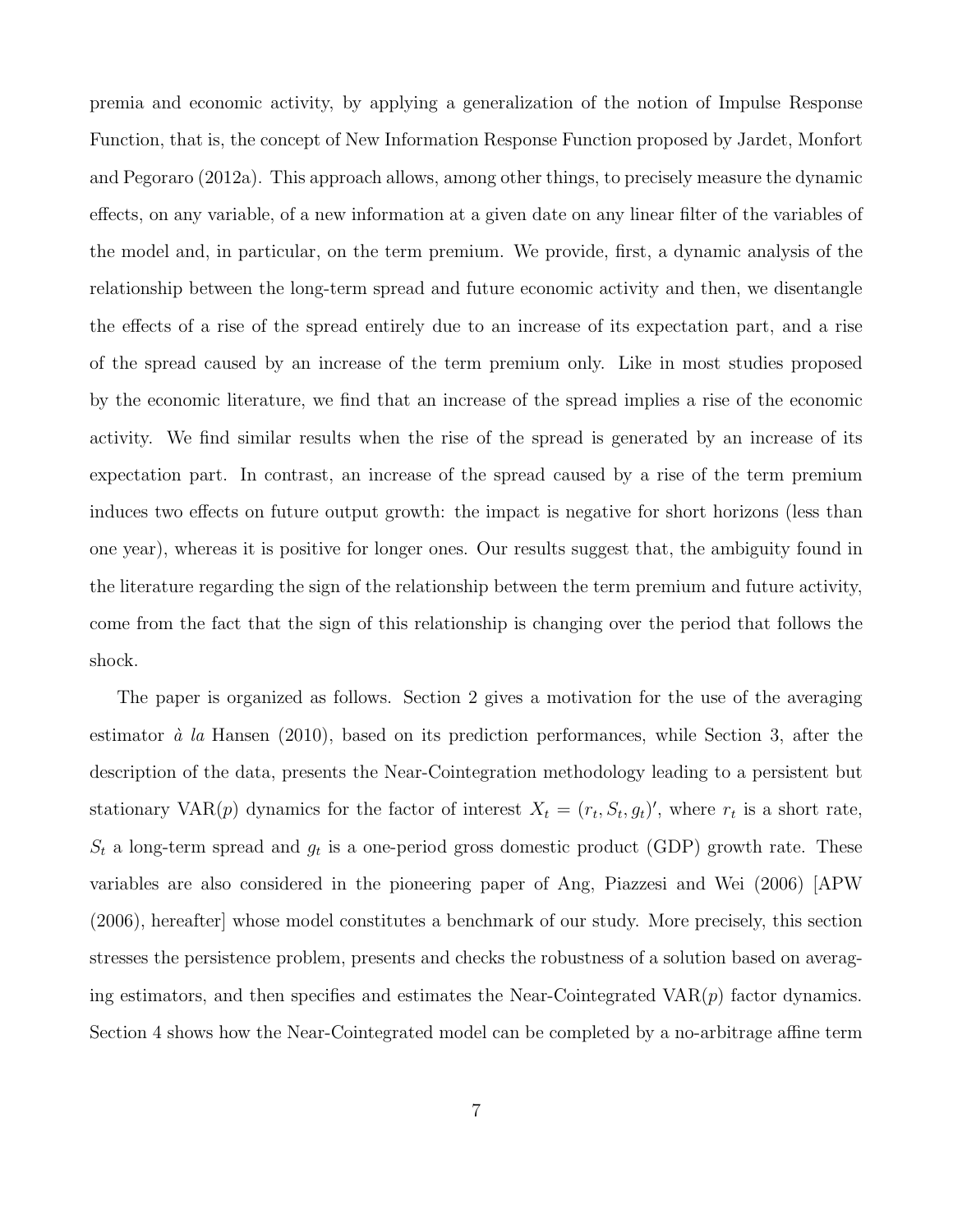premia and economic activity, by applying a generalization of the notion of Impulse Response Function, that is, the concept of New Information Response Function proposed by Jardet, Monfort and Pegoraro (2012a). This approach allows, among other things, to precisely measure the dynamic effects, on any variable, of a new information at a given date on any linear filter of the variables of the model and, in particular, on the term premium. We provide, first, a dynamic analysis of the relationship between the long-term spread and future economic activity and then, we disentangle the effects of a rise of the spread entirely due to an increase of its expectation part, and a rise of the spread caused by an increase of the term premium only. Like in most studies proposed by the economic literature, we find that an increase of the spread implies a rise of the economic activity. We find similar results when the rise of the spread is generated by an increase of its expectation part. In contrast, an increase of the spread caused by a rise of the term premium induces two effects on future output growth: the impact is negative for short horizons (less than one year), whereas it is positive for longer ones. Our results suggest that, the ambiguity found in the literature regarding the sign of the relationship between the term premium and future activity, come from the fact that the sign of this relationship is changing over the period that follows the shock.

The paper is organized as follows. Section 2 gives a motivation for the use of the averaging estimator  $\dot{a}$  la Hansen (2010), based on its prediction performances, while Section 3, after the description of the data, presents the Near-Cointegration methodology leading to a persistent but stationary VAR(p) dynamics for the factor of interest  $X_t = (r_t, S_t, g_t)'$ , where  $r_t$  is a short rate,  $S_t$  a long-term spread and  $g_t$  is a one-period gross domestic product (GDP) growth rate. These variables are also considered in the pioneering paper of Ang, Piazzesi and Wei (2006) [APW (2006), hereafter] whose model constitutes a benchmark of our study. More precisely, this section stresses the persistence problem, presents and checks the robustness of a solution based on averaging estimators, and then specifies and estimates the Near-Cointegrated  $VAR(p)$  factor dynamics. Section 4 shows how the Near-Cointegrated model can be completed by a no-arbitrage affine term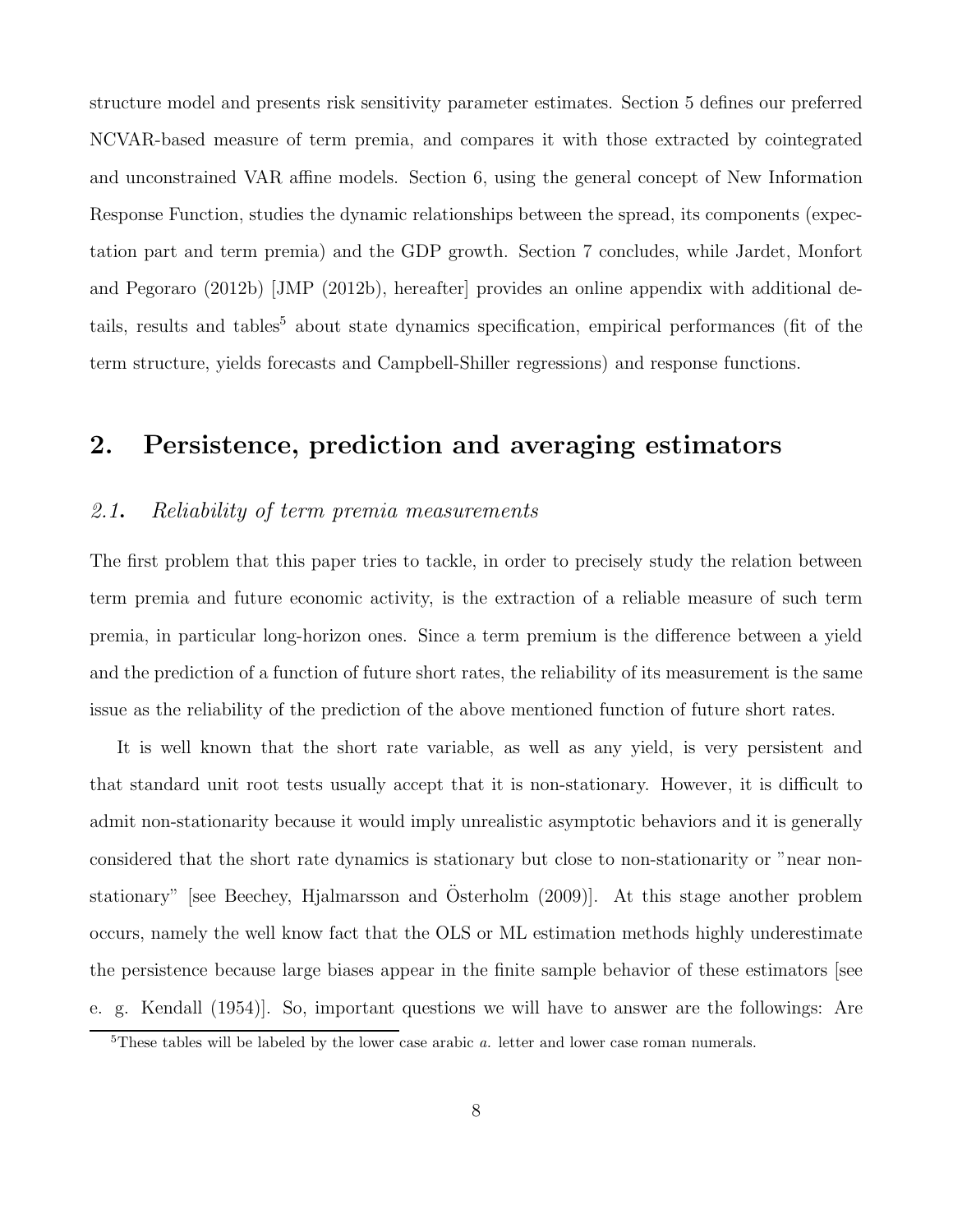structure model and presents risk sensitivity parameter estimates. Section 5 defines our preferred NCVAR-based measure of term premia, and compares it with those extracted by cointegrated and unconstrained VAR affine models. Section 6, using the general concept of New Information Response Function, studies the dynamic relationships between the spread, its components (expectation part and term premia) and the GDP growth. Section 7 concludes, while Jardet, Monfort and Pegoraro (2012b) [JMP (2012b), hereafter] provides an online appendix with additional details, results and tables<sup>5</sup> about state dynamics specification, empirical performances (fit of the term structure, yields forecasts and Campbell-Shiller regressions) and response functions.

# 2. Persistence, prediction and averaging estimators

#### 2.1. Reliability of term premia measurements

The first problem that this paper tries to tackle, in order to precisely study the relation between term premia and future economic activity, is the extraction of a reliable measure of such term premia, in particular long-horizon ones. Since a term premium is the difference between a yield and the prediction of a function of future short rates, the reliability of its measurement is the same issue as the reliability of the prediction of the above mentioned function of future short rates.

It is well known that the short rate variable, as well as any yield, is very persistent and that standard unit root tests usually accept that it is non-stationary. However, it is difficult to admit non-stationarity because it would imply unrealistic asymptotic behaviors and it is generally considered that the short rate dynamics is stationary but close to non-stationarity or "near nonstationary" [see Beechey, Hjalmarsson and Osterholm  $(2009)$ ]. At this stage another problem occurs, namely the well know fact that the OLS or ML estimation methods highly underestimate the persistence because large biases appear in the finite sample behavior of these estimators [see e. g. Kendall (1954)]. So, important questions we will have to answer are the followings: Are

 $5$ These tables will be labeled by the lower case arabic  $a$ . letter and lower case roman numerals.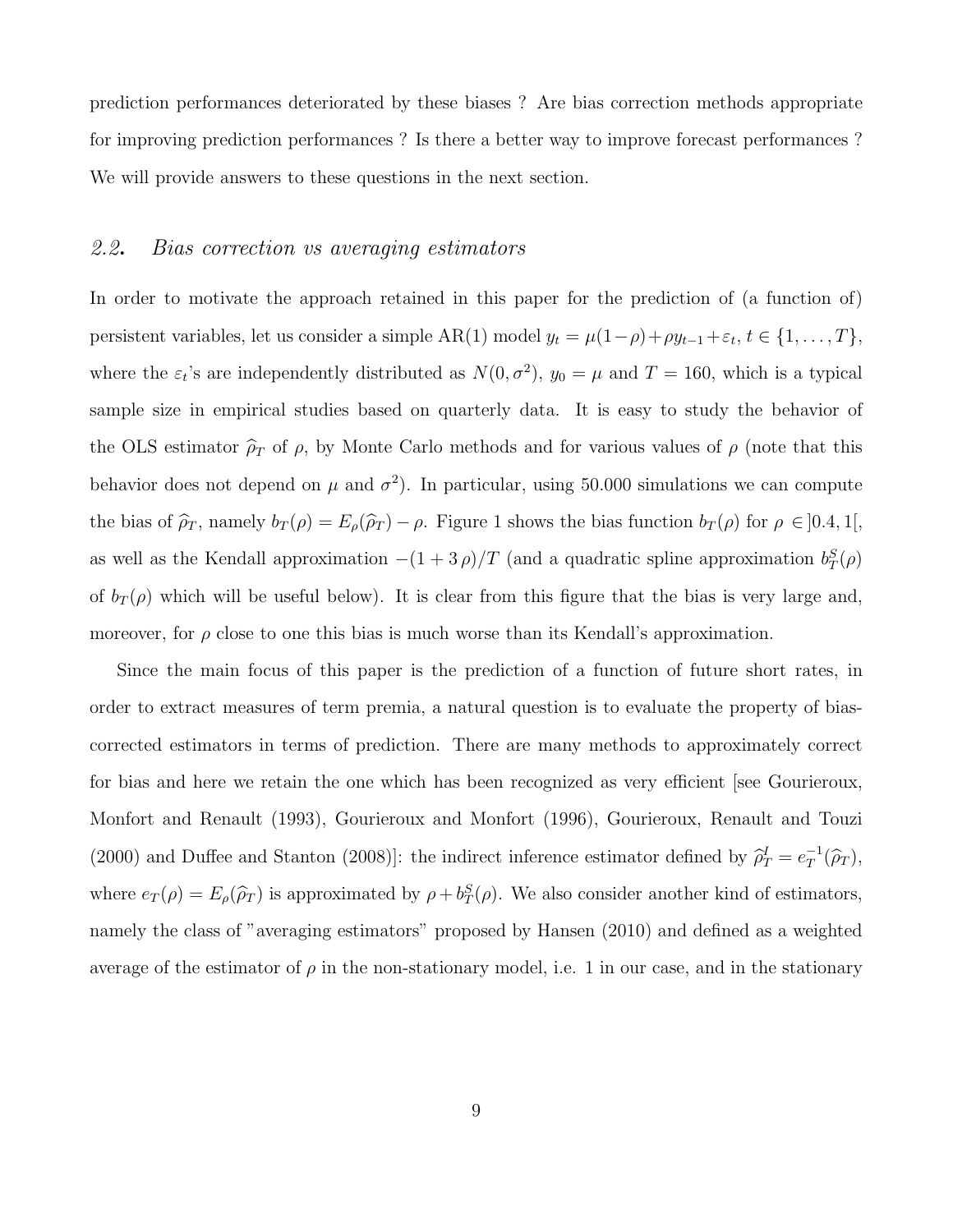prediction performances deteriorated by these biases ? Are bias correction methods appropriate for improving prediction performances ? Is there a better way to improve forecast performances ? We will provide answers to these questions in the next section.

#### 2.2. Bias correction vs averaging estimators

In order to motivate the approach retained in this paper for the prediction of (a function of) persistent variables, let us consider a simple  $AR(1)$  model  $y_t = \mu(1-\rho) + \rho y_{t-1} + \varepsilon_t, t \in \{1, ..., T\},$ where the  $\varepsilon_t$ 's are independently distributed as  $N(0, \sigma^2)$ ,  $y_0 = \mu$  and  $T = 160$ , which is a typical sample size in empirical studies based on quarterly data. It is easy to study the behavior of the OLS estimator  $\hat{\rho}_T$  of  $\rho$ , by Monte Carlo methods and for various values of  $\rho$  (note that this behavior does not depend on  $\mu$  and  $\sigma^2$ ). In particular, using 50.000 simulations we can compute the bias of  $\hat{\rho}_T$ , namely  $b_T(\rho) = E_\rho(\hat{\rho}_T) - \rho$ . Figure 1 shows the bias function  $b_T(\rho)$  for  $\rho \in ]0.4, 1[,$ as well as the Kendall approximation  $-(1+3\rho)/T$  (and a quadratic spline approximation  $b_T^S(\rho)$ of  $b_T(\rho)$  which will be useful below). It is clear from this figure that the bias is very large and, moreover, for  $\rho$  close to one this bias is much worse than its Kendall's approximation.

Since the main focus of this paper is the prediction of a function of future short rates, in order to extract measures of term premia, a natural question is to evaluate the property of biascorrected estimators in terms of prediction. There are many methods to approximately correct for bias and here we retain the one which has been recognized as very efficient [see Gourieroux, Monfort and Renault (1993), Gourieroux and Monfort (1996), Gourieroux, Renault and Touzi (2000) and Duffee and Stanton (2008)]: the indirect inference estimator defined by  $\hat{\rho}_T^I = e_T^{-1}$  $T^1(\widehat{\rho}_T),$ where  $e_T(\rho) = E_\rho(\hat{\rho}_T)$  is approximated by  $\rho + b_T^S(\rho)$ . We also consider another kind of estimators, namely the class of "averaging estimators" proposed by Hansen (2010) and defined as a weighted average of the estimator of  $\rho$  in the non-stationary model, i.e. 1 in our case, and in the stationary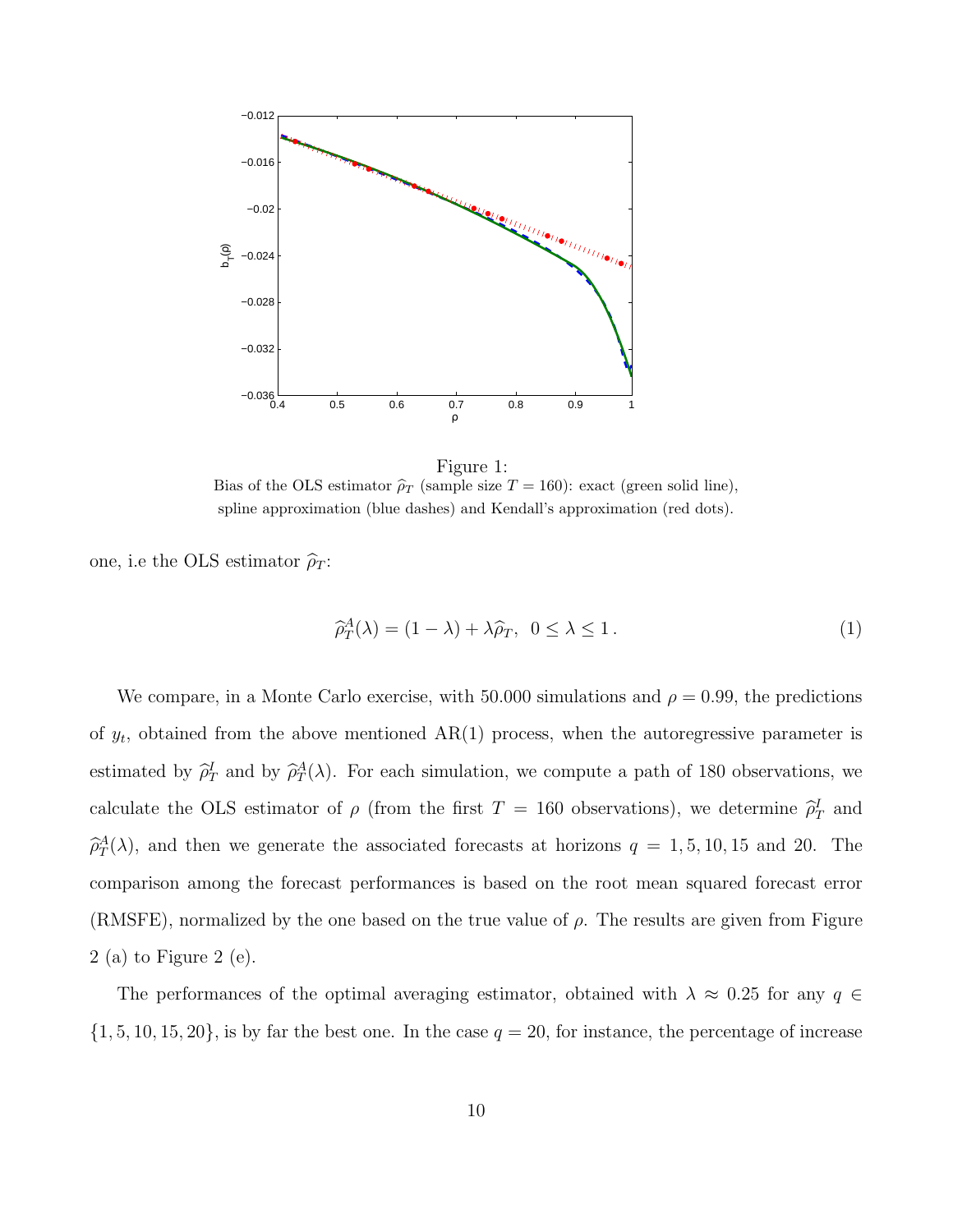

Figure 1: Bias of the OLS estimator  $\hat{\rho}_T$  (sample size  $T = 160$ ): exact (green solid line), spline approximation (blue dashes) and Kendall's approximation (red dots).

one, i.e the OLS estimator  $\hat{\rho}_T$ :

$$
\widehat{\rho}_T^A(\lambda) = (1 - \lambda) + \lambda \widehat{\rho}_T, \ \ 0 \le \lambda \le 1. \tag{1}
$$

We compare, in a Monte Carlo exercise, with 50.000 simulations and  $\rho = 0.99$ , the predictions of  $y_t$ , obtained from the above mentioned  $AR(1)$  process, when the autoregressive parameter is estimated by  $\hat{\rho}_T^I$  and by  $\hat{\rho}_T^A(\lambda)$ . For each simulation, we compute a path of 180 observations, we calculate the OLS estimator of  $\rho$  (from the first  $T = 160$  observations), we determine  $\hat{\rho}_T^I$  and  $\hat{\rho}_T^A(\lambda)$ , and then we generate the associated forecasts at horizons  $q = 1, 5, 10, 15$  and 20. The comparison among the forecast performances is based on the root mean squared forecast error (RMSFE), normalized by the one based on the true value of  $\rho$ . The results are given from Figure 2 (a) to Figure 2 (e).

The performances of the optimal averaging estimator, obtained with  $\lambda \approx 0.25$  for any  $q \in$  $\{1, 5, 10, 15, 20\}$ , is by far the best one. In the case  $q = 20$ , for instance, the percentage of increase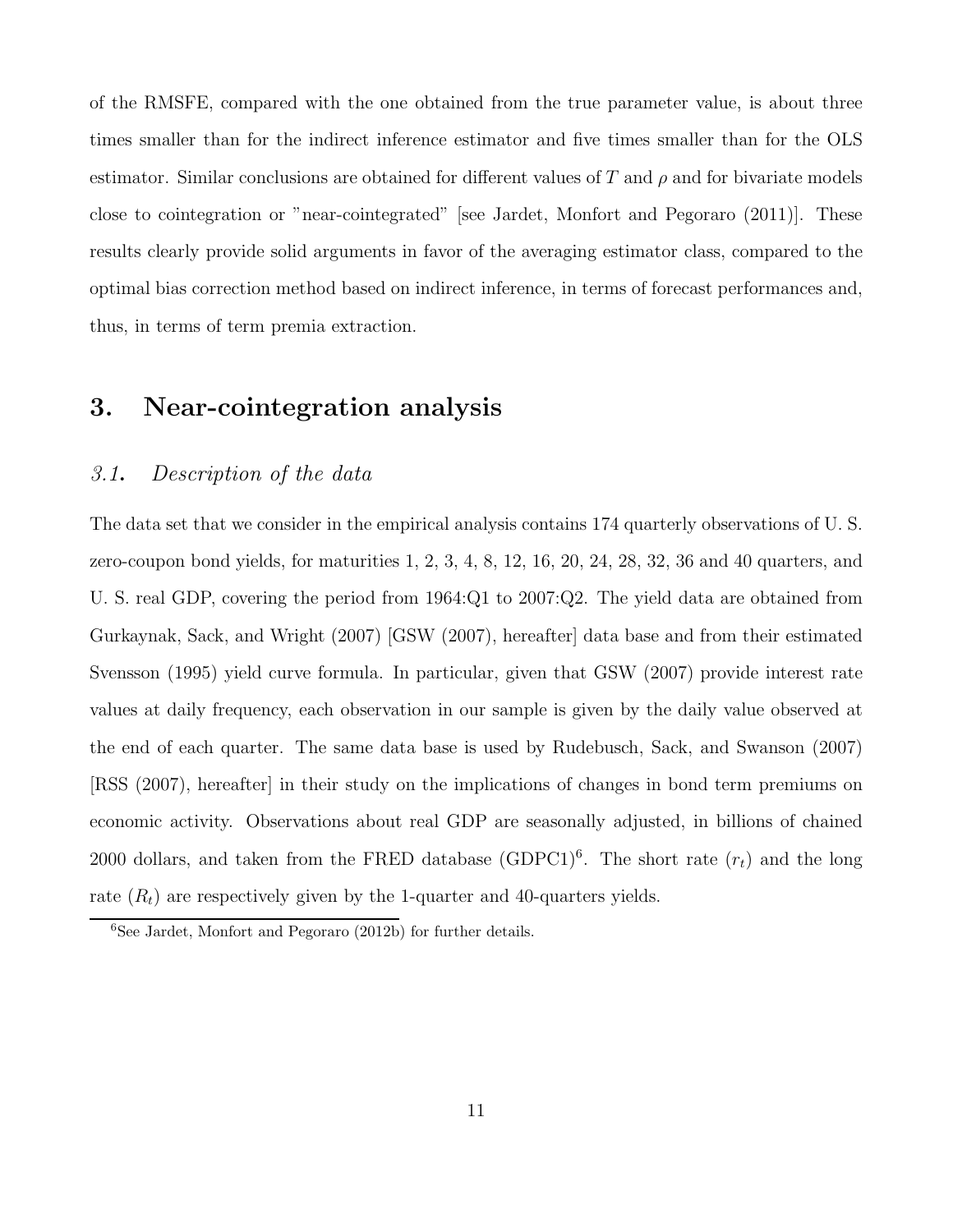of the RMSFE, compared with the one obtained from the true parameter value, is about three times smaller than for the indirect inference estimator and five times smaller than for the OLS estimator. Similar conclusions are obtained for different values of T and  $\rho$  and for bivariate models close to cointegration or "near-cointegrated" [see Jardet, Monfort and Pegoraro (2011)]. These results clearly provide solid arguments in favor of the averaging estimator class, compared to the optimal bias correction method based on indirect inference, in terms of forecast performances and, thus, in terms of term premia extraction.

# 3. Near-cointegration analysis

#### 3.1. Description of the data

The data set that we consider in the empirical analysis contains 174 quarterly observations of U. S. zero-coupon bond yields, for maturities 1, 2, 3, 4, 8, 12, 16, 20, 24, 28, 32, 36 and 40 quarters, and U. S. real GDP, covering the period from 1964:Q1 to 2007:Q2. The yield data are obtained from Gurkaynak, Sack, and Wright (2007) [GSW (2007), hereafter] data base and from their estimated Svensson (1995) yield curve formula. In particular, given that GSW (2007) provide interest rate values at daily frequency, each observation in our sample is given by the daily value observed at the end of each quarter. The same data base is used by Rudebusch, Sack, and Swanson (2007) [RSS (2007), hereafter] in their study on the implications of changes in bond term premiums on economic activity. Observations about real GDP are seasonally adjusted, in billions of chained 2000 dollars, and taken from the FRED database  $(GDPC1)^6$ . The short rate  $(r_t)$  and the long rate  $(R_t)$  are respectively given by the 1-quarter and 40-quarters yields.

 ${}^{6}$ See Jardet, Monfort and Pegoraro (2012b) for further details.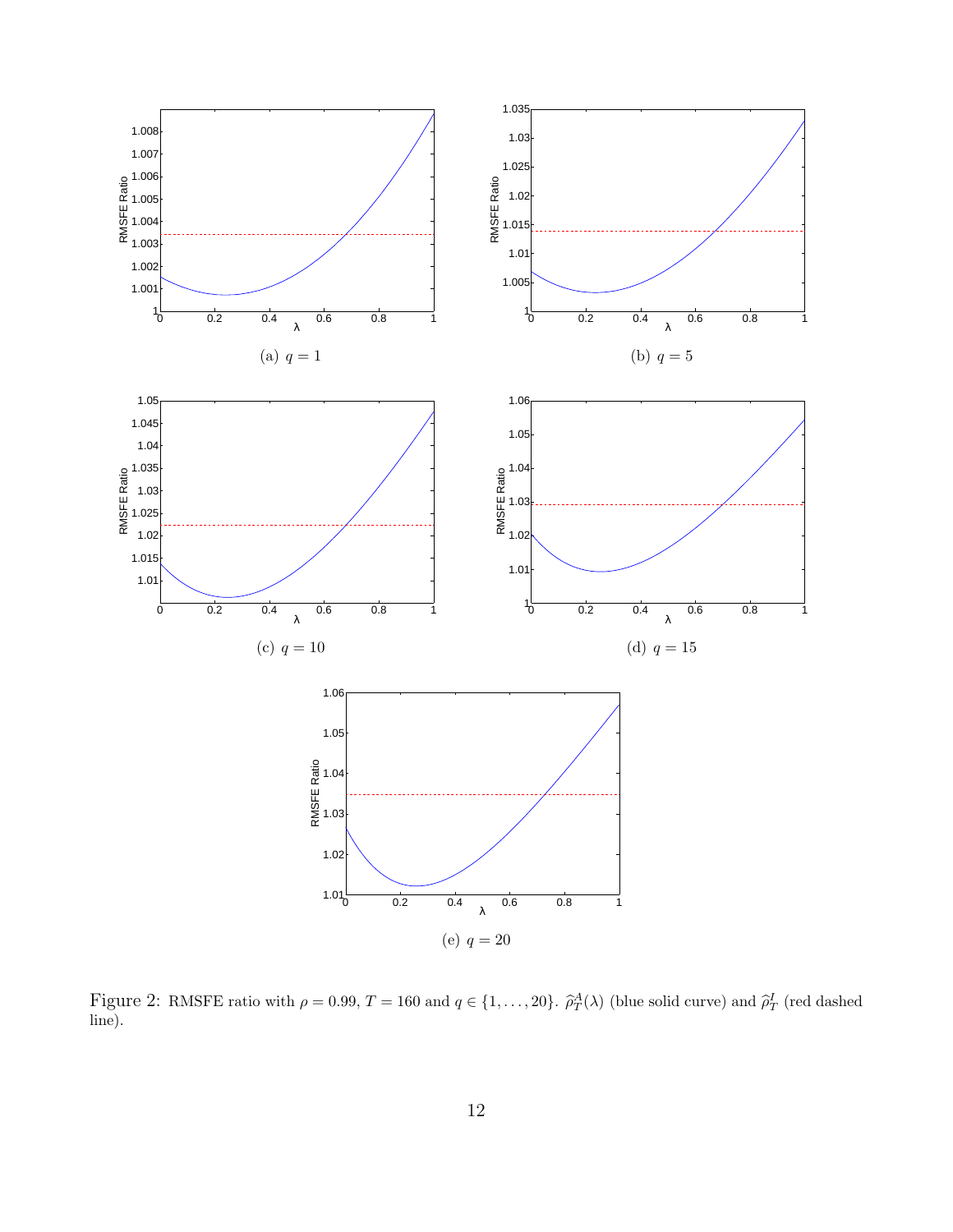

Figure 2: RMSFE ratio with  $\rho = 0.99$ ,  $T = 160$  and  $q \in \{1, \ldots, 20\}$ .  $\hat{\rho}_T^A(\lambda)$  (blue solid curve) and  $\hat{\rho}_T^I$  (red dashed line).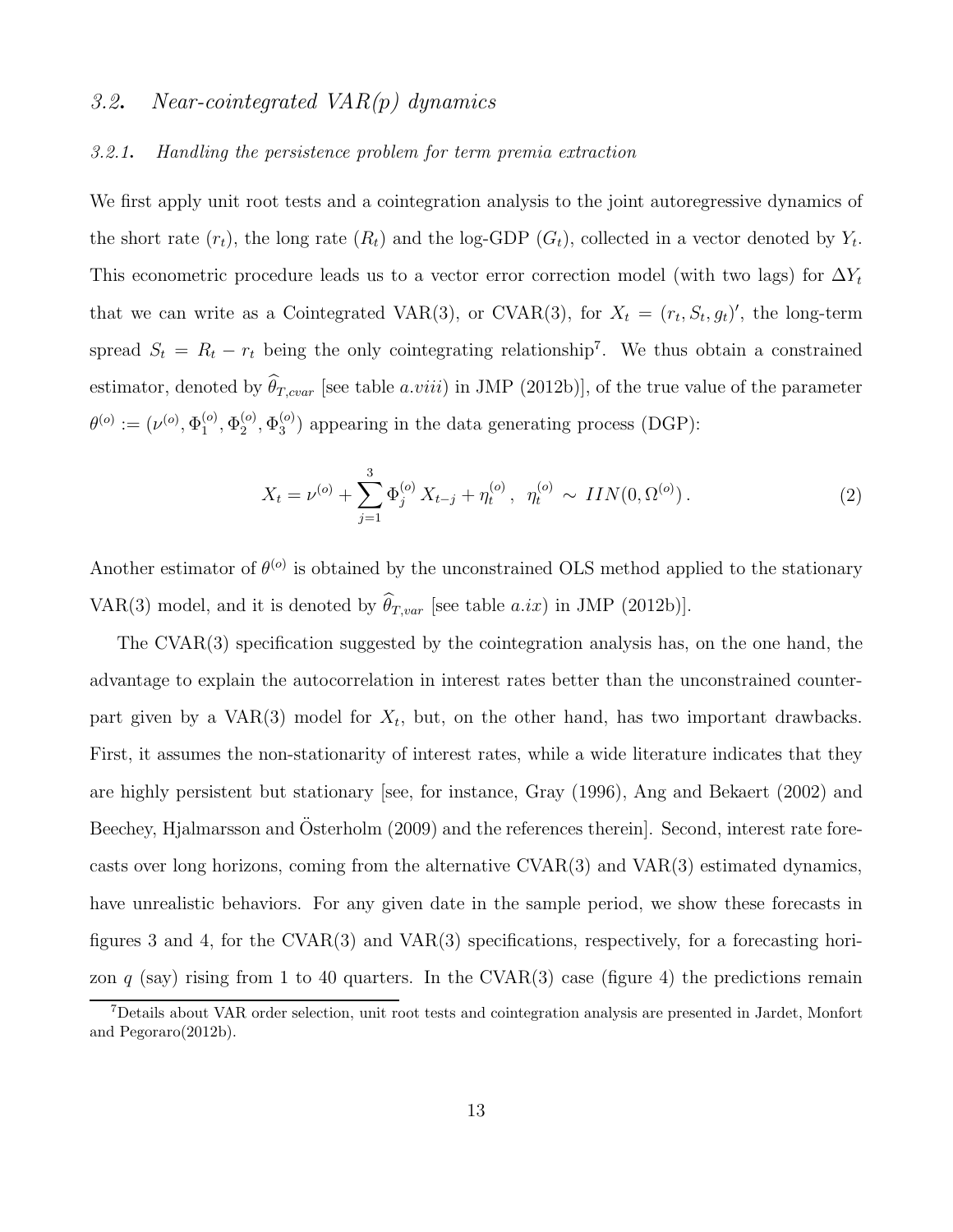#### 3.2. Near-cointegrated  $VAR(p)$  dynamics

#### 3.2.1. Handling the persistence problem for term premia extraction

We first apply unit root tests and a cointegration analysis to the joint autoregressive dynamics of the short rate  $(r_t)$ , the long rate  $(R_t)$  and the log-GDP  $(G_t)$ , collected in a vector denoted by  $Y_t$ . This econometric procedure leads us to a vector error correction model (with two lags) for  $\Delta Y_t$ that we can write as a Cointegrated VAR(3), or CVAR(3), for  $X_t = (r_t, S_t, g_t)'$ , the long-term spread  $S_t = R_t - r_t$  being the only cointegrating relationship<sup>7</sup>. We thus obtain a constrained estimator, denoted by  $\widehat{\theta}_{T,cvar}$  [see table a.viii) in JMP (2012b)], of the true value of the parameter  $\theta^{(o)}:=(\nu^{(o)},\Phi_1^{(o)}$  $_1^{\left( o \right)},\Phi _2^{\left( o \right)}$  $\mathop{\Phi_2^{(o)}}\limits^{\left(o\right)}\nolimits,\Phi_3^{(o)}$  $_3^{(0)}$ ) appearing in the data generating process (DGP):

$$
X_t = \nu^{(o)} + \sum_{j=1}^3 \Phi_j^{(o)} X_{t-j} + \eta_t^{(o)}, \ \ \eta_t^{(o)} \sim \ IIN(0, \Omega^{(o)}).
$$
 (2)

Another estimator of  $\theta^{(o)}$  is obtained by the unconstrained OLS method applied to the stationary VAR(3) model, and it is denoted by  $\widehat{\theta}_{T, var}$  [see table a.ix) in JMP (2012b)].

The CVAR(3) specification suggested by the cointegration analysis has, on the one hand, the advantage to explain the autocorrelation in interest rates better than the unconstrained counterpart given by a VAR(3) model for  $X_t$ , but, on the other hand, has two important drawbacks. First, it assumes the non-stationarity of interest rates, while a wide literature indicates that they are highly persistent but stationary [see, for instance, Gray (1996), Ang and Bekaert (2002) and Beechey, Hjalmarsson and Osterholm (2009) and the references therein. Second, interest rate forecasts over long horizons, coming from the alternative CVAR(3) and VAR(3) estimated dynamics, have unrealistic behaviors. For any given date in the sample period, we show these forecasts in figures 3 and 4, for the CVAR(3) and VAR(3) specifications, respectively, for a forecasting horizon q (say) rising from 1 to 40 quarters. In the CVAR(3) case (figure 4) the predictions remain

<sup>7</sup>Details about VAR order selection, unit root tests and cointegration analysis are presented in Jardet, Monfort and Pegoraro(2012b).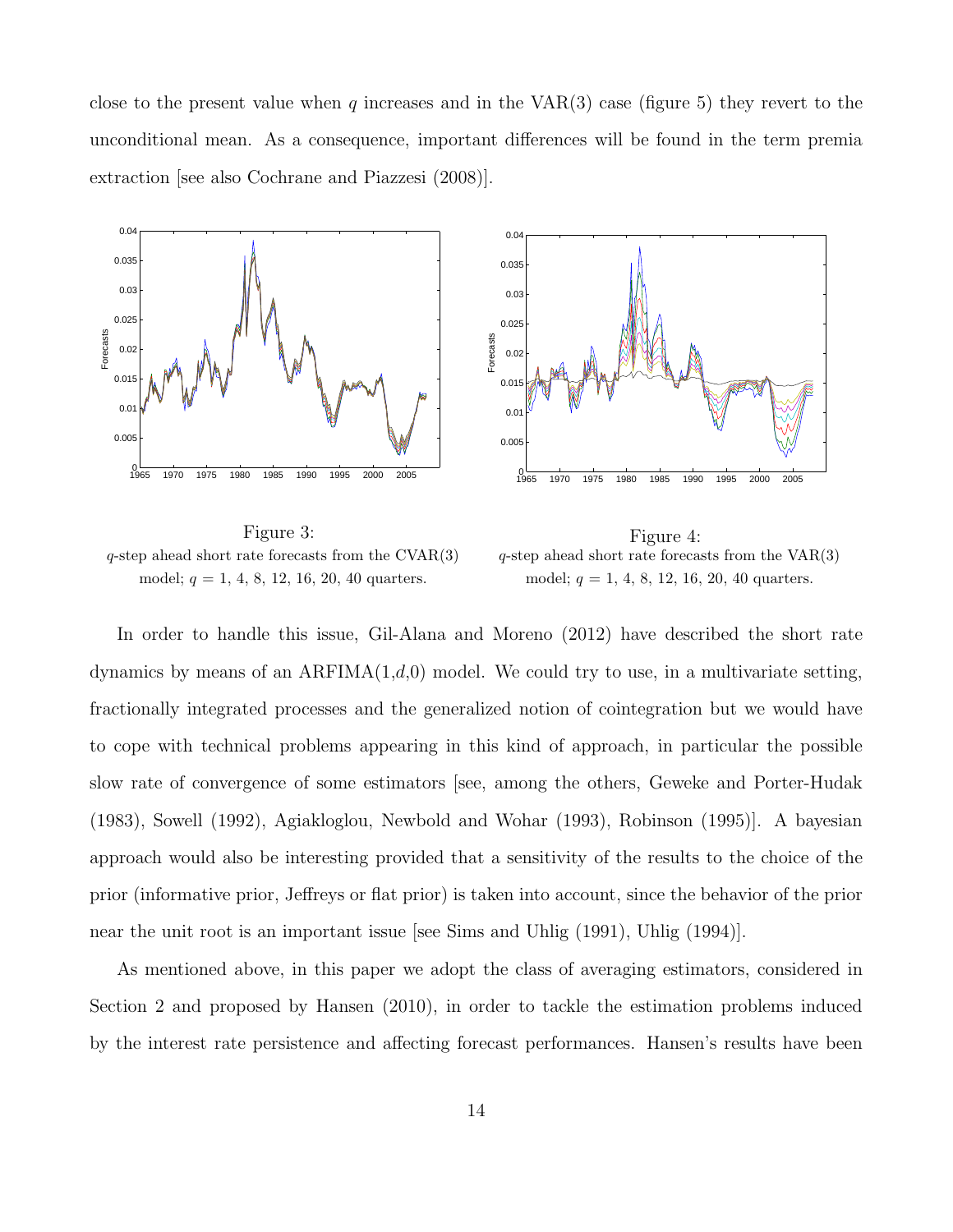close to the present value when q increases and in the  $VAR(3)$  case (figure 5) they revert to the unconditional mean. As a consequence, important differences will be found in the term premia extraction [see also Cochrane and Piazzesi (2008)].



Figure 3:  $q$ -step ahead short rate forecasts from the CVAR $(3)$ model;  $q = 1, 4, 8, 12, 16, 20, 40$  quarters.

Figure 4:  $q$ -step ahead short rate forecasts from the  $VAR(3)$ model;  $q = 1, 4, 8, 12, 16, 20, 40$  quarters.

In order to handle this issue, Gil-Alana and Moreno (2012) have described the short rate dynamics by means of an  $ARFIMA(1,d,0)$  model. We could try to use, in a multivariate setting, fractionally integrated processes and the generalized notion of cointegration but we would have to cope with technical problems appearing in this kind of approach, in particular the possible slow rate of convergence of some estimators [see, among the others, Geweke and Porter-Hudak (1983), Sowell (1992), Agiakloglou, Newbold and Wohar (1993), Robinson (1995)]. A bayesian approach would also be interesting provided that a sensitivity of the results to the choice of the prior (informative prior, Jeffreys or flat prior) is taken into account, since the behavior of the prior near the unit root is an important issue [see Sims and Uhlig (1991), Uhlig (1994)].

As mentioned above, in this paper we adopt the class of averaging estimators, considered in Section 2 and proposed by Hansen (2010), in order to tackle the estimation problems induced by the interest rate persistence and affecting forecast performances. Hansen's results have been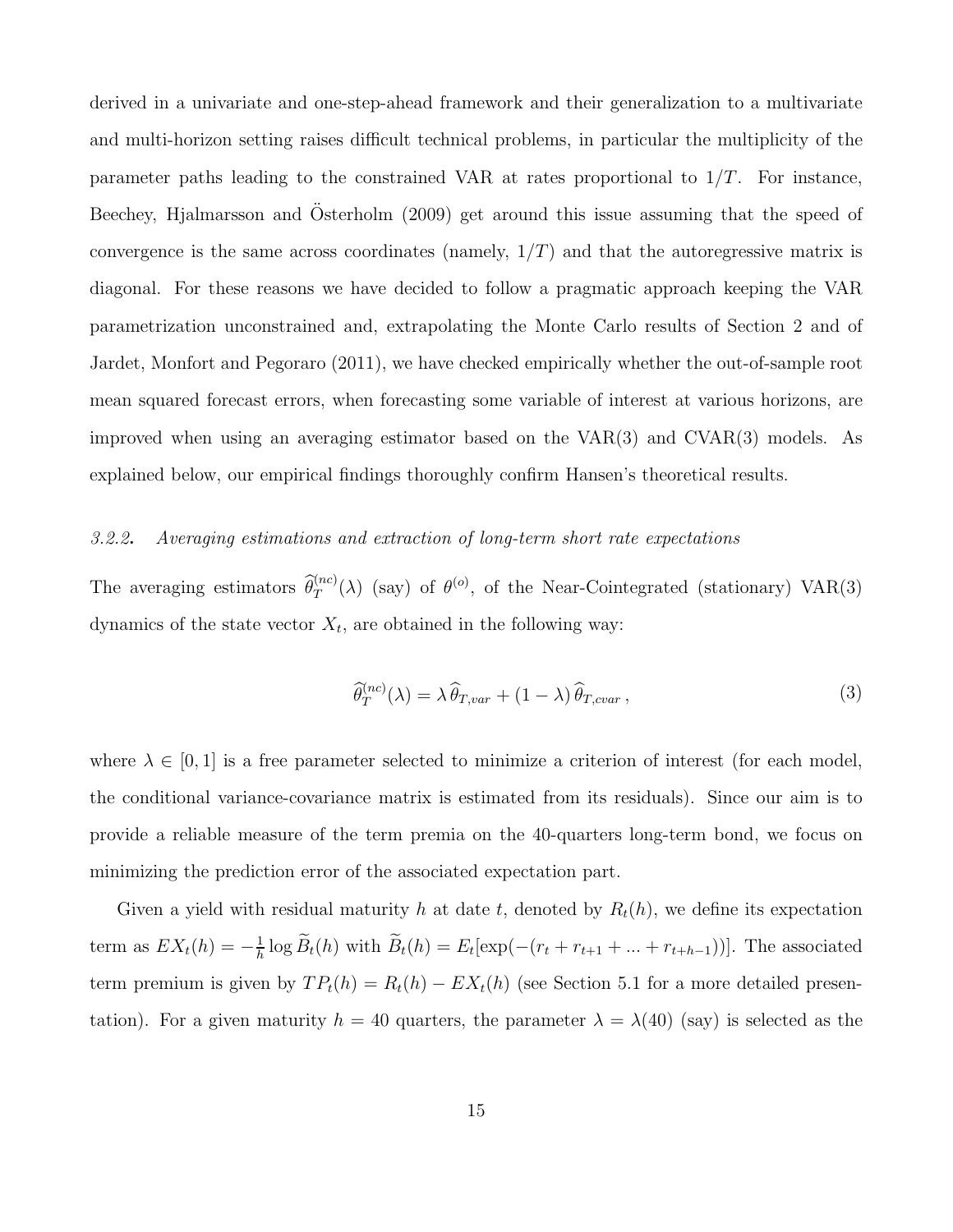derived in a univariate and one-step-ahead framework and their generalization to a multivariate and multi-horizon setting raises difficult technical problems, in particular the multiplicity of the parameter paths leading to the constrained VAR at rates proportional to  $1/T$ . For instance, Beechey, Hjalmarsson and Osterholm (2009) get around this issue assuming that the speed of convergence is the same across coordinates (namely,  $1/T$ ) and that the autoregressive matrix is diagonal. For these reasons we have decided to follow a pragmatic approach keeping the VAR parametrization unconstrained and, extrapolating the Monte Carlo results of Section 2 and of Jardet, Monfort and Pegoraro (2011), we have checked empirically whether the out-of-sample root mean squared forecast errors, when forecasting some variable of interest at various horizons, are improved when using an averaging estimator based on the VAR(3) and CVAR(3) models. As explained below, our empirical findings thoroughly confirm Hansen's theoretical results.

#### 3.2.2. Averaging estimations and extraction of long-term short rate expectations

The averaging estimators  $\hat{\theta}_T^{(nc)}(\lambda)$  (say) of  $\theta^{(o)}$ , of the Near-Cointegrated (stationary) VAR(3) dynamics of the state vector  $X_t$ , are obtained in the following way:

$$
\widehat{\theta}_T^{(nc)}(\lambda) = \lambda \widehat{\theta}_{T, var} + (1 - \lambda) \widehat{\theta}_{T, cov} \,, \tag{3}
$$

where  $\lambda \in [0, 1]$  is a free parameter selected to minimize a criterion of interest (for each model, the conditional variance-covariance matrix is estimated from its residuals). Since our aim is to provide a reliable measure of the term premia on the 40-quarters long-term bond, we focus on minimizing the prediction error of the associated expectation part.

Given a yield with residual maturity h at date t, denoted by  $R_t(h)$ , we define its expectation term as  $EX_t(h) = -\frac{1}{h}$  $\frac{1}{h} \log B_t(h)$  with  $B_t(h) = E_t[ \exp(-(r_t + r_{t+1} + ... + r_{t+h-1}))].$  The associated term premium is given by  $TP_t(h) = R_t(h) - EX_t(h)$  (see Section 5.1 for a more detailed presentation). For a given maturity  $h = 40$  quarters, the parameter  $\lambda = \lambda(40)$  (say) is selected as the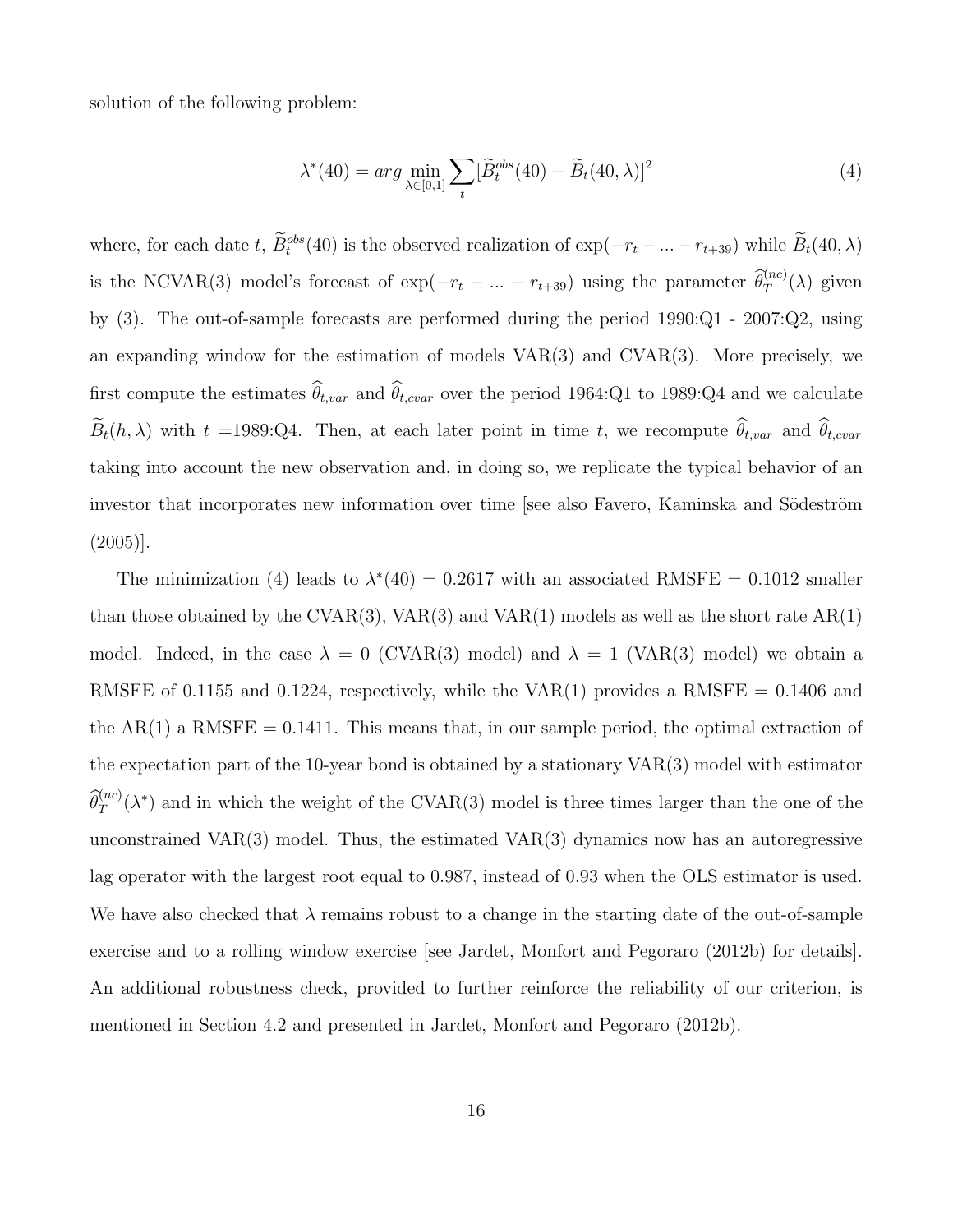solution of the following problem:

$$
\lambda^*(40) = \arg\min_{\lambda \in [0,1]} \sum_t [\widetilde{B}_t^{obs}(40) - \widetilde{B}_t(40,\lambda)]^2 \tag{4}
$$

where, for each date t,  $\hat{B}_t^{obs}(40)$  is the observed realization of  $\exp(-r_t - ... - r_{t+39})$  while  $\hat{B}_t(40,\lambda)$ is the NCVAR(3) model's forecast of  $\exp(-r_t - ... - r_{t+39})$  using the parameter  $\widehat{\theta}_T^{(nc)}(\lambda)$  given by (3). The out-of-sample forecasts are performed during the period 1990:Q1 - 2007:Q2, using an expanding window for the estimation of models  $VAR(3)$  and  $CVAR(3)$ . More precisely, we first compute the estimates  $\theta_{t, var}$  and  $\theta_{t, var}$  over the period 1964:Q1 to 1989:Q4 and we calculate  $B_t(h, \lambda)$  with  $t = 1989$ :Q4. Then, at each later point in time t, we recompute  $\theta_{t, var}$  and  $\theta_{t, var}$ taking into account the new observation and, in doing so, we replicate the typical behavior of an investor that incorporates new information over time [see also Favero, Kaminska and Södeström (2005)].

The minimization (4) leads to  $\lambda^*(40) = 0.2617$  with an associated RMSFE = 0.1012 smaller than those obtained by the CVAR(3), VAR(3) and VAR(1) models as well as the short rate  $AR(1)$ model. Indeed, in the case  $\lambda = 0$  (CVAR(3) model) and  $\lambda = 1$  (VAR(3) model) we obtain a RMSFE of 0.1155 and 0.1224, respectively, while the VAR(1) provides a RMSFE =  $0.1406$  and the  $AR(1)$  a RMSFE = 0.1411. This means that, in our sample period, the optimal extraction of the expectation part of the 10-year bond is obtained by a stationary VAR(3) model with estimator  $\hat{\theta}_T^{(nc)}(\lambda^*)$  and in which the weight of the CVAR(3) model is three times larger than the one of the unconstrained VAR $(3)$  model. Thus, the estimated VAR $(3)$  dynamics now has an autoregressive lag operator with the largest root equal to 0.987, instead of 0.93 when the OLS estimator is used. We have also checked that  $\lambda$  remains robust to a change in the starting date of the out-of-sample exercise and to a rolling window exercise [see Jardet, Monfort and Pegoraro (2012b) for details]. An additional robustness check, provided to further reinforce the reliability of our criterion, is mentioned in Section 4.2 and presented in Jardet, Monfort and Pegoraro (2012b).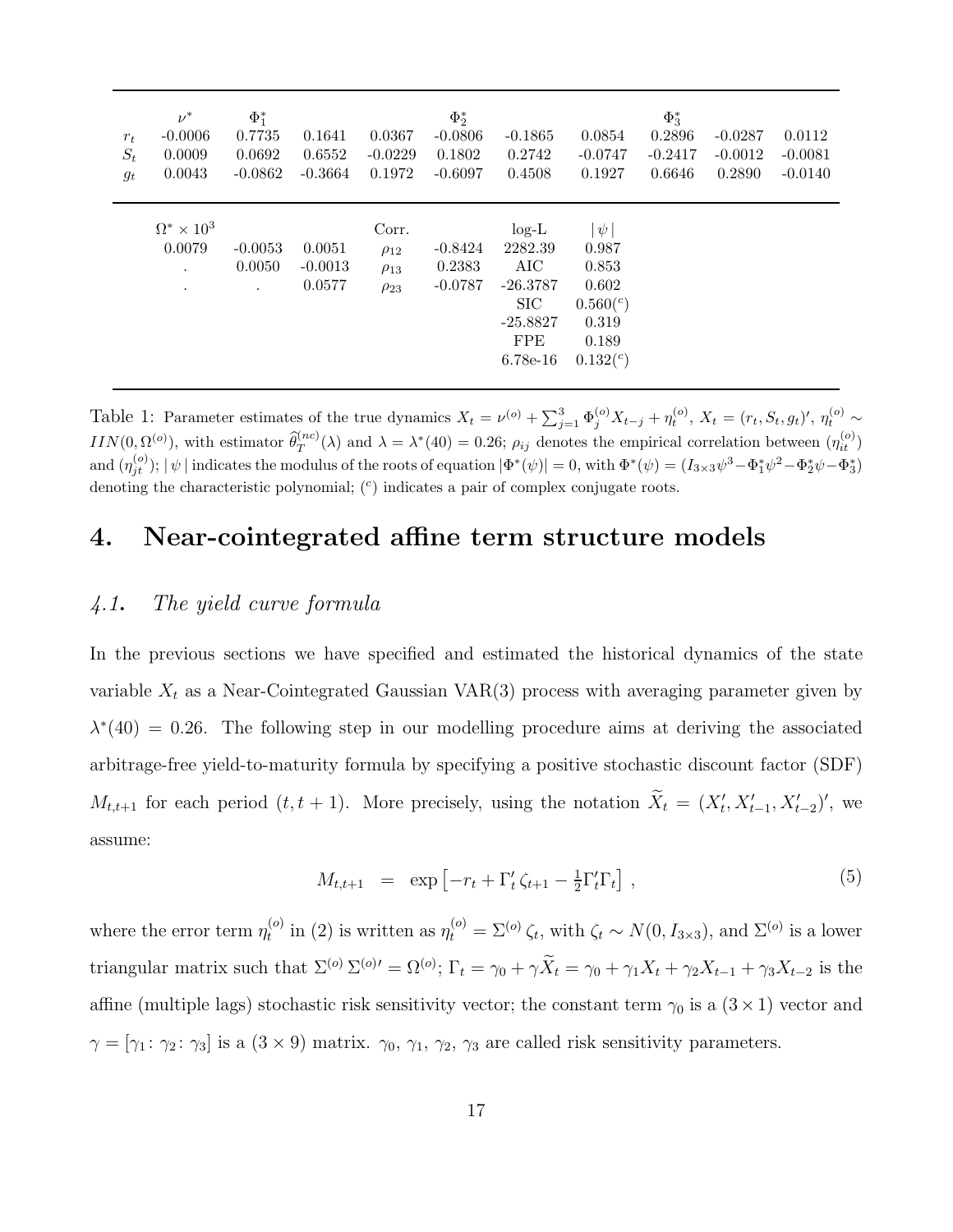| $r_t$<br>$S_t$<br>$g_t$ | $\nu^*$<br>$-0.0006$<br>0.0009<br>0.0043    | $\Phi_1^*$<br>0.7735<br>0.0692<br>$-0.0862$ | 0.1641<br>0.6552<br>$-0.3664$ | 0.0367<br>$-0.0229$<br>0.1972                      | $\Phi_2^*$<br>$-0.0806$<br>0.1802<br>$-0.6097$ | $-0.1865$<br>0.2742<br>0.4508                                                            | 0.0854<br>$-0.0747$<br>0.1927                                                     | $\Phi_3^*$<br>0.2896<br>$-0.2417$<br>0.6646 | $-0.0287$<br>$-0.0012$<br>0.2890 | 0.0112<br>$-0.0081$<br>$-0.0140$ |
|-------------------------|---------------------------------------------|---------------------------------------------|-------------------------------|----------------------------------------------------|------------------------------------------------|------------------------------------------------------------------------------------------|-----------------------------------------------------------------------------------|---------------------------------------------|----------------------------------|----------------------------------|
|                         | $\Omega^* \times 10^3$<br>0.0079<br>$\cdot$ | $-0.0053$<br>0.0050<br>$\cdot$              | 0.0051<br>$-0.0013$<br>0.0577 | Corr.<br>$\rho_{12}$<br>$\rho_{13}$<br>$\rho_{23}$ | $-0.8424$<br>0.2383<br>$-0.0787$               | $log-L$<br>2282.39<br>AIC<br>$-26.3787$<br>SIC<br>$-25.8827$<br><b>FPE</b><br>$6.78e-16$ | $\psi$<br>0.987<br>0.853<br>0.602<br>$0.560(^c)$<br>0.319<br>0.189<br>$0.132^{c}$ |                                             |                                  |                                  |

Table 1: Parameter estimates of the true dynamics  $X_t = \nu^{(o)} + \sum_{j=1}^3 \Phi_j^{(o)} X_{t-j} + \eta_t^{(o)}, X_t = (r_t, S_t, g_t)'$ ,  $\eta_t^{(o)} \sim$  $IIN(0, \Omega^{(o)})$ , with estimator  $\widehat{\theta}_T^{(nc)}(\lambda)$  and  $\lambda = \lambda^*(40) = 0.26$ ;  $\rho_{ij}$  denotes the empirical correlation between  $(\eta_{it}^{(o)})$ and  $(\eta_{jt}^{(o)}); |\psi|$  indicates the modulus of the roots of equation  $|\Phi^*(\psi)| = 0$ , with  $\Phi^*(\psi) = (I_{3\times 3}\psi^3 - \Phi_1^*\psi^2 - \Phi_2^*\psi - \Phi_3^*)$ denoting the characteristic polynomial;  $($ <sup>c</sup> $)$  indicates a pair of complex conjugate roots.

# 4. Near-cointegrated affine term structure models

#### 4.1. The yield curve formula

In the previous sections we have specified and estimated the historical dynamics of the state variable  $X_t$  as a Near-Cointegrated Gaussian VAR(3) process with averaging parameter given by  $\lambda^*(40) = 0.26$ . The following step in our modelling procedure aims at deriving the associated arbitrage-free yield-to-maturity formula by specifying a positive stochastic discount factor (SDF)  $M_{t,t+1}$  for each period  $(t, t+1)$ . More precisely, using the notation  $\widetilde{X}_t = (X'_t, X'_{t-1}, X'_{t-2})'$ , we assume:

$$
M_{t,t+1} = \exp\left[-r_t + \Gamma'_t \zeta_{t+1} - \frac{1}{2} \Gamma'_t \Gamma_t\right],\tag{5}
$$

where the error term  $\eta_t^{(o)}$ <sup>(o)</sup> in (2) is written as  $\eta_t^{(o)} = \Sigma^{(o)} \zeta_t$ , with  $\zeta_t \sim N(0, I_{3 \times 3})$ , and  $\Sigma^{(o)}$  is a lower triangular matrix such that  $\Sigma^{(o)} \Sigma^{(o)} = \Omega^{(o)}$ ;  $\Gamma_t = \gamma_0 + \gamma \tilde{X}_t = \gamma_0 + \gamma_1 X_t + \gamma_2 X_{t-1} + \gamma_3 X_{t-2}$  is the affine (multiple lags) stochastic risk sensitivity vector; the constant term  $\gamma_0$  is a  $(3 \times 1)$  vector and  $\gamma = [\gamma_1 : \gamma_2 : \gamma_3]$  is a  $(3 \times 9)$  matrix.  $\gamma_0, \gamma_1, \gamma_2, \gamma_3$  are called risk sensitivity parameters.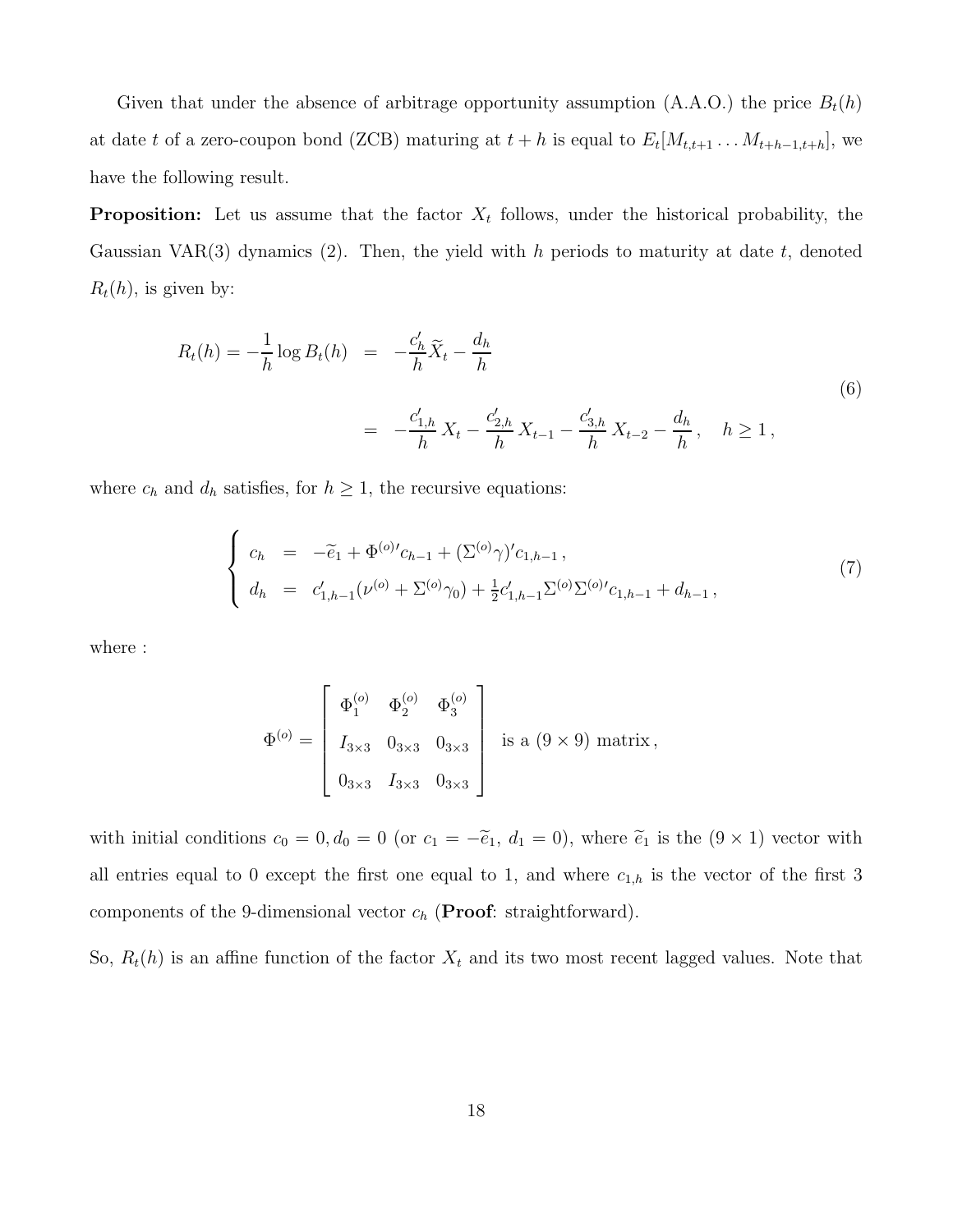Given that under the absence of arbitrage opportunity assumption (A.A.O.) the price  $B_t(h)$ at date t of a zero-coupon bond (ZCB) maturing at  $t + h$  is equal to  $E_t[M_{t,t+1} \ldots M_{t+h-1,t+h}]$ , we have the following result.

**Proposition:** Let us assume that the factor  $X_t$  follows, under the historical probability, the Gaussian VAR(3) dynamics (2). Then, the yield with h periods to maturity at date t, denoted  $R_t(h)$ , is given by:

$$
R_t(h) = -\frac{1}{h} \log B_t(h) = -\frac{c'_h}{h} \widetilde{X}_t - \frac{d_h}{h}
$$
  
= 
$$
-\frac{c'_{1,h}}{h} X_t - \frac{c'_{2,h}}{h} X_{t-1} - \frac{c'_{3,h}}{h} X_{t-2} - \frac{d_h}{h}, \quad h \ge 1,
$$
 (6)

where  $c_h$  and  $d_h$  satisfies, for  $h \geq 1$ , the recursive equations:

$$
\begin{cases}\nc_h = -\tilde{e}_1 + \Phi^{(o)}c_{h-1} + (\Sigma^{(o)}\gamma)'c_{1,h-1}, \\
d_h = c'_{1,h-1}(\nu^{(o)} + \Sigma^{(o)}\gamma_0) + \frac{1}{2}c'_{1,h-1}\Sigma^{(o)}\Sigma^{(o)}c_{1,h-1} + d_{h-1},\n\end{cases} (7)
$$

where :

$$
\Phi^{(o)} = \begin{bmatrix} \Phi_1^{(o)} & \Phi_2^{(o)} & \Phi_3^{(o)} \\ & I_{3\times 3} & 0_{3\times 3} & 0_{3\times 3} \\ & 0_{3\times 3} & I_{3\times 3} & 0_{3\times 3} \end{bmatrix} \text{ is a } (9 \times 9) \text{ matrix},
$$

with initial conditions  $c_0 = 0, d_0 = 0$  (or  $c_1 = -\tilde{e}_1, d_1 = 0$ ), where  $\tilde{e}_1$  is the  $(9 \times 1)$  vector with all entries equal to 0 except the first one equal to 1, and where  $c_{1,h}$  is the vector of the first 3 components of the 9-dimensional vector  $c_h$  (**Proof**: straightforward).

So,  $R_t(h)$  is an affine function of the factor  $X_t$  and its two most recent lagged values. Note that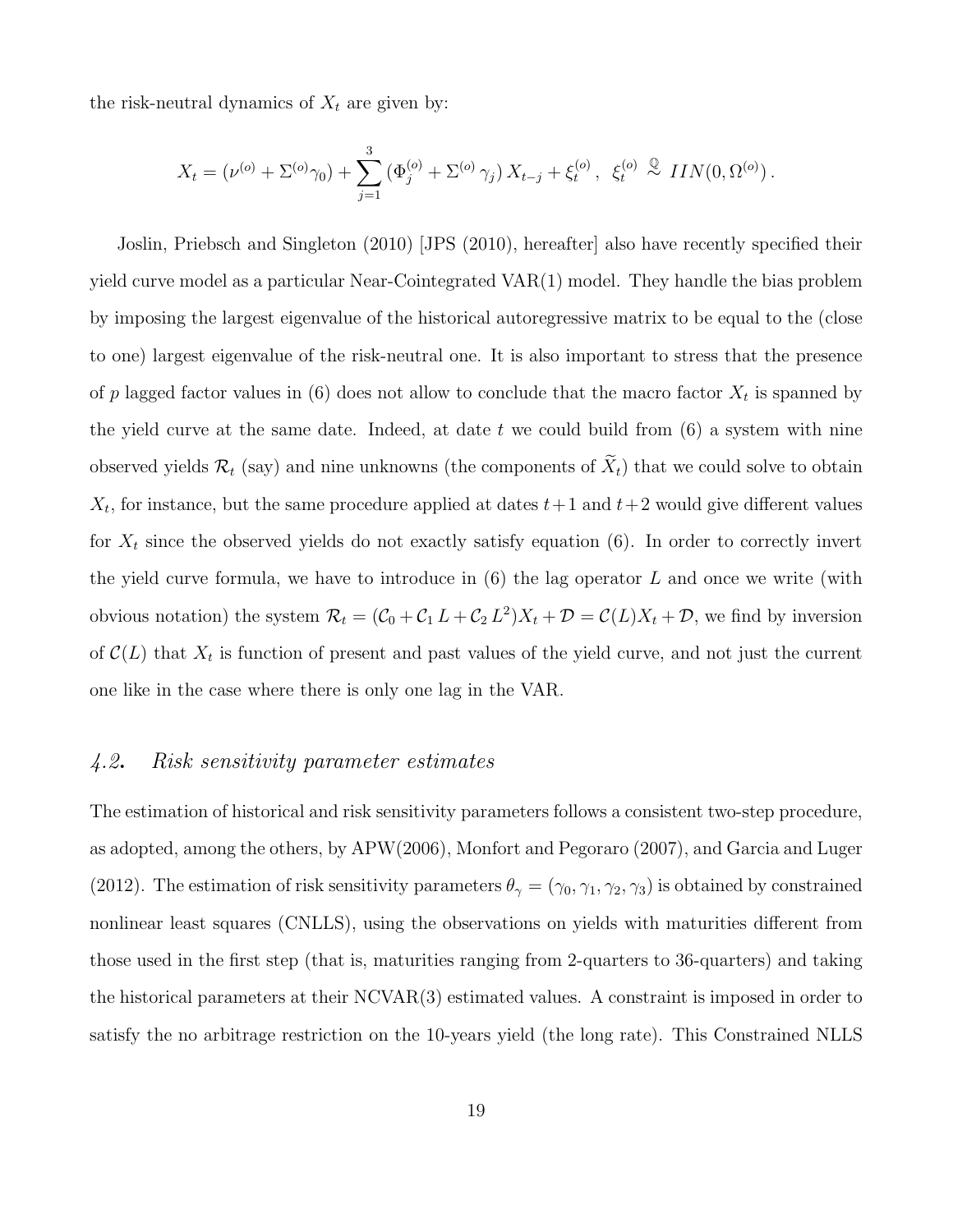the risk-neutral dynamics of  $X_t$  are given by:

$$
X_t = (\nu^{(o)} + \Sigma^{(o)}\gamma_0) + \sum_{j=1}^3 (\Phi_j^{(o)} + \Sigma^{(o)}\gamma_j) X_{t-j} + \xi_t^{(o)}, \xi_t^{(o)} \stackrel{\mathbb{Q}}{\sim} \mathit{IIN}(0, \Omega^{(o)}).
$$

Joslin, Priebsch and Singleton (2010) [JPS (2010), hereafter] also have recently specified their yield curve model as a particular Near-Cointegrated VAR(1) model. They handle the bias problem by imposing the largest eigenvalue of the historical autoregressive matrix to be equal to the (close to one) largest eigenvalue of the risk-neutral one. It is also important to stress that the presence of p lagged factor values in (6) does not allow to conclude that the macro factor  $X_t$  is spanned by the yield curve at the same date. Indeed, at date t we could build from  $(6)$  a system with nine observed yields  $\mathcal{R}_t$  (say) and nine unknowns (the components of  $\widetilde{X}_t$ ) that we could solve to obtain  $X_t$ , for instance, but the same procedure applied at dates  $t+1$  and  $t+2$  would give different values for  $X_t$  since the observed yields do not exactly satisfy equation (6). In order to correctly invert the yield curve formula, we have to introduce in  $(6)$  the lag operator L and once we write (with obvious notation) the system  $\mathcal{R}_t = (\mathcal{C}_0 + \mathcal{C}_1 L + \mathcal{C}_2 L^2)X_t + \mathcal{D} = \mathcal{C}(L)X_t + \mathcal{D}$ , we find by inversion of  $\mathcal{C}(L)$  that  $X_t$  is function of present and past values of the yield curve, and not just the current one like in the case where there is only one lag in the VAR.

#### 4.2. Risk sensitivity parameter estimates

The estimation of historical and risk sensitivity parameters follows a consistent two-step procedure, as adopted, among the others, by APW(2006), Monfort and Pegoraro (2007), and Garcia and Luger (2012). The estimation of risk sensitivity parameters  $\theta_{\gamma} = (\gamma_0, \gamma_1, \gamma_2, \gamma_3)$  is obtained by constrained nonlinear least squares (CNLLS), using the observations on yields with maturities different from those used in the first step (that is, maturities ranging from 2-quarters to 36-quarters) and taking the historical parameters at their NCVAR(3) estimated values. A constraint is imposed in order to satisfy the no arbitrage restriction on the 10-years yield (the long rate). This Constrained NLLS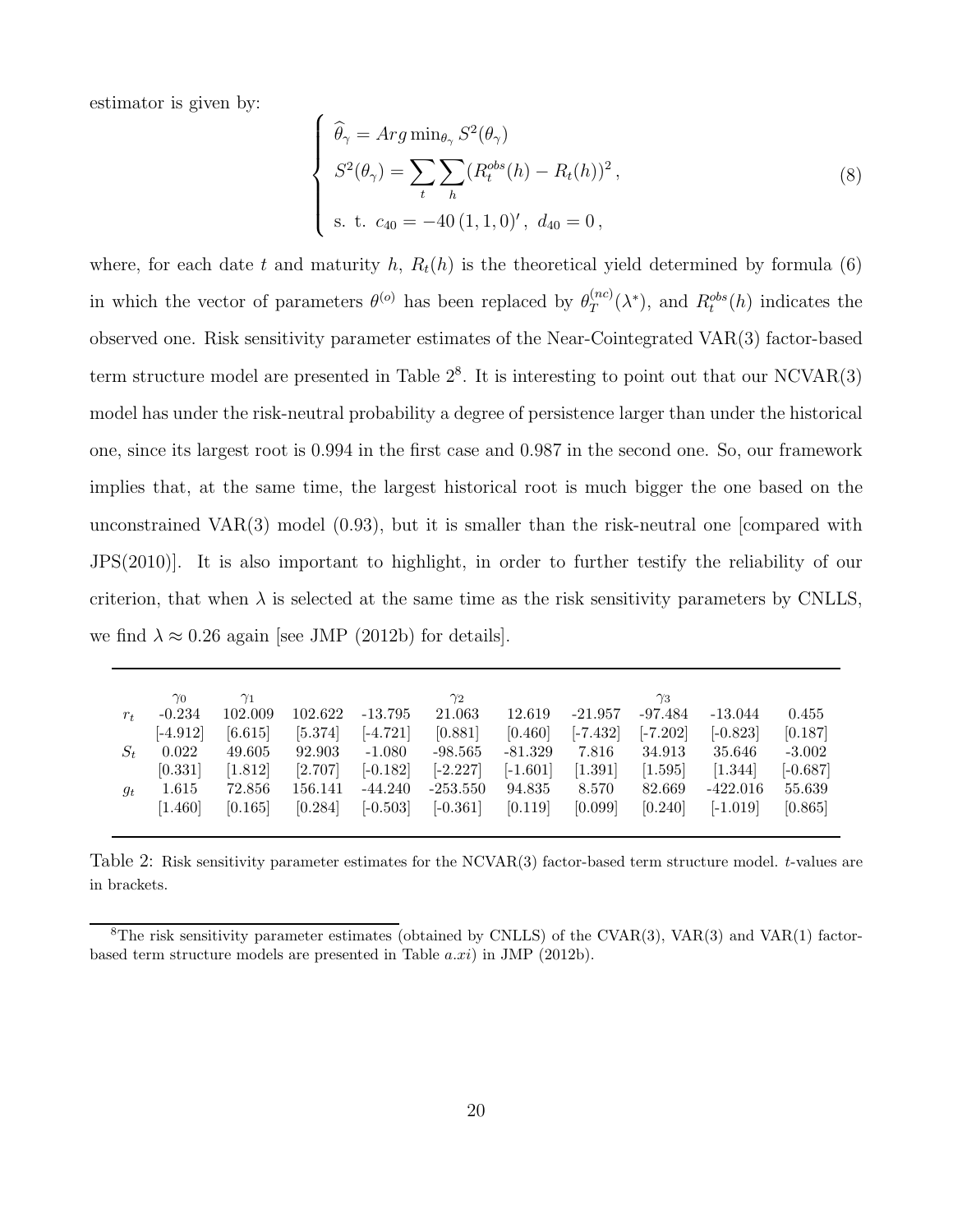estimator is given by:

$$
\begin{cases}\n\widehat{\theta}_{\gamma} = Arg \min_{\theta_{\gamma}} S^{2}(\theta_{\gamma}) \\
S^{2}(\theta_{\gamma}) = \sum_{t} \sum_{h} (R_{t}^{obs}(h) - R_{t}(h))^{2}, \\
\text{s. t. } c_{40} = -40 (1, 1, 0)', \ d_{40} = 0,\n\end{cases}
$$
\n(8)

where, for each date t and maturity h,  $R_t(h)$  is the theoretical yield determined by formula (6) in which the vector of parameters  $\theta^{(o)}$  has been replaced by  $\theta_T^{(nc)}$  $T_T^{(nc)}(\lambda^*)$ , and  $R_t^{obs}(h)$  indicates the observed one. Risk sensitivity parameter estimates of the Near-Cointegrated VAR(3) factor-based term structure model are presented in Table  $2^8$ . It is interesting to point out that our NCVAR $(3)$ model has under the risk-neutral probability a degree of persistence larger than under the historical one, since its largest root is 0.994 in the first case and 0.987 in the second one. So, our framework implies that, at the same time, the largest historical root is much bigger the one based on the unconstrained VAR(3) model (0.93), but it is smaller than the risk-neutral one [compared with JPS(2010)]. It is also important to highlight, in order to further testify the reliability of our criterion, that when  $\lambda$  is selected at the same time as the risk sensitivity parameters by CNLLS, we find  $\lambda \approx 0.26$  again [see JMP (2012b) for details].

| $r_{t}$ | $\gamma_0$<br>$-0.234$ | $\gamma_1$<br>102.009 | 102.622 | $-13.795$  | $\gamma_2$<br>21.063 | 12.619     | $-21.957$  | $\gamma_3$<br>$-97.484$ | $-13.044$  | 0.455      |
|---------|------------------------|-----------------------|---------|------------|----------------------|------------|------------|-------------------------|------------|------------|
|         | $[-4.912]$             | [6.615]               | [5.374] | $[-4.721]$ | [0.881]              | [0.460]    | $[-7.432]$ | $[-7.202]$              | $[-0.823]$ | [0.187]    |
| $S_t$   | 0.022                  | 49.605                | 92.903  | $-1.080$   | $-98.565$            | $-81.329$  | 7.816      | 34.913                  | 35.646     | $-3.002$   |
|         | [0.331]                | [1.812]               | [2.707] | $[-0.182]$ | $[-2.227]$           | $[-1.601]$ | [1.391]    | [1.595]                 | [1.344]    | $[-0.687]$ |
| $g_t$   | 1.615                  | 72.856                | 156.141 | $-44.240$  | $-253.550$           | 94.835     | 8.570      | 82.669                  | $-422.016$ | 55.639     |
|         | [1.460]                | [0.165]               | [0.284] | $[-0.503]$ | $[-0.361]$           | [0.119]    | [0.099]    | [0.240]                 | $[-1.019]$ | [0.865]    |
|         |                        |                       |         |            |                      |            |            |                         |            |            |

Table 2: Risk sensitivity parameter estimates for the NCVAR(3) factor-based term structure model. t-values are in brackets.

 ${}^8$ The risk sensitivity parameter estimates (obtained by CNLLS) of the CVAR(3), VAR(3) and VAR(1) factorbased term structure models are presented in Table a.xi) in JMP (2012b).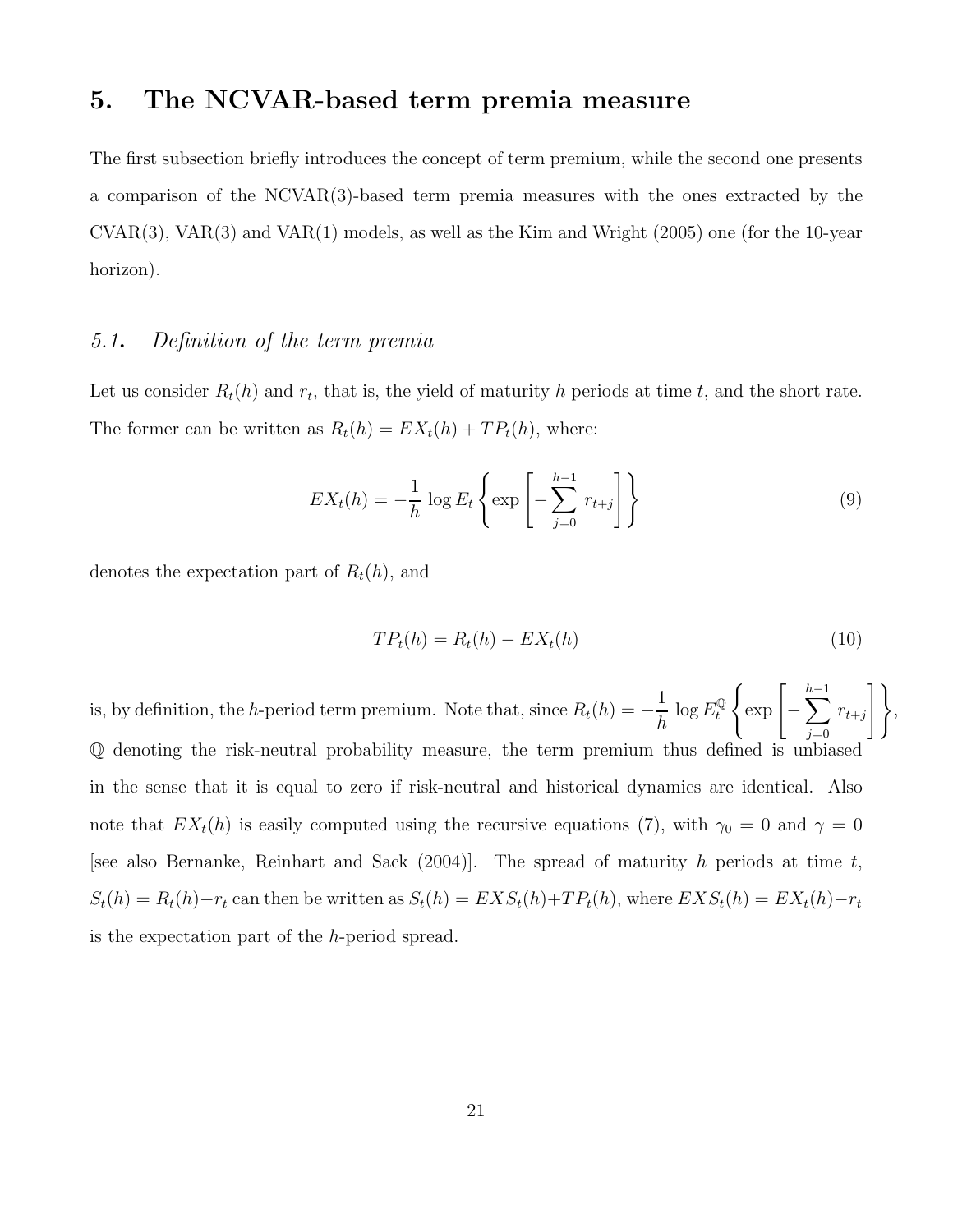# 5. The NCVAR-based term premia measure

The first subsection briefly introduces the concept of term premium, while the second one presents a comparison of the NCVAR(3)-based term premia measures with the ones extracted by the CVAR(3), VAR(3) and VAR(1) models, as well as the Kim and Wright (2005) one (for the 10-year horizon).

#### 5.1. Definition of the term premia

Let us consider  $R_t(h)$  and  $r_t$ , that is, the yield of maturity h periods at time t, and the short rate. The former can be written as  $R_t(h) = EX_t(h) + TP_t(h)$ , where:

$$
EXt(h) = -\frac{1}{h} \log E_t \left\{ \exp \left[ -\sum_{j=0}^{h-1} r_{t+j} \right] \right\}
$$
 (9)

denotes the expectation part of  $R_t(h)$ , and

$$
TPt(h) = Rt(h) - EXt(h)
$$
\n(10)

,

is, by definition, the h-period term premium. Note that, since  $R_t(h) = -$ 1 h  $\log E^\mathbb{Q}_t$ t  $\bigg\{\exp\left[-\sum_{k=1}^{h-1}\right]$  $h-1$  $j=0$  $r_{t+j}$  $\overline{)}$ Q denoting the risk-neutral probability measure, the term premium thus defined is unbiased in the sense that it is equal to zero if risk-neutral and historical dynamics are identical. Also note that  $EX_t(h)$  is easily computed using the recursive equations (7), with  $\gamma_0 = 0$  and  $\gamma = 0$ [see also Bernanke, Reinhart and Sack  $(2004)$ ]. The spread of maturity h periods at time t,  $S_t(h) = R_t(h) - r_t$  can then be written as  $S_t(h) = EXS_t(h) + TP_t(h)$ , where  $EXS_t(h) = EX_t(h) - r_t$ is the expectation part of the h-period spread.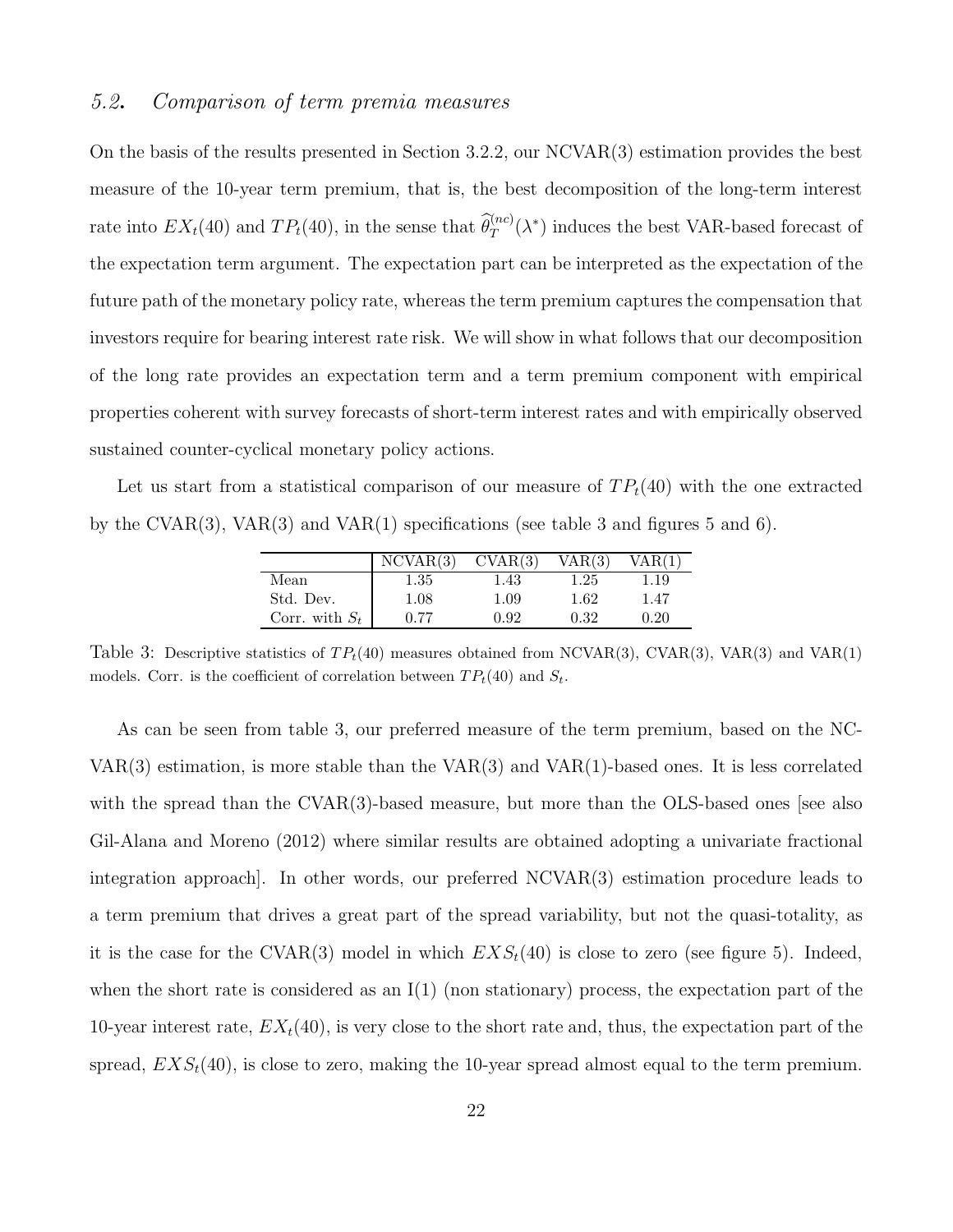#### 5.2. Comparison of term premia measures

On the basis of the results presented in Section 3.2.2, our NCVAR(3) estimation provides the best measure of the 10-year term premium, that is, the best decomposition of the long-term interest rate into  $EX_t(40)$  and  $TP_t(40)$ , in the sense that  $\widehat{\theta}_T^{(nc)}(\lambda^*)$  induces the best VAR-based forecast of the expectation term argument. The expectation part can be interpreted as the expectation of the future path of the monetary policy rate, whereas the term premium captures the compensation that investors require for bearing interest rate risk. We will show in what follows that our decomposition of the long rate provides an expectation term and a term premium component with empirical properties coherent with survey forecasts of short-term interest rates and with empirically observed sustained counter-cyclical monetary policy actions.

Let us start from a statistical comparison of our measure of  $TP<sub>t</sub>(40)$  with the one extracted by the CVAR(3), VAR(3) and VAR(1) specifications (see table 3 and figures 5 and 6).

|                  | NCVAR(3) |          | VAR(3,   |      |
|------------------|----------|----------|----------|------|
| Mean             | 1.35     | 1.43     | $1.25\,$ | .19  |
| Std. Dev.        | 1.08     | $1.09\,$ | 1.62     | 1.47 |
| Corr. with $S_t$ | 0.77     | 0.92     | 0.32     | 0.20 |

Table 3: Descriptive statistics of  $TP_t(40)$  measures obtained from NCVAR(3), CVAR(3), VAR(3) and VAR(1) models. Corr. is the coefficient of correlation between  $TP_t(40)$  and  $S_t$ .

As can be seen from table 3, our preferred measure of the term premium, based on the NC- $VAR(3)$  estimation, is more stable than the  $VAR(3)$  and  $VAR(1)$ -based ones. It is less correlated with the spread than the CVAR(3)-based measure, but more than the OLS-based ones [see also Gil-Alana and Moreno (2012) where similar results are obtained adopting a univariate fractional integration approach]. In other words, our preferred NCVAR(3) estimation procedure leads to a term premium that drives a great part of the spread variability, but not the quasi-totality, as it is the case for the CVAR(3) model in which  $EXS_t(40)$  is close to zero (see figure 5). Indeed, when the short rate is considered as an  $I(1)$  (non stationary) process, the expectation part of the 10-year interest rate,  $EX_t(40)$ , is very close to the short rate and, thus, the expectation part of the spread,  $EXS_t(40)$ , is close to zero, making the 10-year spread almost equal to the term premium.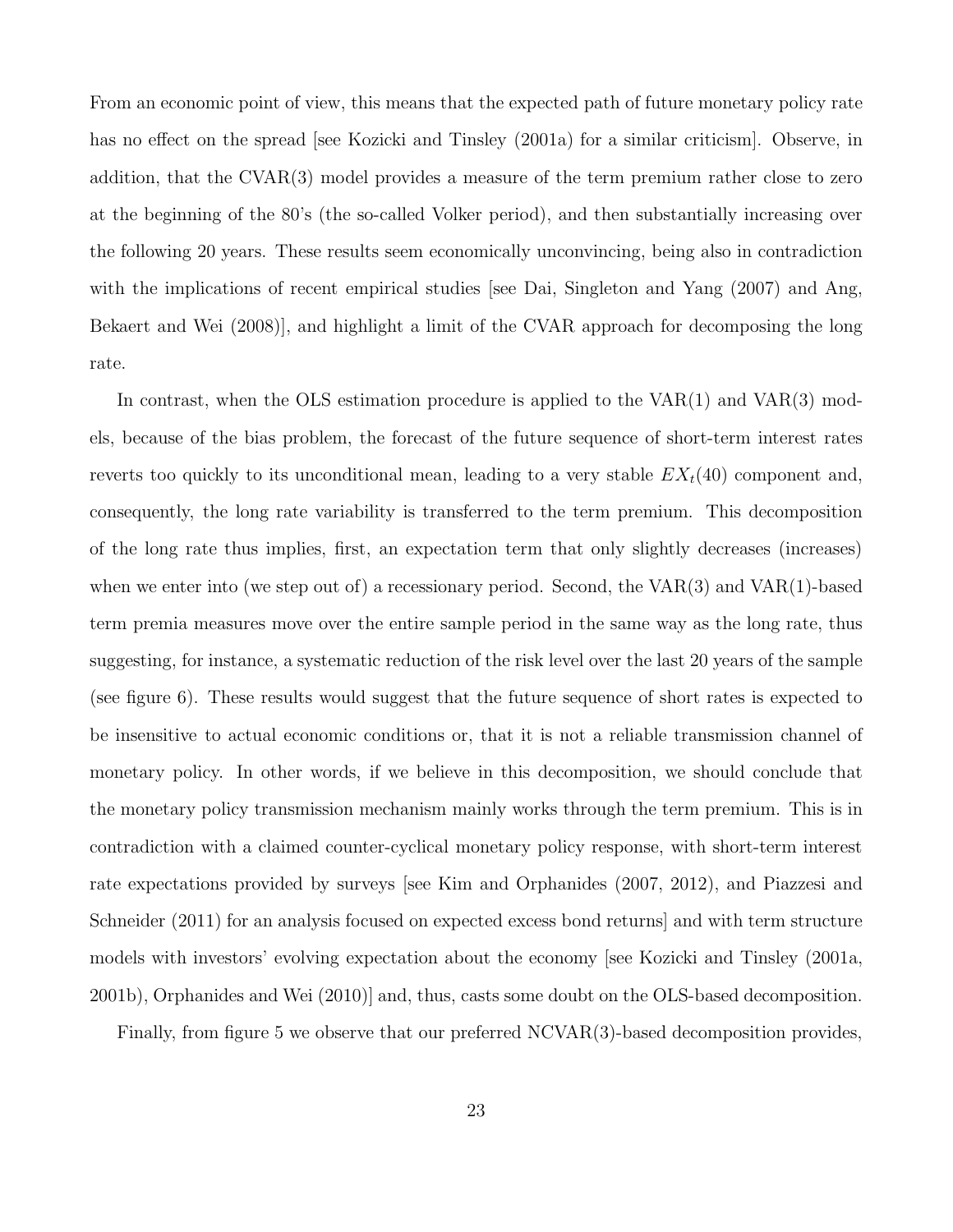From an economic point of view, this means that the expected path of future monetary policy rate has no effect on the spread [see Kozicki and Tinsley (2001a) for a similar criticism]. Observe, in addition, that the CVAR(3) model provides a measure of the term premium rather close to zero at the beginning of the 80's (the so-called Volker period), and then substantially increasing over the following 20 years. These results seem economically unconvincing, being also in contradiction with the implications of recent empirical studies [see Dai, Singleton and Yang (2007) and Ang, Bekaert and Wei (2008)], and highlight a limit of the CVAR approach for decomposing the long rate.

In contrast, when the OLS estimation procedure is applied to the  $VAR(1)$  and  $VAR(3)$  models, because of the bias problem, the forecast of the future sequence of short-term interest rates reverts too quickly to its unconditional mean, leading to a very stable  $EX<sub>t</sub>(40)$  component and, consequently, the long rate variability is transferred to the term premium. This decomposition of the long rate thus implies, first, an expectation term that only slightly decreases (increases) when we enter into (we step out of) a recessionary period. Second, the  $VAR(3)$  and  $VAR(1)$ -based term premia measures move over the entire sample period in the same way as the long rate, thus suggesting, for instance, a systematic reduction of the risk level over the last 20 years of the sample (see figure 6). These results would suggest that the future sequence of short rates is expected to be insensitive to actual economic conditions or, that it is not a reliable transmission channel of monetary policy. In other words, if we believe in this decomposition, we should conclude that the monetary policy transmission mechanism mainly works through the term premium. This is in contradiction with a claimed counter-cyclical monetary policy response, with short-term interest rate expectations provided by surveys [see Kim and Orphanides (2007, 2012), and Piazzesi and Schneider (2011) for an analysis focused on expected excess bond returns] and with term structure models with investors' evolving expectation about the economy [see Kozicki and Tinsley (2001a, 2001b), Orphanides and Wei (2010)] and, thus, casts some doubt on the OLS-based decomposition.

Finally, from figure 5 we observe that our preferred NCVAR(3)-based decomposition provides,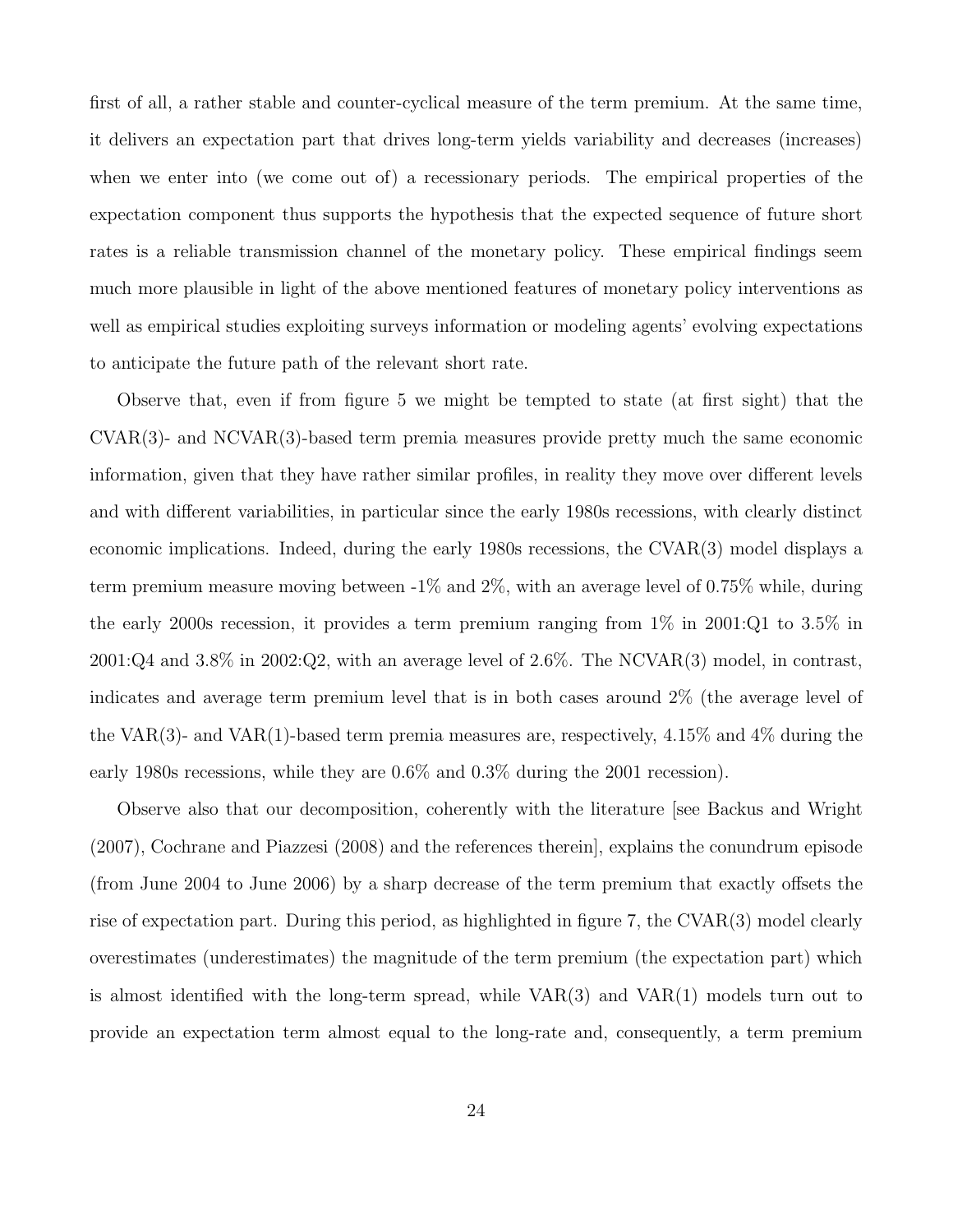first of all, a rather stable and counter-cyclical measure of the term premium. At the same time, it delivers an expectation part that drives long-term yields variability and decreases (increases) when we enter into (we come out of) a recessionary periods. The empirical properties of the expectation component thus supports the hypothesis that the expected sequence of future short rates is a reliable transmission channel of the monetary policy. These empirical findings seem much more plausible in light of the above mentioned features of monetary policy interventions as well as empirical studies exploiting surveys information or modeling agents' evolving expectations to anticipate the future path of the relevant short rate.

Observe that, even if from figure 5 we might be tempted to state (at first sight) that the CVAR(3)- and NCVAR(3)-based term premia measures provide pretty much the same economic information, given that they have rather similar profiles, in reality they move over different levels and with different variabilities, in particular since the early 1980s recessions, with clearly distinct economic implications. Indeed, during the early 1980s recessions, the CVAR(3) model displays a term premium measure moving between -1% and 2%, with an average level of 0.75% while, during the early 2000s recession, it provides a term premium ranging from 1% in 2001:Q1 to 3.5% in 2001:Q4 and 3.8% in 2002:Q2, with an average level of 2.6%. The NCVAR(3) model, in contrast, indicates and average term premium level that is in both cases around 2% (the average level of the VAR(3)- and VAR(1)-based term premia measures are, respectively,  $4.15\%$  and  $4\%$  during the early 1980s recessions, while they are 0.6% and 0.3% during the 2001 recession).

Observe also that our decomposition, coherently with the literature [see Backus and Wright (2007), Cochrane and Piazzesi (2008) and the references therein], explains the conundrum episode (from June 2004 to June 2006) by a sharp decrease of the term premium that exactly offsets the rise of expectation part. During this period, as highlighted in figure 7, the CVAR(3) model clearly overestimates (underestimates) the magnitude of the term premium (the expectation part) which is almost identified with the long-term spread, while VAR(3) and VAR(1) models turn out to provide an expectation term almost equal to the long-rate and, consequently, a term premium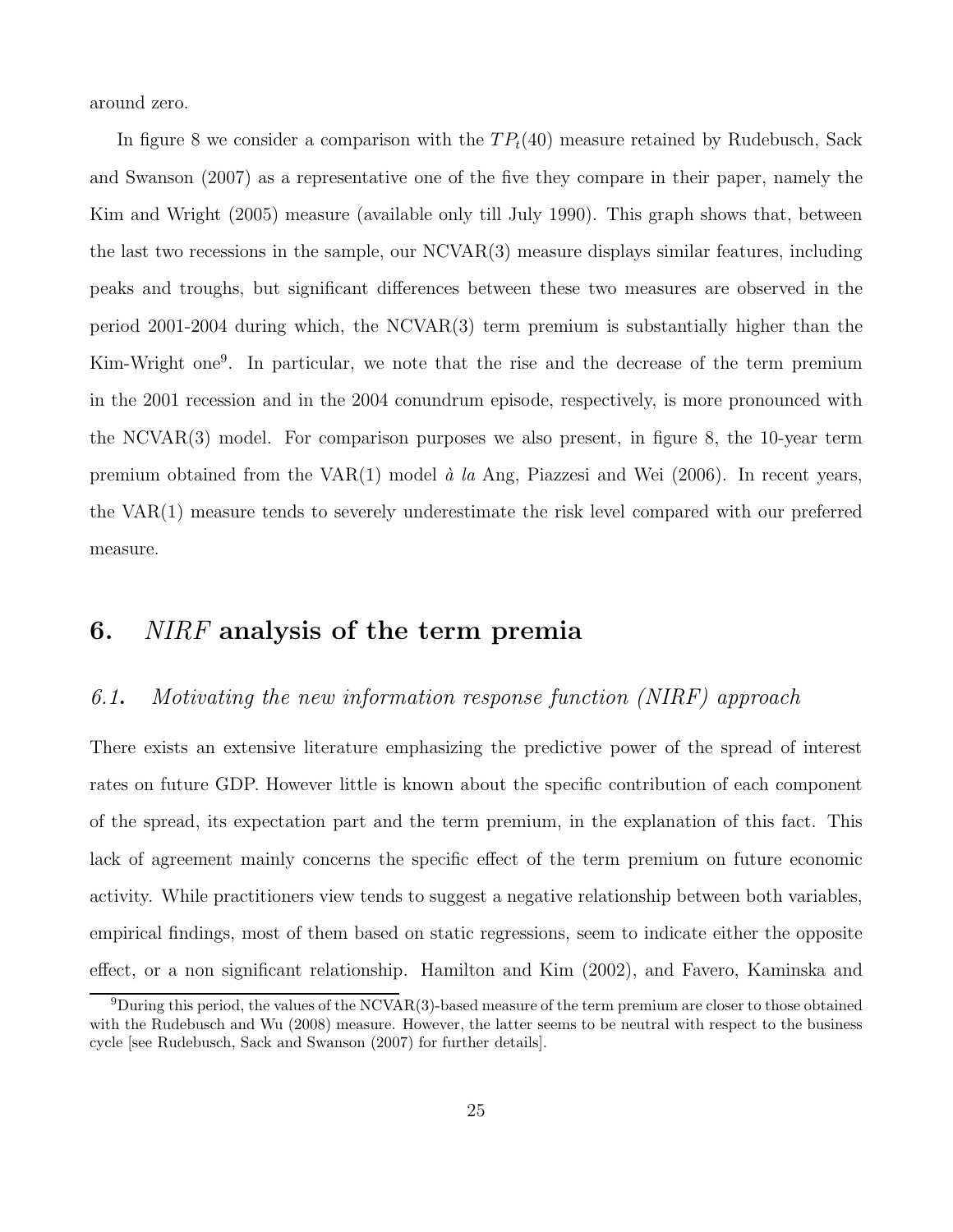around zero.

In figure 8 we consider a comparison with the  $TP_t(40)$  measure retained by Rudebusch, Sack and Swanson (2007) as a representative one of the five they compare in their paper, namely the Kim and Wright (2005) measure (available only till July 1990). This graph shows that, between the last two recessions in the sample, our NCVAR(3) measure displays similar features, including peaks and troughs, but significant differences between these two measures are observed in the period 2001-2004 during which, the NCVAR(3) term premium is substantially higher than the Kim-Wright one<sup>9</sup>. In particular, we note that the rise and the decrease of the term premium in the 2001 recession and in the 2004 conundrum episode, respectively, is more pronounced with the NCVAR(3) model. For comparison purposes we also present, in figure 8, the 10-year term premium obtained from the VAR(1) model  $\dot{a}$  la Ang, Piazzesi and Wei (2006). In recent years, the VAR(1) measure tends to severely underestimate the risk level compared with our preferred measure.

# 6. NIRF analysis of the term premia

#### 6.1. Motivating the new information response function (NIRF) approach

There exists an extensive literature emphasizing the predictive power of the spread of interest rates on future GDP. However little is known about the specific contribution of each component of the spread, its expectation part and the term premium, in the explanation of this fact. This lack of agreement mainly concerns the specific effect of the term premium on future economic activity. While practitioners view tends to suggest a negative relationship between both variables, empirical findings, most of them based on static regressions, seem to indicate either the opposite effect, or a non significant relationship. Hamilton and Kim (2002), and Favero, Kaminska and

 $9$ During this period, the values of the NCVAR(3)-based measure of the term premium are closer to those obtained with the Rudebusch and Wu (2008) measure. However, the latter seems to be neutral with respect to the business cycle [see Rudebusch, Sack and Swanson (2007) for further details].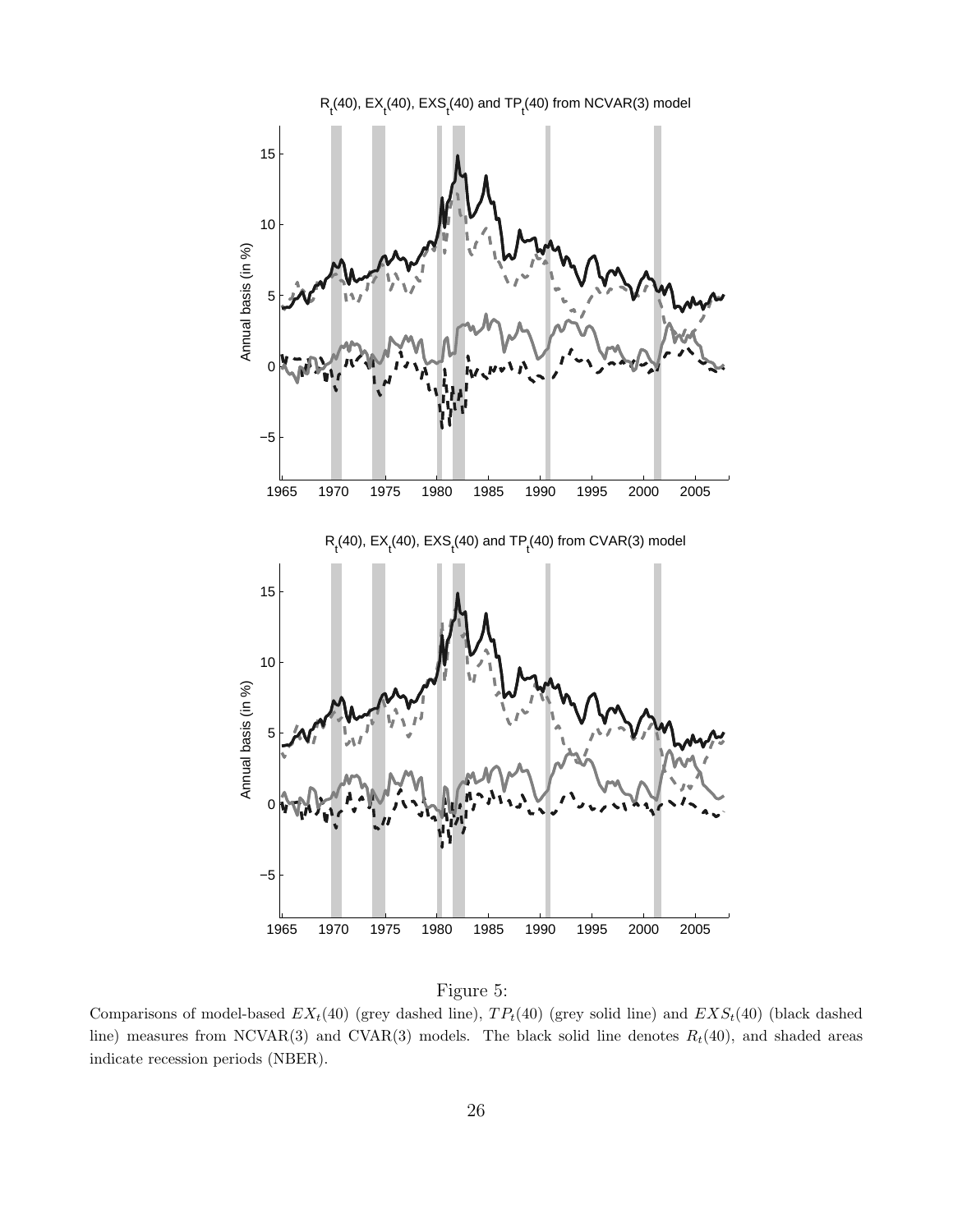

Figure 5:

Comparisons of model-based  $EX_t(40)$  (grey dashed line),  $TP_t(40)$  (grey solid line) and  $EXS_t(40)$  (black dashed line) measures from NCVAR(3) and CVAR(3) models. The black solid line denotes  $R_t(40)$ , and shaded areas indicate recession periods (NBER).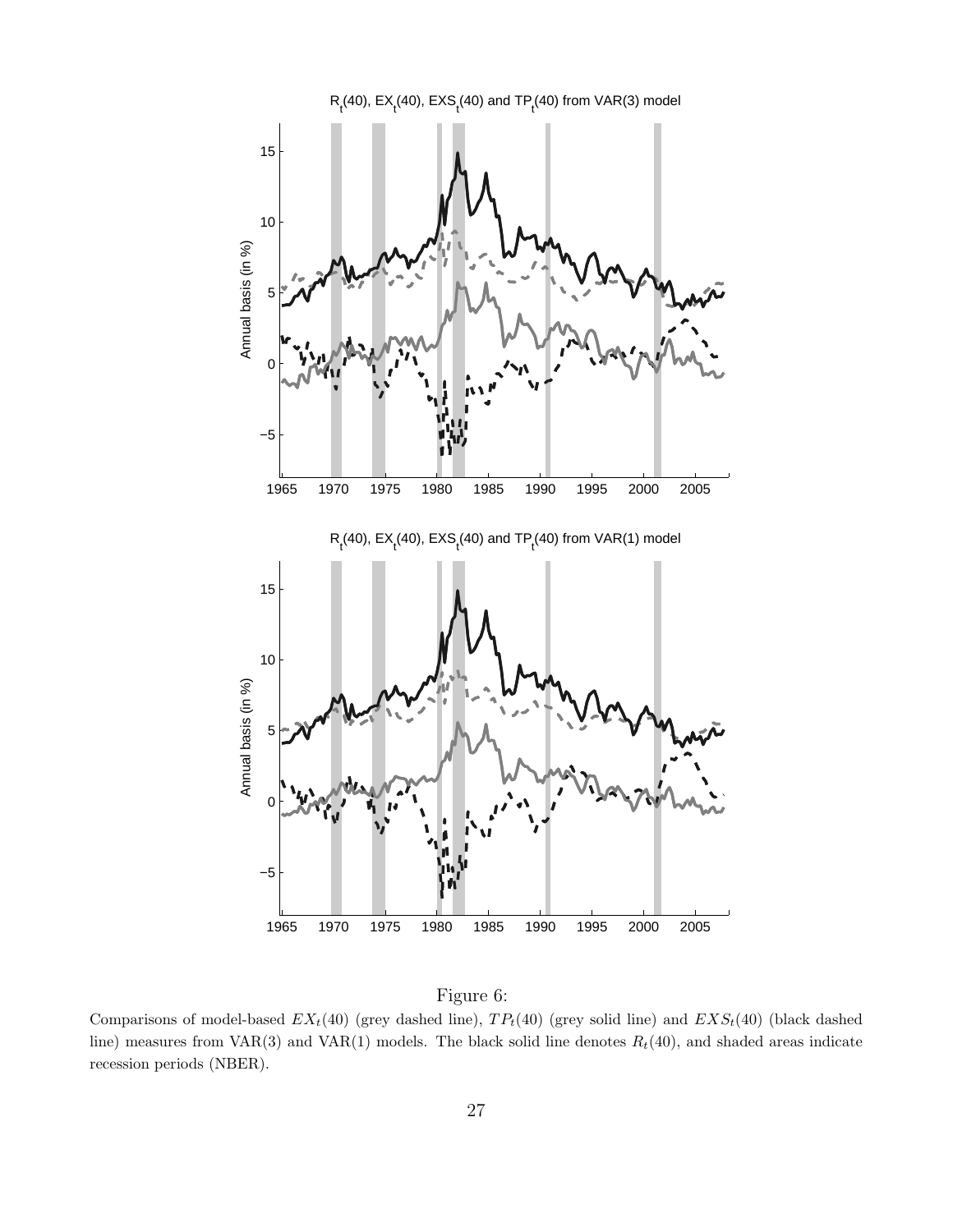

Figure 6:

Comparisons of model-based  $EX_t(40)$  (grey dashed line),  $TP_t(40)$  (grey solid line) and  $EXS_t(40)$  (black dashed line) measures from VAR(3) and VAR(1) models. The black solid line denotes  $R_t(40)$ , and shaded areas indicate recession periods (NBER).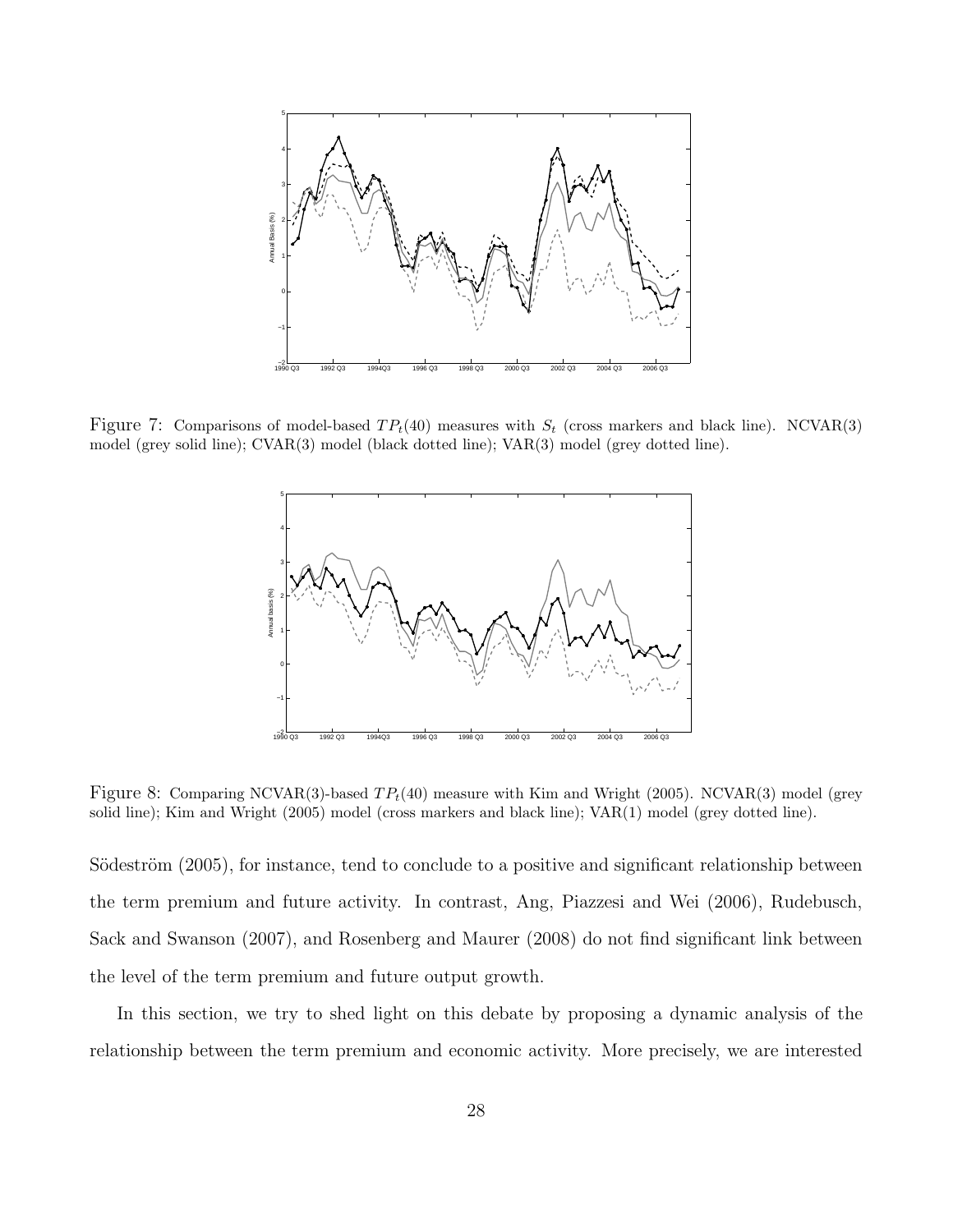

Figure 7: Comparisons of model-based  $TP_t(40)$  measures with  $S_t$  (cross markers and black line). NCVAR(3) model (grey solid line); CVAR(3) model (black dotted line); VAR(3) model (grey dotted line).



Figure 8: Comparing NCVAR(3)-based  $TP<sub>t</sub>(40)$  measure with Kim and Wright (2005). NCVAR(3) model (grey solid line); Kim and Wright (2005) model (cross markers and black line); VAR(1) model (grey dotted line).

Södeström (2005), for instance, tend to conclude to a positive and significant relationship between the term premium and future activity. In contrast, Ang, Piazzesi and Wei (2006), Rudebusch, Sack and Swanson (2007), and Rosenberg and Maurer (2008) do not find significant link between the level of the term premium and future output growth.

In this section, we try to shed light on this debate by proposing a dynamic analysis of the relationship between the term premium and economic activity. More precisely, we are interested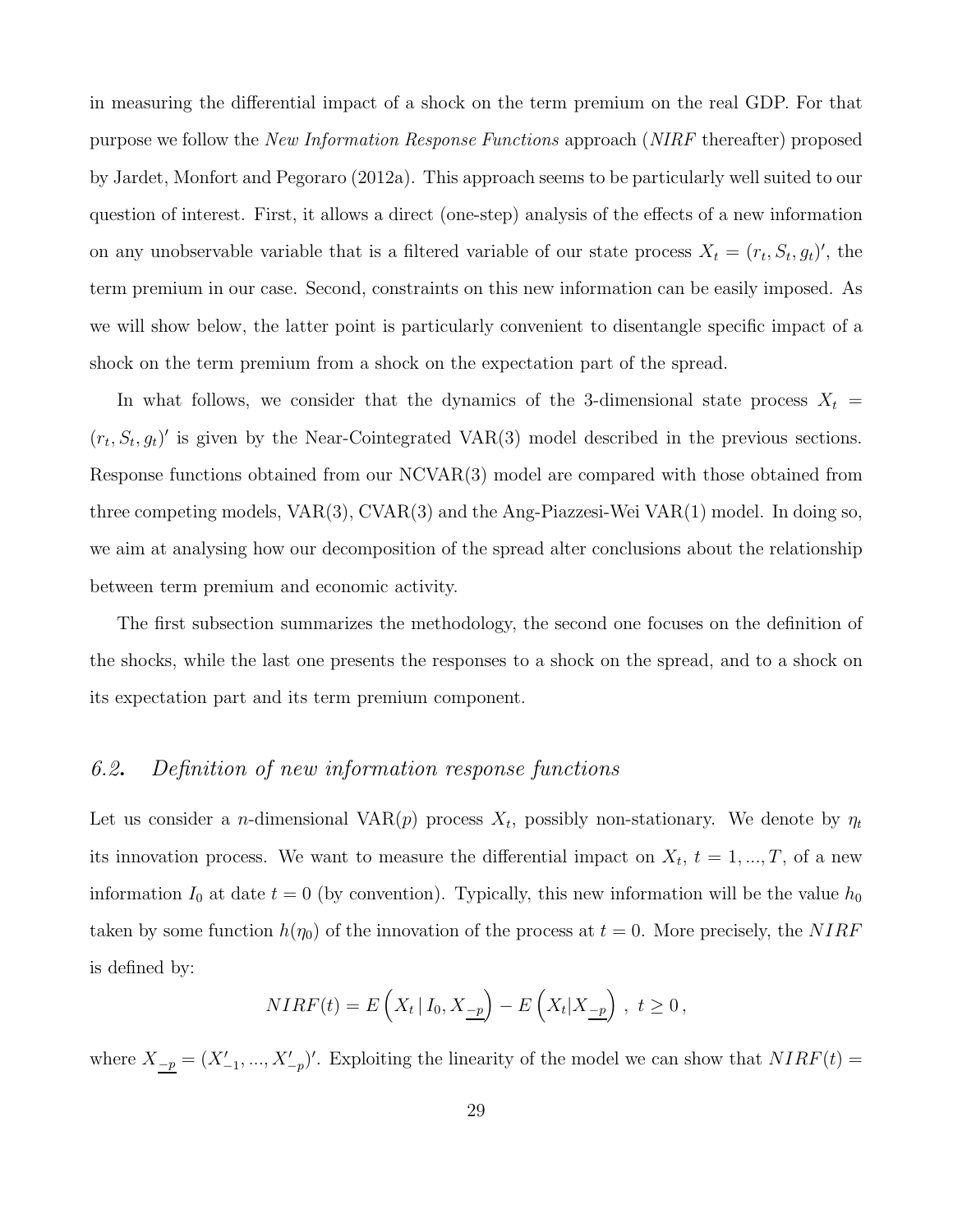in measuring the differential impact of a shock on the term premium on the real GDP. For that purpose we follow the New Information Response Functions approach (NIRF thereafter) proposed by Jardet, Monfort and Pegoraro (2012a). This approach seems to be particularly well suited to our question of interest. First, it allows a direct (one-step) analysis of the effects of a new information on any unobservable variable that is a filtered variable of our state process  $X_t = (r_t, S_t, g_t)'$ , the term premium in our case. Second, constraints on this new information can be easily imposed. As we will show below, the latter point is particularly convenient to disentangle specific impact of a shock on the term premium from a shock on the expectation part of the spread.

In what follows, we consider that the dynamics of the 3-dimensional state process  $X_t =$  $(r_t, S_t, g_t)'$  is given by the Near-Cointegrated VAR(3) model described in the previous sections. Response functions obtained from our NCVAR(3) model are compared with those obtained from three competing models, VAR(3), CVAR(3) and the Ang-Piazzesi-Wei VAR(1) model. In doing so, we aim at analysing how our decomposition of the spread alter conclusions about the relationship between term premium and economic activity.

The first subsection summarizes the methodology, the second one focuses on the definition of the shocks, while the last one presents the responses to a shock on the spread, and to a shock on its expectation part and its term premium component.

#### 6.2. Definition of new information response functions

Let us consider a *n*-dimensional VAR $(p)$  process  $X_t$ , possibly non-stationary. We denote by  $\eta_t$ its innovation process. We want to measure the differential impact on  $X_t$ ,  $t = 1, ..., T$ , of a new information  $I_0$  at date  $t = 0$  (by convention). Typically, this new information will be the value  $h_0$ taken by some function  $h(\eta_0)$  of the innovation of the process at  $t = 0$ . More precisely, the NIRF is defined by:

$$
NIRF(t) = E\left(X_t | I_0, X_{\underline{-p}}\right) - E\left(X_t | X_{\underline{-p}}\right), \ t \ge 0,
$$

where  $X_{-p} = (X'_{-1}, ..., X'_{-p})'$ . Exploiting the linearity of the model we can show that  $NIRF(t)$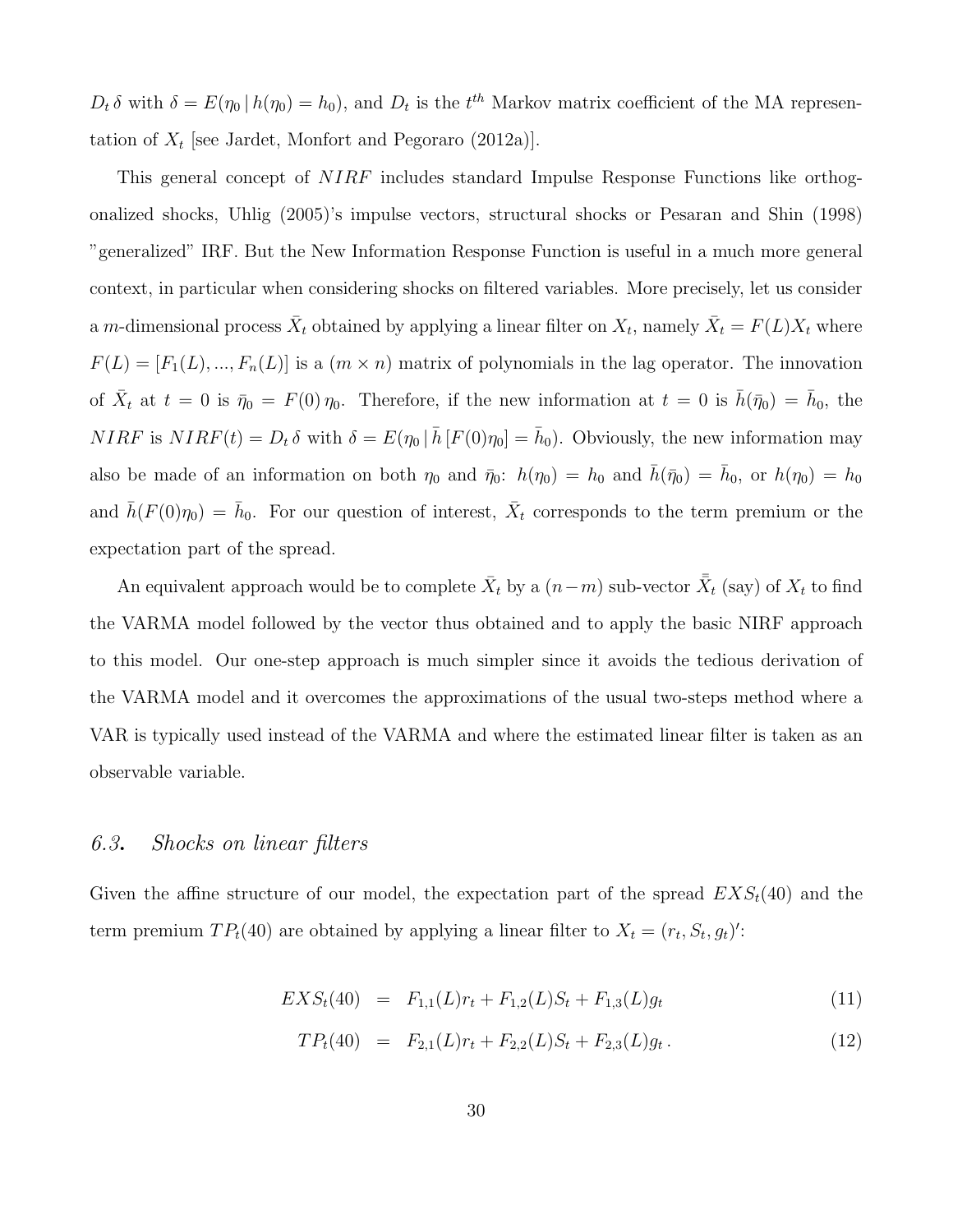$D_t \delta$  with  $\delta = E(\eta_0 | h(\eta_0) = h_0)$ , and  $D_t$  is the  $t^{th}$  Markov matrix coefficient of the MA representation of  $X_t$  [see Jardet, Monfort and Pegoraro (2012a)].

This general concept of NIRF includes standard Impulse Response Functions like orthogonalized shocks, Uhlig (2005)'s impulse vectors, structural shocks or Pesaran and Shin (1998) "generalized" IRF. But the New Information Response Function is useful in a much more general context, in particular when considering shocks on filtered variables. More precisely, let us consider a m-dimensional process  $\bar{X}_t$  obtained by applying a linear filter on  $X_t$ , namely  $\bar{X}_t = F(L)X_t$  where  $F(L) = [F_1(L), ..., F_n(L)]$  is a  $(m \times n)$  matrix of polynomials in the lag operator. The innovation of  $\bar{X}_t$  at  $t = 0$  is  $\bar{\eta}_0 = F(0)\eta_0$ . Therefore, if the new information at  $t = 0$  is  $\bar{h}(\bar{\eta}_0) = \bar{h}_0$ , the  $NIRF$  is  $NIRF(t) = D_t \delta$  with  $\delta = E(\eta_0 | \bar{h} [F(0)\eta_0] = \bar{h}_0)$ . Obviously, the new information may also be made of an information on both  $\eta_0$  and  $\bar{\eta}_0$ :  $h(\eta_0) = h_0$  and  $\bar{h}(\bar{\eta}_0) = \bar{h}_0$ , or  $h(\eta_0) = h_0$ and  $\bar{h}(F(0)\eta_0) = \bar{h}_0$ . For our question of interest,  $\bar{X}_t$  corresponds to the term premium or the expectation part of the spread.

An equivalent approach would be to complete  $\bar{X}_t$  by a  $(n-m)$  sub-vector  $\bar{\bar{X}}_t$  (say) of  $X_t$  to find the VARMA model followed by the vector thus obtained and to apply the basic NIRF approach to this model. Our one-step approach is much simpler since it avoids the tedious derivation of the VARMA model and it overcomes the approximations of the usual two-steps method where a VAR is typically used instead of the VARMA and where the estimated linear filter is taken as an observable variable.

#### 6.3. Shocks on linear filters

Given the affine structure of our model, the expectation part of the spread  $EXS_t(40)$  and the term premium  $TP_t(40)$  are obtained by applying a linear filter to  $X_t = (r_t, S_t, g_t)'$ :

$$
EXS_t(40) = F_{1,1}(L)r_t + F_{1,2}(L)S_t + F_{1,3}(L)g_t
$$
\n(11)

$$
TPt(40) = F2,1(L)rt + F2,2(L)St + F2,3(L)gt.
$$
\n(12)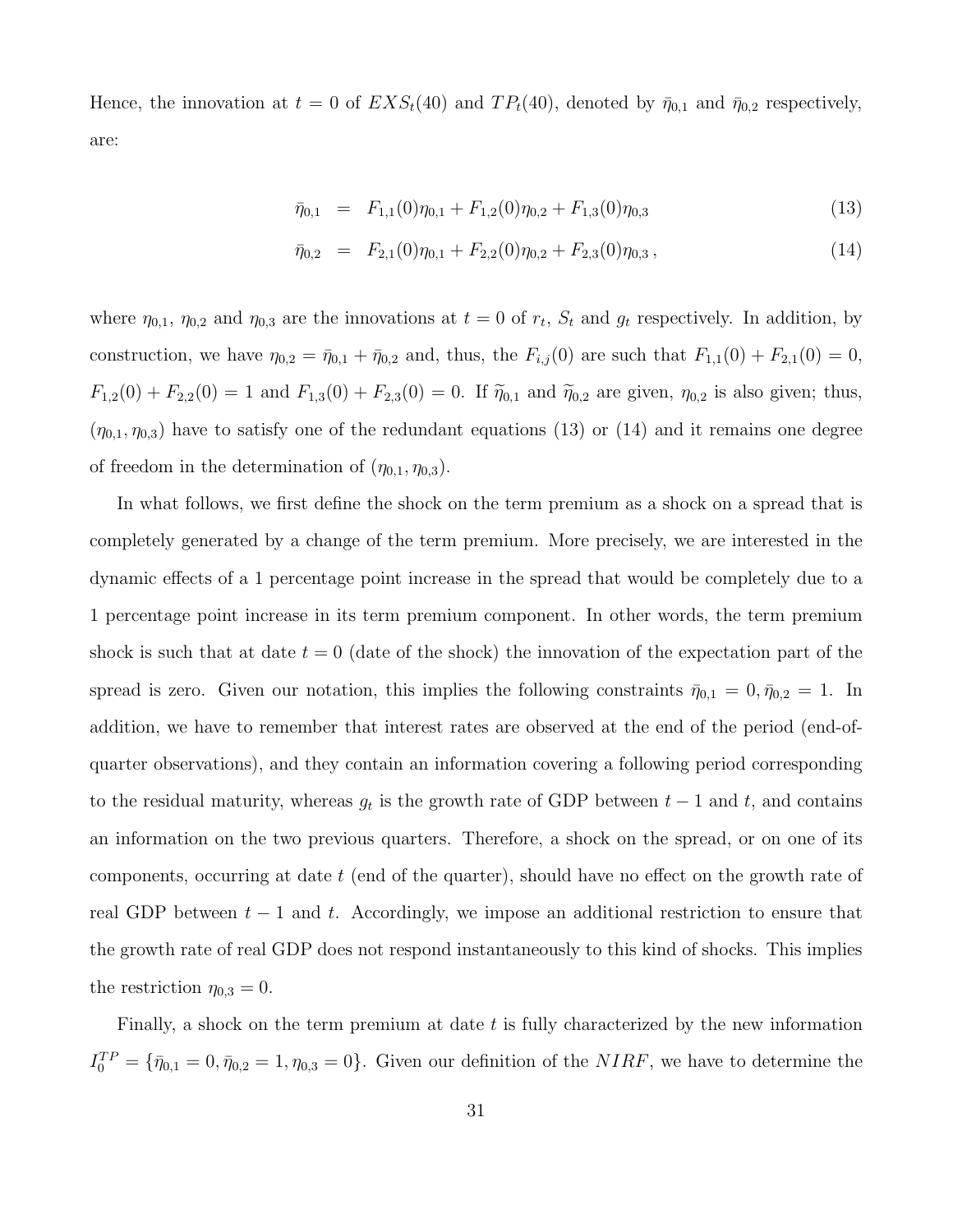Hence, the innovation at  $t = 0$  of  $EXS_t(40)$  and  $TP_t(40)$ , denoted by  $\bar{\eta}_{0,1}$  and  $\bar{\eta}_{0,2}$  respectively, are:

$$
\bar{\eta}_{0,1} = F_{1,1}(0)\eta_{0,1} + F_{1,2}(0)\eta_{0,2} + F_{1,3}(0)\eta_{0,3} \tag{13}
$$

$$
\bar{\eta}_{0,2} = F_{2,1}(0)\eta_{0,1} + F_{2,2}(0)\eta_{0,2} + F_{2,3}(0)\eta_{0,3}, \qquad (14)
$$

where  $\eta_{0,1}, \eta_{0,2}$  and  $\eta_{0,3}$  are the innovations at  $t=0$  of  $r_t$ ,  $S_t$  and  $g_t$  respectively. In addition, by construction, we have  $\eta_{0,2} = \bar{\eta}_{0,1} + \bar{\eta}_{0,2}$  and, thus, the  $F_{i,j}(0)$  are such that  $F_{1,1}(0) + F_{2,1}(0) = 0$ ,  $F_{1,2}(0) + F_{2,2}(0) = 1$  and  $F_{1,3}(0) + F_{2,3}(0) = 0$ . If  $\tilde{\eta}_{0,1}$  and  $\tilde{\eta}_{0,2}$  are given,  $\eta_{0,2}$  is also given; thus,  $(\eta_{0,1}, \eta_{0,3})$  have to satisfy one of the redundant equations (13) or (14) and it remains one degree of freedom in the determination of  $(\eta_{0,1}, \eta_{0,3})$ .

In what follows, we first define the shock on the term premium as a shock on a spread that is completely generated by a change of the term premium. More precisely, we are interested in the dynamic effects of a 1 percentage point increase in the spread that would be completely due to a 1 percentage point increase in its term premium component. In other words, the term premium shock is such that at date  $t = 0$  (date of the shock) the innovation of the expectation part of the spread is zero. Given our notation, this implies the following constraints  $\bar{\eta}_{0,1} = 0, \bar{\eta}_{0,2} = 1$ . In addition, we have to remember that interest rates are observed at the end of the period (end-ofquarter observations), and they contain an information covering a following period corresponding to the residual maturity, whereas  $g_t$  is the growth rate of GDP between  $t-1$  and  $t$ , and contains an information on the two previous quarters. Therefore, a shock on the spread, or on one of its components, occurring at date  $t$  (end of the quarter), should have no effect on the growth rate of real GDP between  $t - 1$  and t. Accordingly, we impose an additional restriction to ensure that the growth rate of real GDP does not respond instantaneously to this kind of shocks. This implies the restriction  $\eta_{0,3} = 0$ .

Finally, a shock on the term premium at date  $t$  is fully characterized by the new information  $I_0^{TP} = {\bar{\eta}_{0,1} = 0, \bar{\eta}_{0,2} = 1, \eta_{0,3} = 0}.$  Given our definition of the *NIRF*, we have to determine the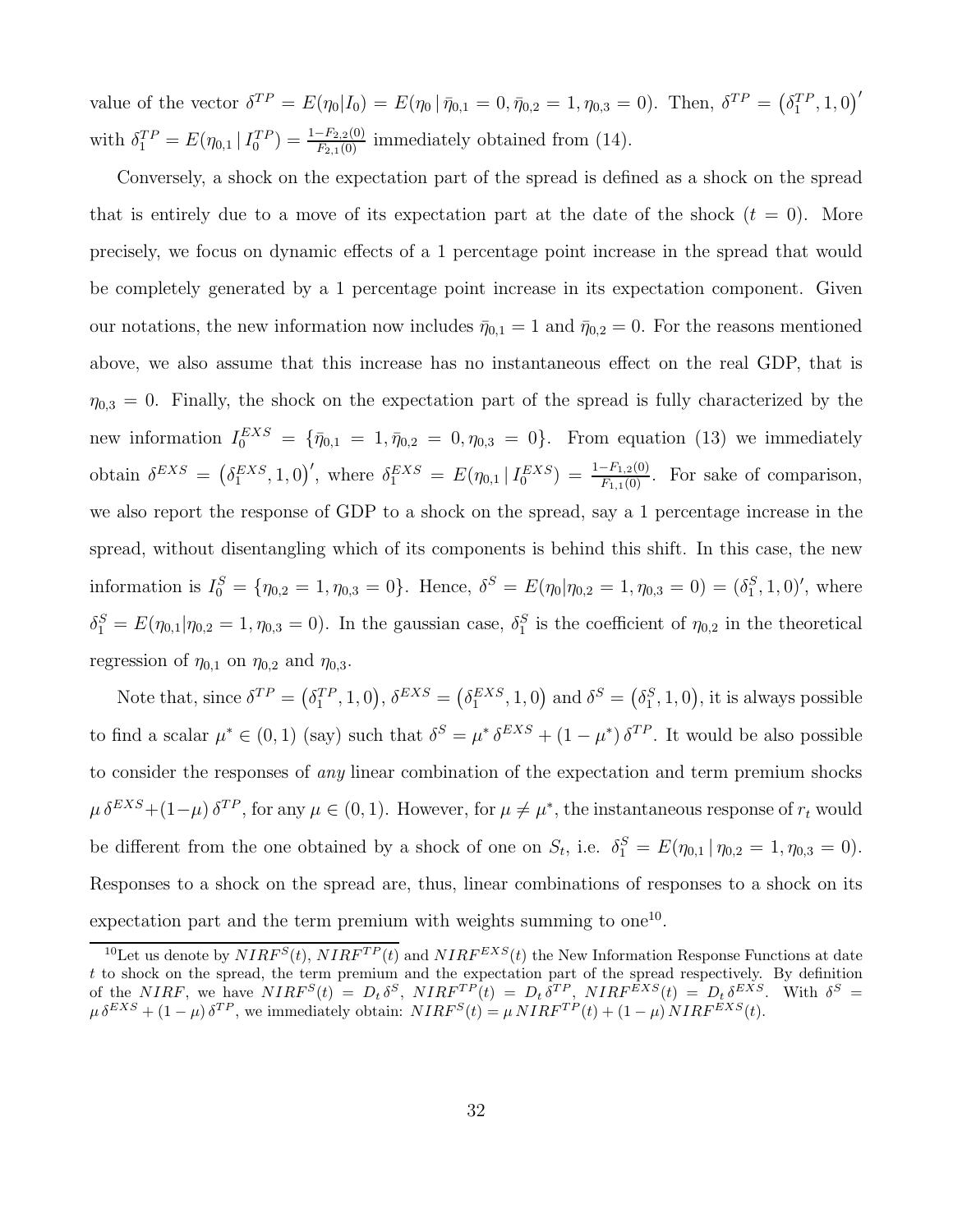value of the vector  $\delta^{TP} = E(\eta_0 | I_0) = E(\eta_0 | \bar{\eta}_{0,1} = 0, \bar{\eta}_{0,2} = 1, \eta_{0,3} = 0)$ . Then,  $\delta^{TP} = (\delta_1^{TP}, 1, 0)'$ with  $\delta_1^{TP} = E(\eta_{0,1} | I_0^{TP}) = \frac{1 - F_{2,2}(0)}{F_{2,1}(0)}$  immediately obtained from (14).

Conversely, a shock on the expectation part of the spread is defined as a shock on the spread that is entirely due to a move of its expectation part at the date of the shock  $(t = 0)$ . More precisely, we focus on dynamic effects of a 1 percentage point increase in the spread that would be completely generated by a 1 percentage point increase in its expectation component. Given our notations, the new information now includes  $\bar{\eta}_{0,1} = 1$  and  $\bar{\eta}_{0,2} = 0$ . For the reasons mentioned above, we also assume that this increase has no instantaneous effect on the real GDP, that is  $\eta_{0,3} = 0$ . Finally, the shock on the expectation part of the spread is fully characterized by the new information  $I_0^{EXS} = {\bar{\eta}_{0,1} = 1, \bar{\eta}_{0,2} = 0, \eta_{0,3} = 0}.$  From equation (13) we immediately obtain  $\delta^{EXS} = (\delta_1^{EXS}, 1, 0)'$ , where  $\delta_1^{EXS} = E(\eta_{0,1} | I_0^{EXS}) = \frac{1-F_{1,2}(0)}{F_{1,1}(0)}$ . For sake of comparison, we also report the response of GDP to a shock on the spread, say a 1 percentage increase in the spread, without disentangling which of its components is behind this shift. In this case, the new information is  $I_0^S = \{\eta_{0,2} = 1, \eta_{0,3} = 0\}$ . Hence,  $\delta^S = E(\eta_0 | \eta_{0,2} = 1, \eta_{0,3} = 0) = (\delta_1^S, 1, 0)'$ , where  $\delta_1^S = E(\eta_{0,1} | \eta_{0,2} = 1, \eta_{0,3} = 0)$ . In the gaussian case,  $\delta_1^S$  is the coefficient of  $\eta_{0,2}$  in the theoretical regression of  $\eta_{0,1}$  on  $\eta_{0,2}$  and  $\eta_{0,3}$ .

Note that, since  $\delta^{TP} = (\delta_1^{TP}, 1, 0), \delta^{EXS} = (\delta_1^{EXS}, 1, 0)$  and  $\delta^S = (\delta_1^S, 1, 0),$  it is always possible to find a scalar  $\mu^* \in (0,1)$  (say) such that  $\delta^S = \mu^* \delta^{EXS} + (1 - \mu^*) \delta^{TP}$ . It would be also possible to consider the responses of any linear combination of the expectation and term premium shocks  $\mu \delta^{EXS} + (1-\mu) \delta^{TP}$ , for any  $\mu \in (0,1)$ . However, for  $\mu \neq \mu^*$ , the instantaneous response of  $r_t$  would be different from the one obtained by a shock of one on  $S_t$ , i.e.  $\delta_1^S = E(\eta_{0,1} | \eta_{0,2} = 1, \eta_{0,3} = 0)$ . Responses to a shock on the spread are, thus, linear combinations of responses to a shock on its expectation part and the term premium with weights summing to one<sup>10</sup>.

<sup>&</sup>lt;sup>10</sup>Let us denote by  $NIRF^{S}(t)$ ,  $NIRF^{TP}(t)$  and  $NIRF^{EXS}(t)$  the New Information Response Functions at date t to shock on the spread, the term premium and the expectation part of the spread respectively. By definition of the NIRF, we have  $NIRF^S(t) = D_t \delta^S$ ,  $NIRF^{TP}(t) = D_t \delta^{TP}$ ,  $NIRF^{EXS}(t) = D_t \delta^{EXS}$ . With  $\delta^S =$  $\mu \delta^{EXS} + (1 - \mu) \delta^{TP}$ , we immediately obtain:  $NIRF^{S}(t) = \mu NIRF^{TP}(t) + (1 - \mu) NIRF^{EXS}(t)$ .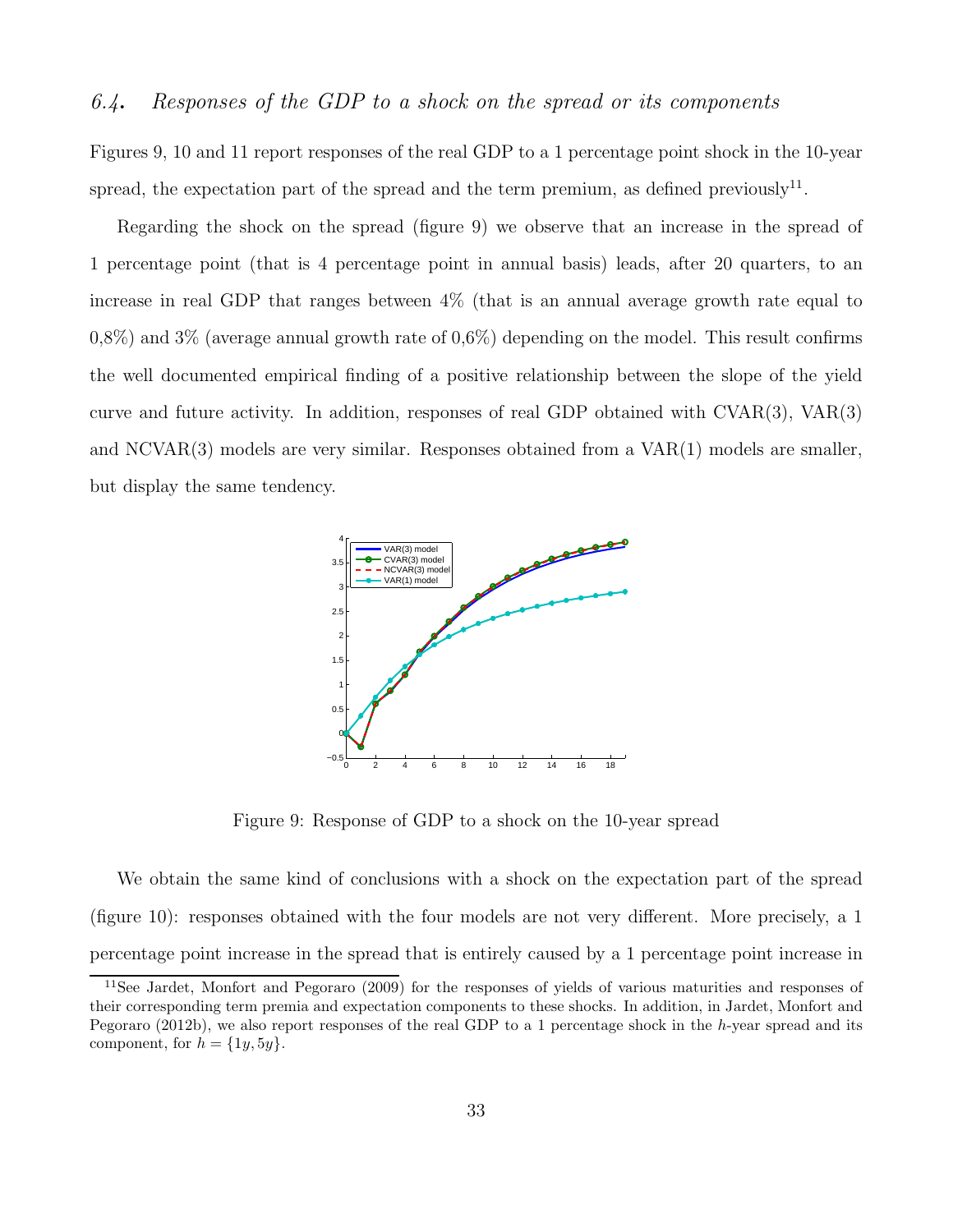#### 6.4. Responses of the GDP to a shock on the spread or its components

Figures 9, 10 and 11 report responses of the real GDP to a 1 percentage point shock in the 10-year spread, the expectation part of the spread and the term premium, as defined previously<sup>11</sup>.

Regarding the shock on the spread (figure 9) we observe that an increase in the spread of 1 percentage point (that is 4 percentage point in annual basis) leads, after 20 quarters, to an increase in real GDP that ranges between 4% (that is an annual average growth rate equal to  $0.8\%$ ) and  $3\%$  (average annual growth rate of  $0.6\%$ ) depending on the model. This result confirms the well documented empirical finding of a positive relationship between the slope of the yield curve and future activity. In addition, responses of real GDP obtained with CVAR(3), VAR(3) and NCVAR(3) models are very similar. Responses obtained from a VAR(1) models are smaller, but display the same tendency.



Figure 9: Response of GDP to a shock on the 10-year spread

We obtain the same kind of conclusions with a shock on the expectation part of the spread (figure 10): responses obtained with the four models are not very different. More precisely, a 1 percentage point increase in the spread that is entirely caused by a 1 percentage point increase in

<sup>11</sup>See Jardet, Monfort and Pegoraro (2009) for the responses of yields of various maturities and responses of their corresponding term premia and expectation components to these shocks. In addition, in Jardet, Monfort and Pegoraro (2012b), we also report responses of the real GDP to a 1 percentage shock in the h-year spread and its component, for  $h = \{1y, 5y\}.$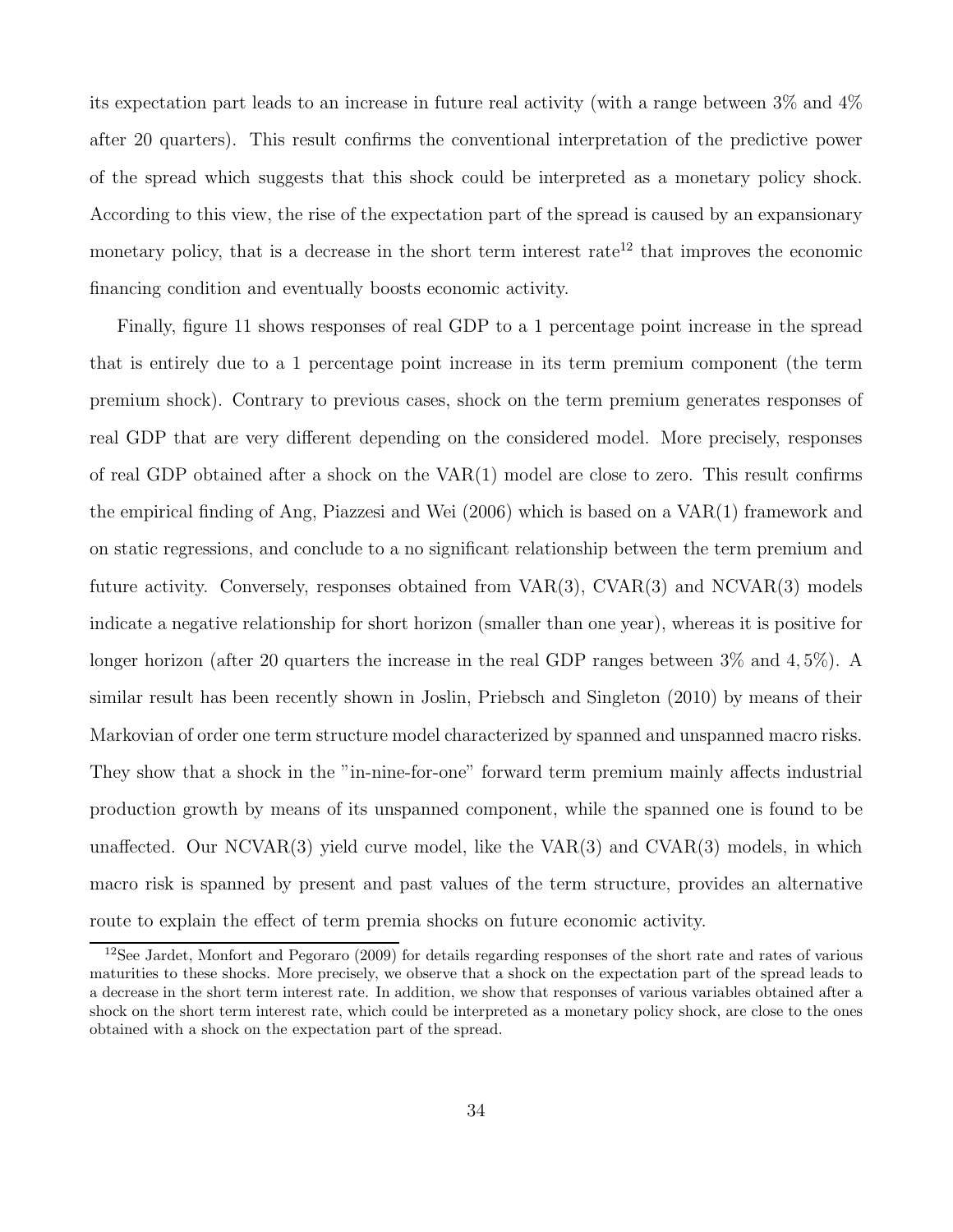its expectation part leads to an increase in future real activity (with a range between 3% and 4% after 20 quarters). This result confirms the conventional interpretation of the predictive power of the spread which suggests that this shock could be interpreted as a monetary policy shock. According to this view, the rise of the expectation part of the spread is caused by an expansionary monetary policy, that is a decrease in the short term interest rate<sup>12</sup> that improves the economic financing condition and eventually boosts economic activity.

Finally, figure 11 shows responses of real GDP to a 1 percentage point increase in the spread that is entirely due to a 1 percentage point increase in its term premium component (the term premium shock). Contrary to previous cases, shock on the term premium generates responses of real GDP that are very different depending on the considered model. More precisely, responses of real GDP obtained after a shock on the  $VAR(1)$  model are close to zero. This result confirms the empirical finding of Ang, Piazzesi and Wei (2006) which is based on a VAR(1) framework and on static regressions, and conclude to a no significant relationship between the term premium and future activity. Conversely, responses obtained from VAR(3), CVAR(3) and NCVAR(3) models indicate a negative relationship for short horizon (smaller than one year), whereas it is positive for longer horizon (after 20 quarters the increase in the real GDP ranges between  $3\%$  and  $4,5\%$ ). A similar result has been recently shown in Joslin, Priebsch and Singleton (2010) by means of their Markovian of order one term structure model characterized by spanned and unspanned macro risks. They show that a shock in the "in-nine-for-one" forward term premium mainly affects industrial production growth by means of its unspanned component, while the spanned one is found to be unaffected. Our NCVAR $(3)$  yield curve model, like the VAR $(3)$  and CVAR $(3)$  models, in which macro risk is spanned by present and past values of the term structure, provides an alternative route to explain the effect of term premia shocks on future economic activity.

<sup>&</sup>lt;sup>12</sup>See Jardet, Monfort and Pegoraro (2009) for details regarding responses of the short rate and rates of various maturities to these shocks. More precisely, we observe that a shock on the expectation part of the spread leads to a decrease in the short term interest rate. In addition, we show that responses of various variables obtained after a shock on the short term interest rate, which could be interpreted as a monetary policy shock, are close to the ones obtained with a shock on the expectation part of the spread.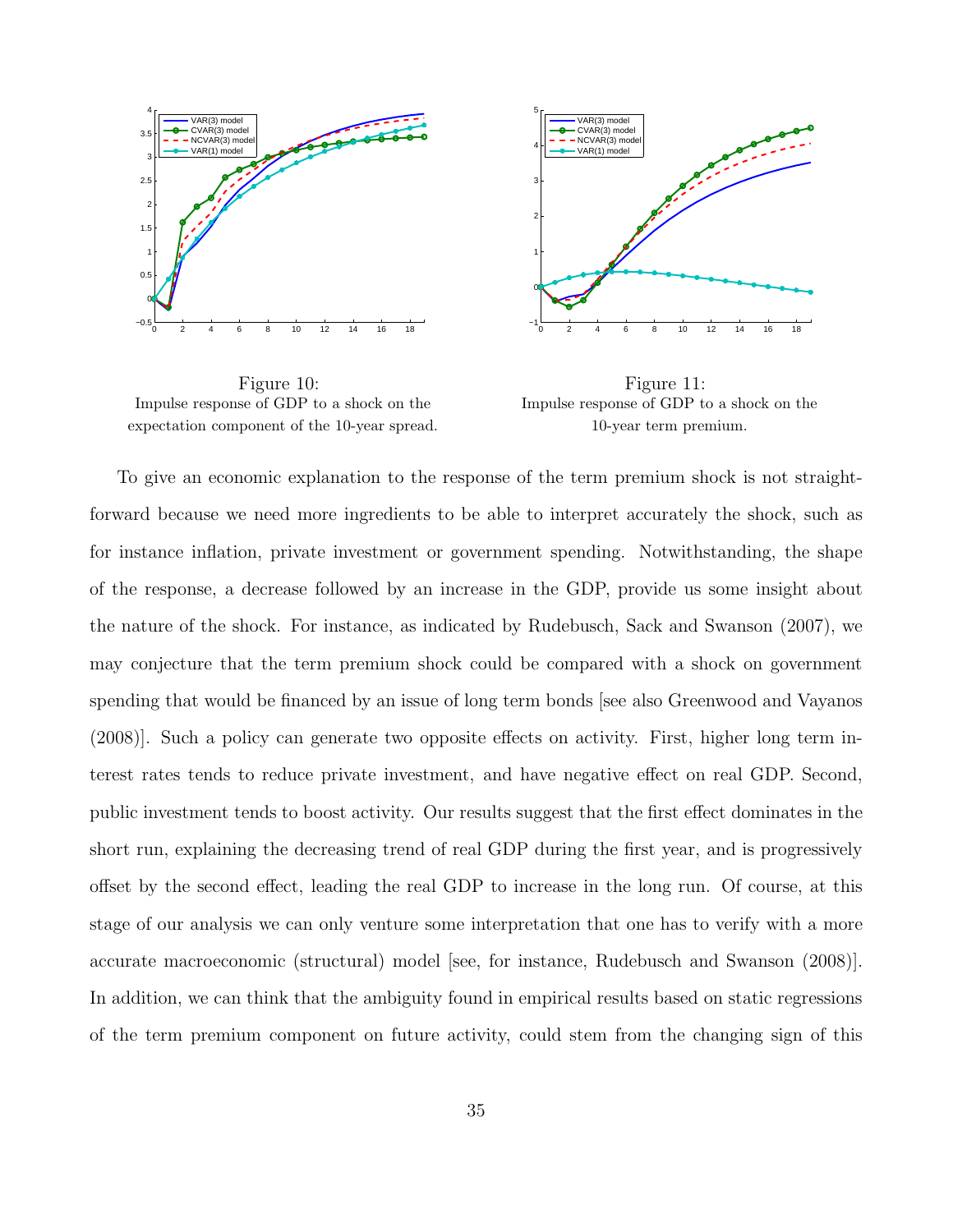

Figure 10: Impulse response of GDP to a shock on the expectation component of the 10-year spread.



Figure 11: Impulse response of GDP to a shock on the 10-year term premium.

To give an economic explanation to the response of the term premium shock is not straightforward because we need more ingredients to be able to interpret accurately the shock, such as for instance inflation, private investment or government spending. Notwithstanding, the shape of the response, a decrease followed by an increase in the GDP, provide us some insight about the nature of the shock. For instance, as indicated by Rudebusch, Sack and Swanson (2007), we may conjecture that the term premium shock could be compared with a shock on government spending that would be financed by an issue of long term bonds [see also Greenwood and Vayanos (2008)]. Such a policy can generate two opposite effects on activity. First, higher long term interest rates tends to reduce private investment, and have negative effect on real GDP. Second, public investment tends to boost activity. Our results suggest that the first effect dominates in the short run, explaining the decreasing trend of real GDP during the first year, and is progressively offset by the second effect, leading the real GDP to increase in the long run. Of course, at this stage of our analysis we can only venture some interpretation that one has to verify with a more accurate macroeconomic (structural) model [see, for instance, Rudebusch and Swanson (2008)]. In addition, we can think that the ambiguity found in empirical results based on static regressions of the term premium component on future activity, could stem from the changing sign of this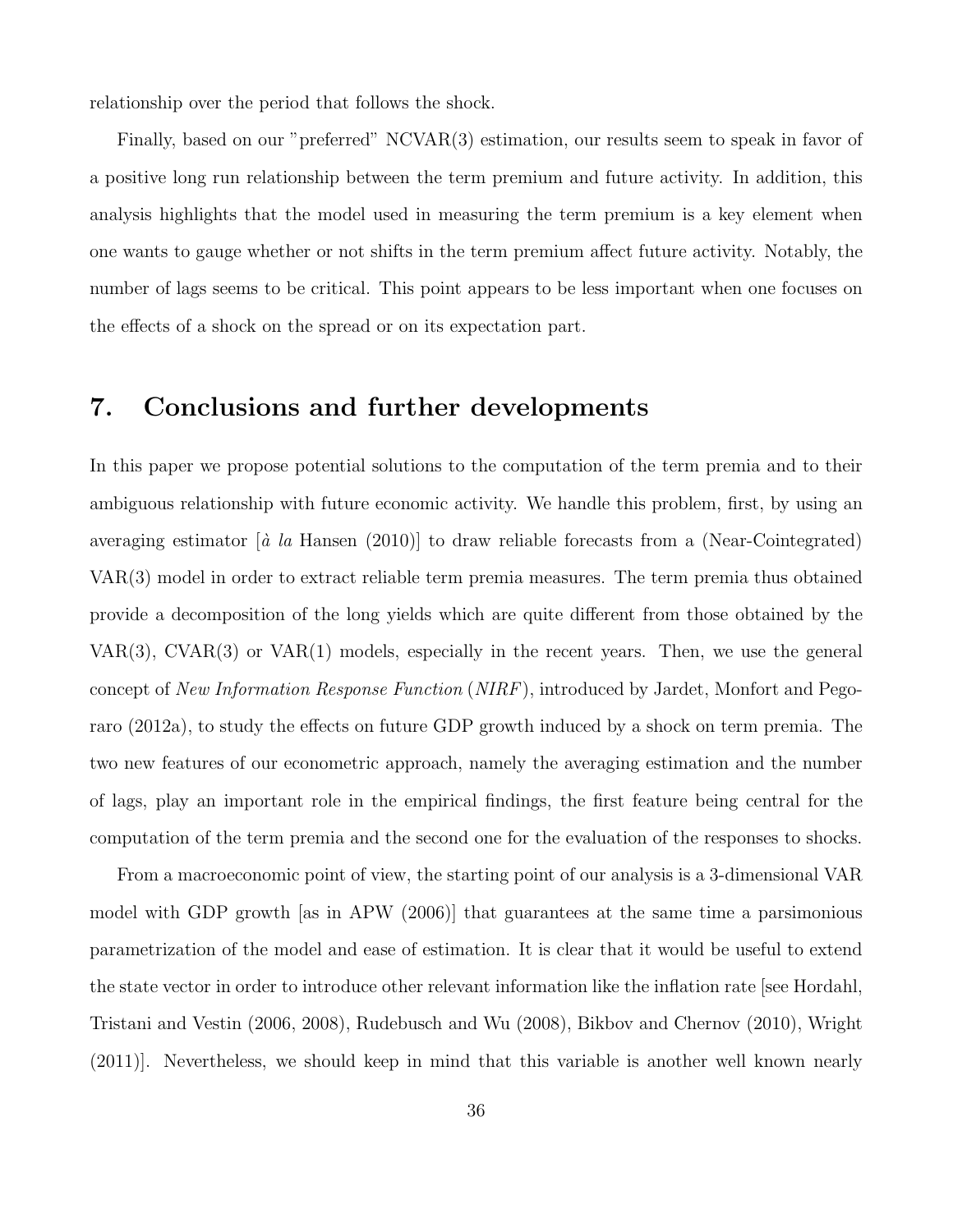relationship over the period that follows the shock.

Finally, based on our "preferred" NCVAR(3) estimation, our results seem to speak in favor of a positive long run relationship between the term premium and future activity. In addition, this analysis highlights that the model used in measuring the term premium is a key element when one wants to gauge whether or not shifts in the term premium affect future activity. Notably, the number of lags seems to be critical. This point appears to be less important when one focuses on the effects of a shock on the spread or on its expectation part.

### 7. Conclusions and further developments

In this paper we propose potential solutions to the computation of the term premia and to their ambiguous relationship with future economic activity. We handle this problem, first, by using an averaging estimator  $\left[\dot{a}\right]$  la Hansen (2010)] to draw reliable forecasts from a (Near-Cointegrated) VAR(3) model in order to extract reliable term premia measures. The term premia thus obtained provide a decomposition of the long yields which are quite different from those obtained by the VAR(3), CVAR(3) or VAR(1) models, especially in the recent years. Then, we use the general concept of New Information Response Function (NIRF), introduced by Jardet, Monfort and Pegoraro (2012a), to study the effects on future GDP growth induced by a shock on term premia. The two new features of our econometric approach, namely the averaging estimation and the number of lags, play an important role in the empirical findings, the first feature being central for the computation of the term premia and the second one for the evaluation of the responses to shocks.

From a macroeconomic point of view, the starting point of our analysis is a 3-dimensional VAR model with GDP growth [as in APW (2006)] that guarantees at the same time a parsimonious parametrization of the model and ease of estimation. It is clear that it would be useful to extend the state vector in order to introduce other relevant information like the inflation rate [see Hordahl, Tristani and Vestin (2006, 2008), Rudebusch and Wu (2008), Bikbov and Chernov (2010), Wright (2011)]. Nevertheless, we should keep in mind that this variable is another well known nearly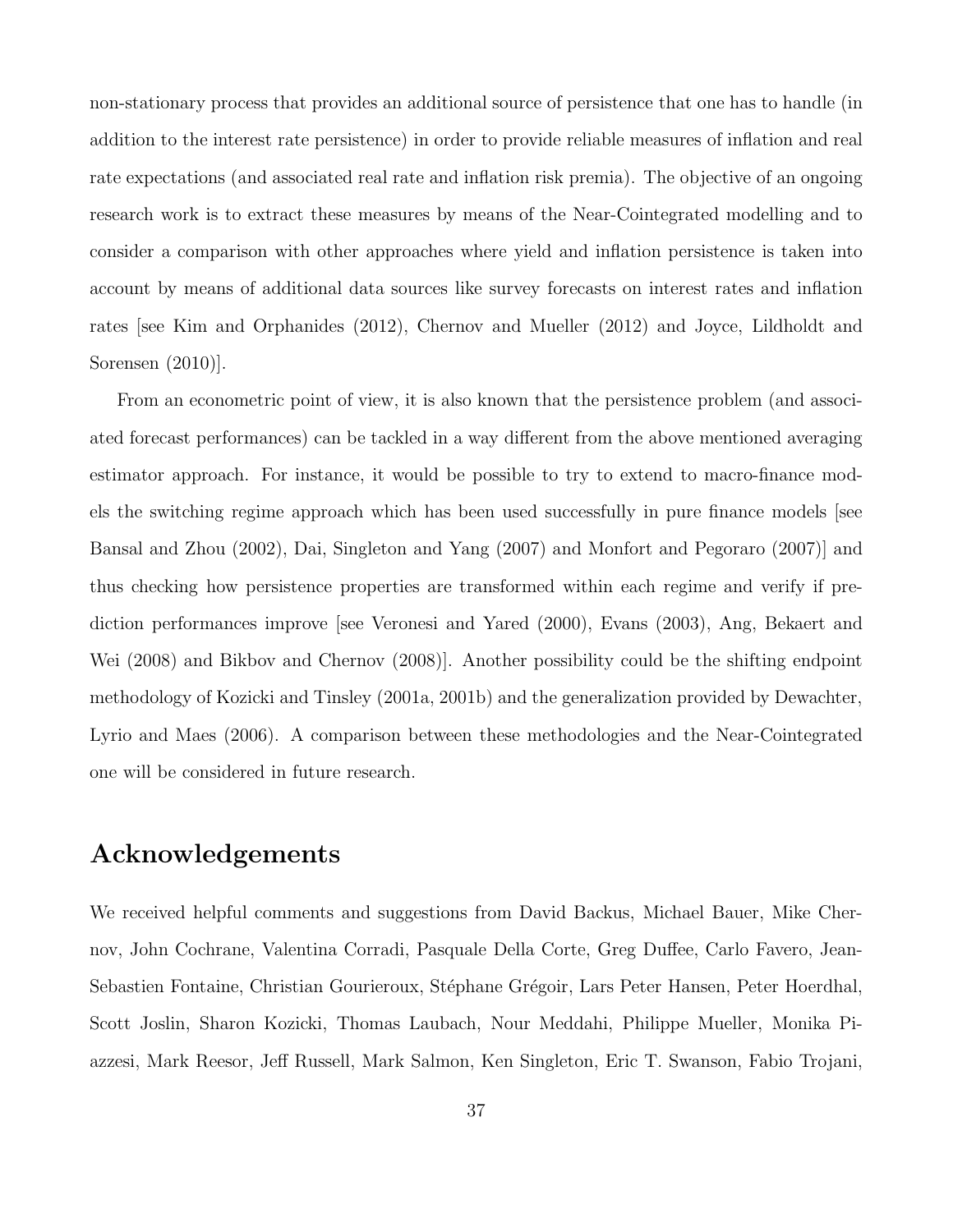non-stationary process that provides an additional source of persistence that one has to handle (in addition to the interest rate persistence) in order to provide reliable measures of inflation and real rate expectations (and associated real rate and inflation risk premia). The objective of an ongoing research work is to extract these measures by means of the Near-Cointegrated modelling and to consider a comparison with other approaches where yield and inflation persistence is taken into account by means of additional data sources like survey forecasts on interest rates and inflation rates [see Kim and Orphanides (2012), Chernov and Mueller (2012) and Joyce, Lildholdt and Sorensen (2010)].

From an econometric point of view, it is also known that the persistence problem (and associated forecast performances) can be tackled in a way different from the above mentioned averaging estimator approach. For instance, it would be possible to try to extend to macro-finance models the switching regime approach which has been used successfully in pure finance models [see Bansal and Zhou (2002), Dai, Singleton and Yang (2007) and Monfort and Pegoraro (2007)] and thus checking how persistence properties are transformed within each regime and verify if prediction performances improve [see Veronesi and Yared (2000), Evans (2003), Ang, Bekaert and Wei (2008) and Bikbov and Chernov (2008)]. Another possibility could be the shifting endpoint methodology of Kozicki and Tinsley (2001a, 2001b) and the generalization provided by Dewachter, Lyrio and Maes (2006). A comparison between these methodologies and the Near-Cointegrated one will be considered in future research.

# Acknowledgements

We received helpful comments and suggestions from David Backus, Michael Bauer, Mike Chernov, John Cochrane, Valentina Corradi, Pasquale Della Corte, Greg Duffee, Carlo Favero, Jean-Sebastien Fontaine, Christian Gourieroux, Stéphane Grégoir, Lars Peter Hansen, Peter Hoerdhal, Scott Joslin, Sharon Kozicki, Thomas Laubach, Nour Meddahi, Philippe Mueller, Monika Piazzesi, Mark Reesor, Jeff Russell, Mark Salmon, Ken Singleton, Eric T. Swanson, Fabio Trojani,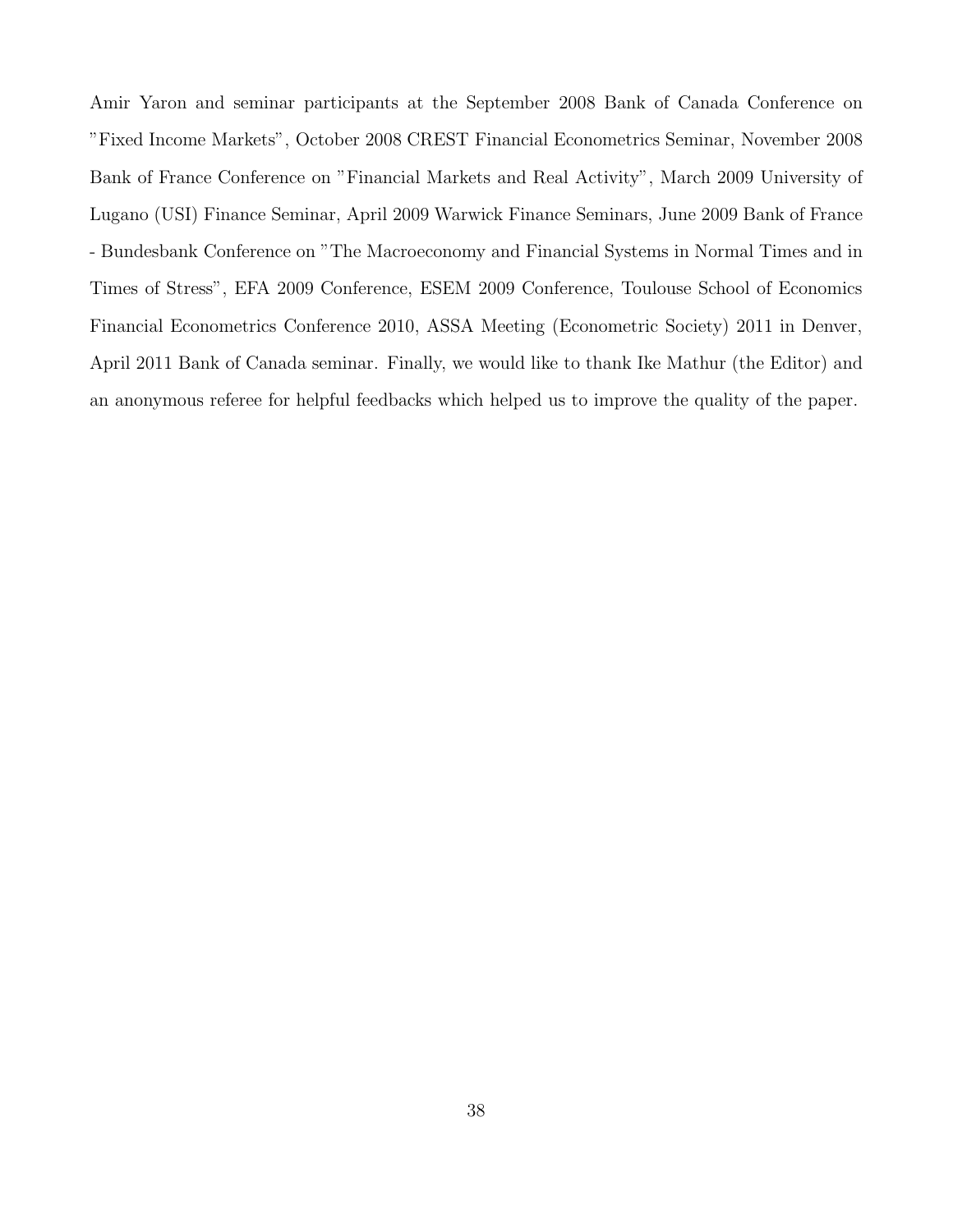Amir Yaron and seminar participants at the September 2008 Bank of Canada Conference on "Fixed Income Markets", October 2008 CREST Financial Econometrics Seminar, November 2008 Bank of France Conference on "Financial Markets and Real Activity", March 2009 University of Lugano (USI) Finance Seminar, April 2009 Warwick Finance Seminars, June 2009 Bank of France - Bundesbank Conference on "The Macroeconomy and Financial Systems in Normal Times and in Times of Stress", EFA 2009 Conference, ESEM 2009 Conference, Toulouse School of Economics Financial Econometrics Conference 2010, ASSA Meeting (Econometric Society) 2011 in Denver, April 2011 Bank of Canada seminar. Finally, we would like to thank Ike Mathur (the Editor) and an anonymous referee for helpful feedbacks which helped us to improve the quality of the paper.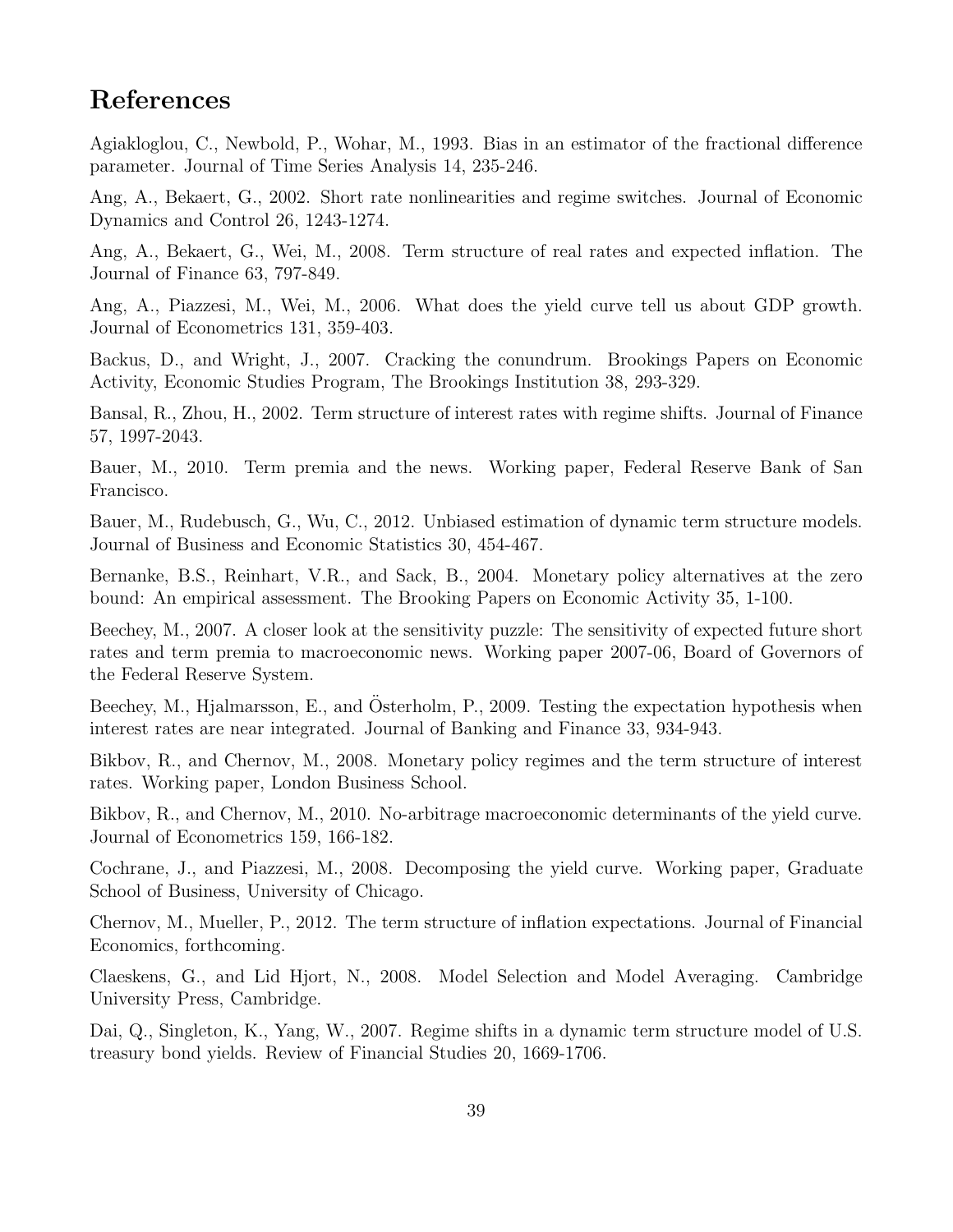# References

Agiakloglou, C., Newbold, P., Wohar, M., 1993. Bias in an estimator of the fractional difference parameter. Journal of Time Series Analysis 14, 235-246.

Ang, A., Bekaert, G., 2002. Short rate nonlinearities and regime switches. Journal of Economic Dynamics and Control 26, 1243-1274.

Ang, A., Bekaert, G., Wei, M., 2008. Term structure of real rates and expected inflation. The Journal of Finance 63, 797-849.

Ang, A., Piazzesi, M., Wei, M., 2006. What does the yield curve tell us about GDP growth. Journal of Econometrics 131, 359-403.

Backus, D., and Wright, J., 2007. Cracking the conundrum. Brookings Papers on Economic Activity, Economic Studies Program, The Brookings Institution 38, 293-329.

Bansal, R., Zhou, H., 2002. Term structure of interest rates with regime shifts. Journal of Finance 57, 1997-2043.

Bauer, M., 2010. Term premia and the news. Working paper, Federal Reserve Bank of San Francisco.

Bauer, M., Rudebusch, G., Wu, C., 2012. Unbiased estimation of dynamic term structure models. Journal of Business and Economic Statistics 30, 454-467.

Bernanke, B.S., Reinhart, V.R., and Sack, B., 2004. Monetary policy alternatives at the zero bound: An empirical assessment. The Brooking Papers on Economic Activity 35, 1-100.

Beechey, M., 2007. A closer look at the sensitivity puzzle: The sensitivity of expected future short rates and term premia to macroeconomic news. Working paper 2007-06, Board of Governors of the Federal Reserve System.

Beechey, M., Hjalmarsson, E., and Osterholm, P., 2009. Testing the expectation hypothesis when interest rates are near integrated. Journal of Banking and Finance 33, 934-943.

Bikbov, R., and Chernov, M., 2008. Monetary policy regimes and the term structure of interest rates. Working paper, London Business School.

Bikbov, R., and Chernov, M., 2010. No-arbitrage macroeconomic determinants of the yield curve. Journal of Econometrics 159, 166-182.

Cochrane, J., and Piazzesi, M., 2008. Decomposing the yield curve. Working paper, Graduate School of Business, University of Chicago.

Chernov, M., Mueller, P., 2012. The term structure of inflation expectations. Journal of Financial Economics, forthcoming.

Claeskens, G., and Lid Hjort, N., 2008. Model Selection and Model Averaging. Cambridge University Press, Cambridge.

Dai, Q., Singleton, K., Yang, W., 2007. Regime shifts in a dynamic term structure model of U.S. treasury bond yields. Review of Financial Studies 20, 1669-1706.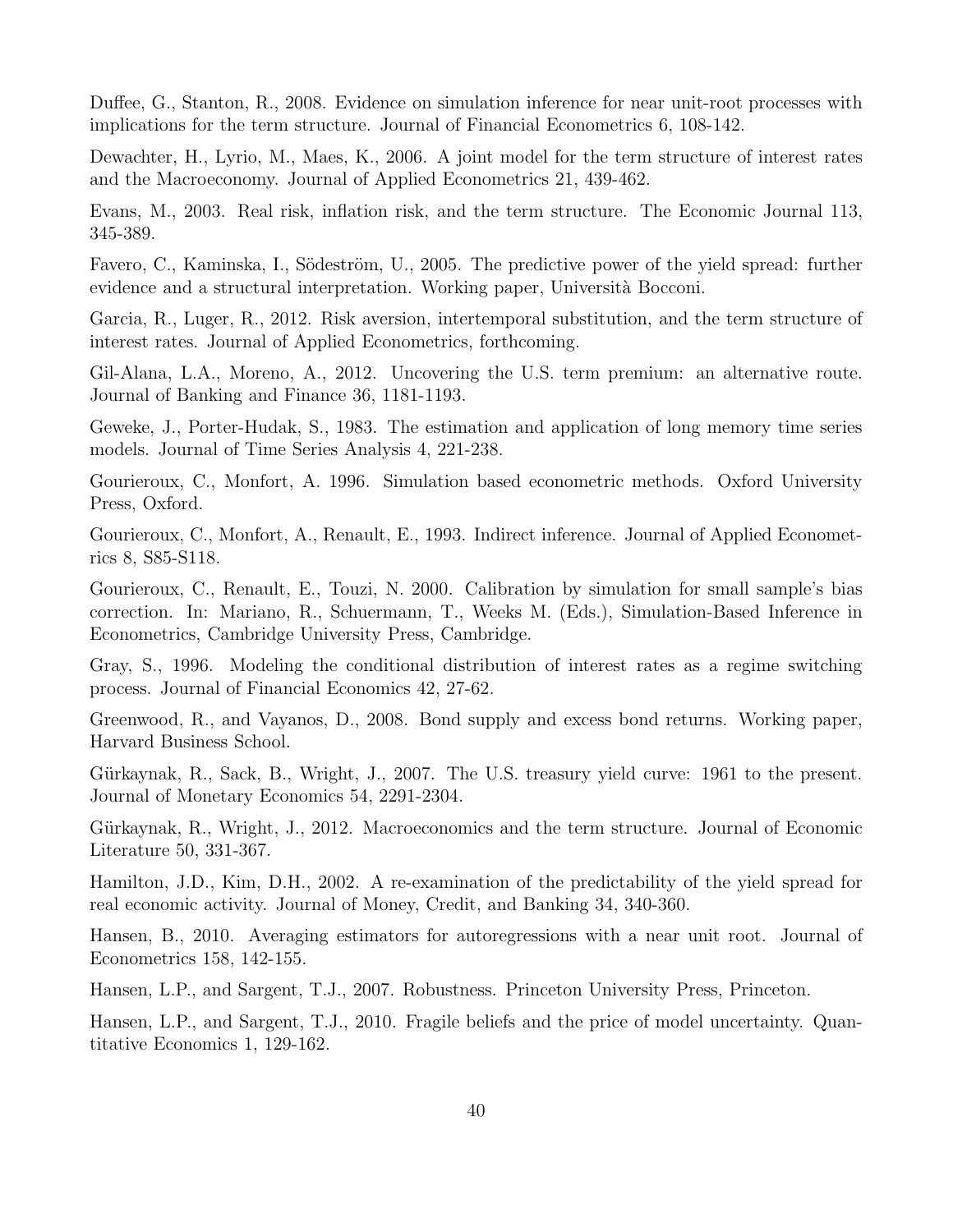Duffee, G., Stanton, R., 2008. Evidence on simulation inference for near unit-root processes with implications for the term structure. Journal of Financial Econometrics 6, 108-142.

Dewachter, H., Lyrio, M., Maes, K., 2006. A joint model for the term structure of interest rates and the Macroeconomy. Journal of Applied Econometrics 21, 439-462.

Evans, M., 2003. Real risk, inflation risk, and the term structure. The Economic Journal 113, 345-389.

Favero, C., Kaminska, I., Södeström, U., 2005. The predictive power of the yield spread: further evidence and a structural interpretation. Working paper, Università Bocconi.

Garcia, R., Luger, R., 2012. Risk aversion, intertemporal substitution, and the term structure of interest rates. Journal of Applied Econometrics, forthcoming.

Gil-Alana, L.A., Moreno, A., 2012. Uncovering the U.S. term premium: an alternative route. Journal of Banking and Finance 36, 1181-1193.

Geweke, J., Porter-Hudak, S., 1983. The estimation and application of long memory time series models. Journal of Time Series Analysis 4, 221-238.

Gourieroux, C., Monfort, A. 1996. Simulation based econometric methods. Oxford University Press, Oxford.

Gourieroux, C., Monfort, A., Renault, E., 1993. Indirect inference. Journal of Applied Econometrics 8, S85-S118.

Gourieroux, C., Renault, E., Touzi, N. 2000. Calibration by simulation for small sample's bias correction. In: Mariano, R., Schuermann, T., Weeks M. (Eds.), Simulation-Based Inference in Econometrics, Cambridge University Press, Cambridge.

Gray, S., 1996. Modeling the conditional distribution of interest rates as a regime switching process. Journal of Financial Economics 42, 27-62.

Greenwood, R., and Vayanos, D., 2008. Bond supply and excess bond returns. Working paper, Harvard Business School.

Gürkaynak, R., Sack, B., Wright, J., 2007. The U.S. treasury yield curve: 1961 to the present. Journal of Monetary Economics 54, 2291-2304.

Gürkaynak, R., Wright, J., 2012. Macroeconomics and the term structure. Journal of Economic Literature 50, 331-367.

Hamilton, J.D., Kim, D.H., 2002. A re-examination of the predictability of the yield spread for real economic activity. Journal of Money, Credit, and Banking 34, 340-360.

Hansen, B., 2010. Averaging estimators for autoregressions with a near unit root. Journal of Econometrics 158, 142-155.

Hansen, L.P., and Sargent, T.J., 2007. Robustness. Princeton University Press, Princeton.

Hansen, L.P., and Sargent, T.J., 2010. Fragile beliefs and the price of model uncertainty. Quantitative Economics 1, 129-162.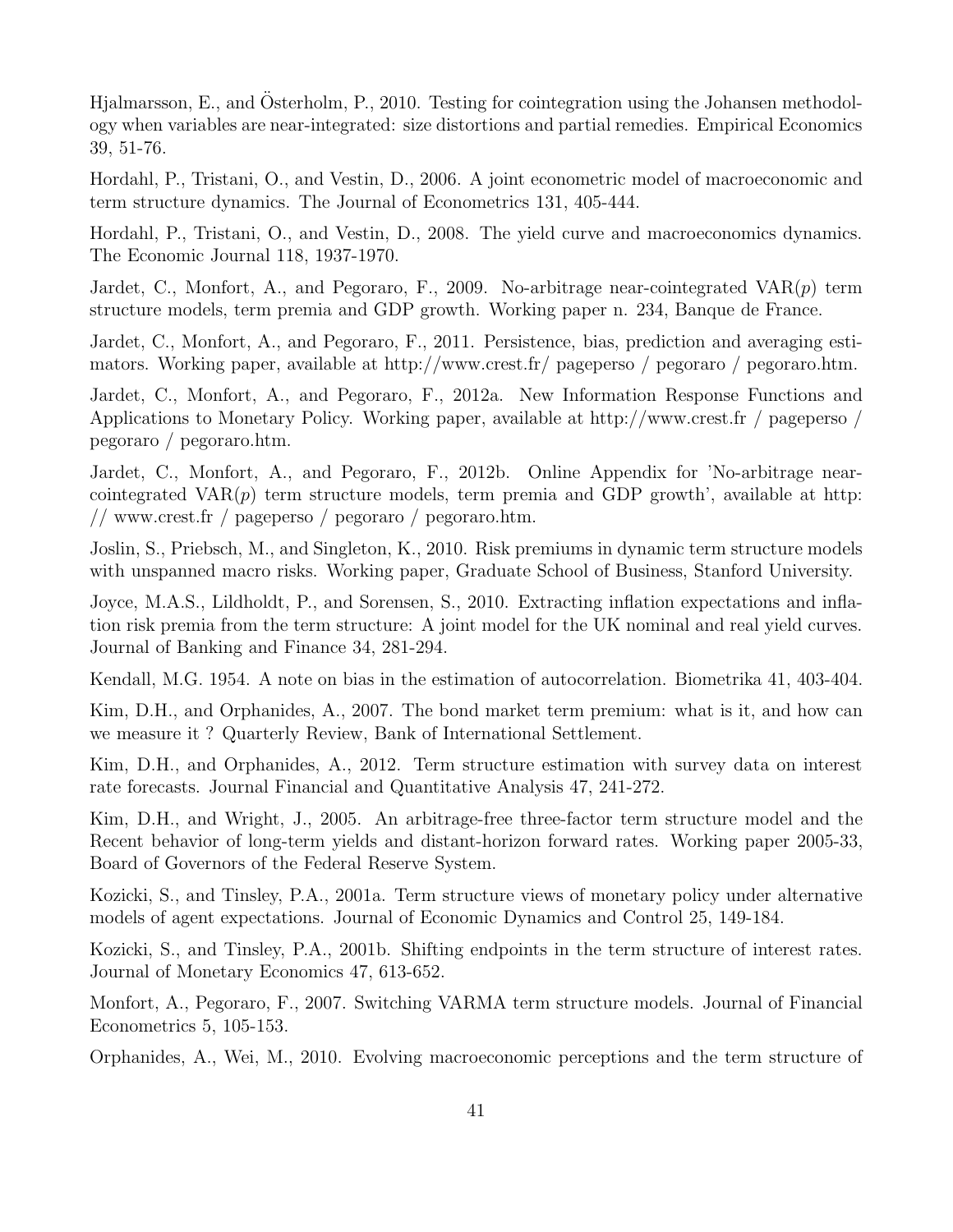Hialmarsson, E., and Österholm, P., 2010. Testing for cointegration using the Johansen methodology when variables are near-integrated: size distortions and partial remedies. Empirical Economics 39, 51-76.

Hordahl, P., Tristani, O., and Vestin, D., 2006. A joint econometric model of macroeconomic and term structure dynamics. The Journal of Econometrics 131, 405-444.

Hordahl, P., Tristani, O., and Vestin, D., 2008. The yield curve and macroeconomics dynamics. The Economic Journal 118, 1937-1970.

Jardet, C., Monfort, A., and Pegoraro, F., 2009. No-arbitrage near-cointegrated  $VAR(p)$  term structure models, term premia and GDP growth. Working paper n. 234, Banque de France.

Jardet, C., Monfort, A., and Pegoraro, F., 2011. Persistence, bias, prediction and averaging estimators. Working paper, available at http://www.crest.fr/ pageperso / pegoraro / pegoraro.htm.

Jardet, C., Monfort, A., and Pegoraro, F., 2012a. New Information Response Functions and Applications to Monetary Policy. Working paper, available at http://www.crest.fr / pageperso / pegoraro / pegoraro.htm.

Jardet, C., Monfort, A., and Pegoraro, F., 2012b. Online Appendix for 'No-arbitrage nearcointegrated  $VAR(p)$  term structure models, term premia and GDP growth', available at http: // www.crest.fr / pageperso / pegoraro / pegoraro.htm.

Joslin, S., Priebsch, M., and Singleton, K., 2010. Risk premiums in dynamic term structure models with unspanned macro risks. Working paper, Graduate School of Business, Stanford University.

Joyce, M.A.S., Lildholdt, P., and Sorensen, S., 2010. Extracting inflation expectations and inflation risk premia from the term structure: A joint model for the UK nominal and real yield curves. Journal of Banking and Finance 34, 281-294.

Kendall, M.G. 1954. A note on bias in the estimation of autocorrelation. Biometrika 41, 403-404.

Kim, D.H., and Orphanides, A., 2007. The bond market term premium: what is it, and how can we measure it ? Quarterly Review, Bank of International Settlement.

Kim, D.H., and Orphanides, A., 2012. Term structure estimation with survey data on interest rate forecasts. Journal Financial and Quantitative Analysis 47, 241-272.

Kim, D.H., and Wright, J., 2005. An arbitrage-free three-factor term structure model and the Recent behavior of long-term yields and distant-horizon forward rates. Working paper 2005-33, Board of Governors of the Federal Reserve System.

Kozicki, S., and Tinsley, P.A., 2001a. Term structure views of monetary policy under alternative models of agent expectations. Journal of Economic Dynamics and Control 25, 149-184.

Kozicki, S., and Tinsley, P.A., 2001b. Shifting endpoints in the term structure of interest rates. Journal of Monetary Economics 47, 613-652.

Monfort, A., Pegoraro, F., 2007. Switching VARMA term structure models. Journal of Financial Econometrics 5, 105-153.

Orphanides, A., Wei, M., 2010. Evolving macroeconomic perceptions and the term structure of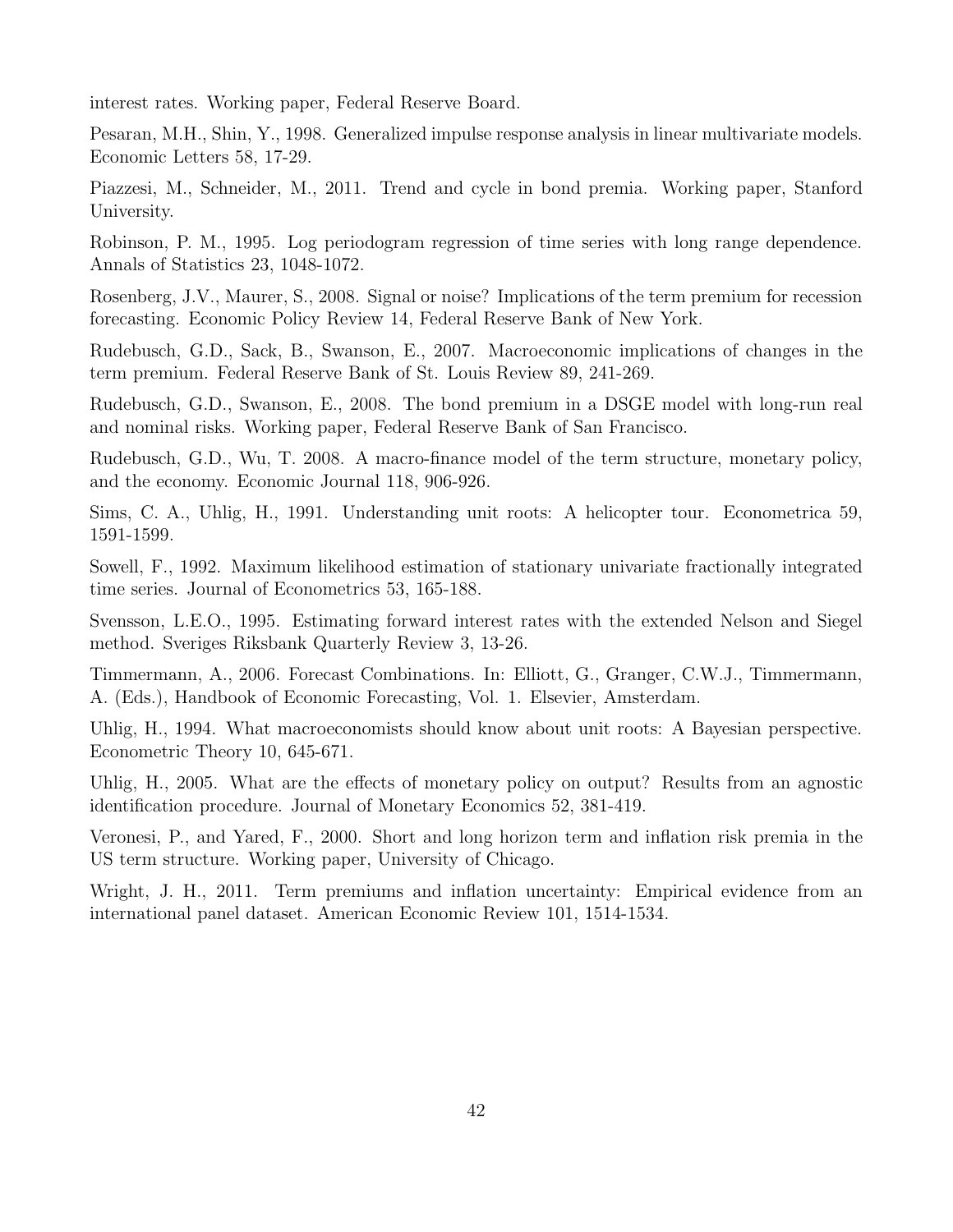interest rates. Working paper, Federal Reserve Board.

Pesaran, M.H., Shin, Y., 1998. Generalized impulse response analysis in linear multivariate models. Economic Letters 58, 17-29.

Piazzesi, M., Schneider, M., 2011. Trend and cycle in bond premia. Working paper, Stanford University.

Robinson, P. M., 1995. Log periodogram regression of time series with long range dependence. Annals of Statistics 23, 1048-1072.

Rosenberg, J.V., Maurer, S., 2008. Signal or noise? Implications of the term premium for recession forecasting. Economic Policy Review 14, Federal Reserve Bank of New York.

Rudebusch, G.D., Sack, B., Swanson, E., 2007. Macroeconomic implications of changes in the term premium. Federal Reserve Bank of St. Louis Review 89, 241-269.

Rudebusch, G.D., Swanson, E., 2008. The bond premium in a DSGE model with long-run real and nominal risks. Working paper, Federal Reserve Bank of San Francisco.

Rudebusch, G.D., Wu, T. 2008. A macro-finance model of the term structure, monetary policy, and the economy. Economic Journal 118, 906-926.

Sims, C. A., Uhlig, H., 1991. Understanding unit roots: A helicopter tour. Econometrica 59, 1591-1599.

Sowell, F., 1992. Maximum likelihood estimation of stationary univariate fractionally integrated time series. Journal of Econometrics 53, 165-188.

Svensson, L.E.O., 1995. Estimating forward interest rates with the extended Nelson and Siegel method. Sveriges Riksbank Quarterly Review 3, 13-26.

Timmermann, A., 2006. Forecast Combinations. In: Elliott, G., Granger, C.W.J., Timmermann, A. (Eds.), Handbook of Economic Forecasting, Vol. 1. Elsevier, Amsterdam.

Uhlig, H., 1994. What macroeconomists should know about unit roots: A Bayesian perspective. Econometric Theory 10, 645-671.

Uhlig, H., 2005. What are the effects of monetary policy on output? Results from an agnostic identification procedure. Journal of Monetary Economics 52, 381-419.

Veronesi, P., and Yared, F., 2000. Short and long horizon term and inflation risk premia in the US term structure. Working paper, University of Chicago.

Wright, J. H., 2011. Term premiums and inflation uncertainty: Empirical evidence from an international panel dataset. American Economic Review 101, 1514-1534.